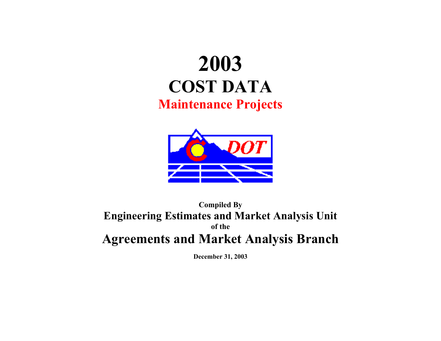# **2003 COST DATA Maintenance Projects**



## **Compiled By Engineering Estimates and Market Analysis Unit of the Agreements and Market Analysis Branch**

**December 31, 2003**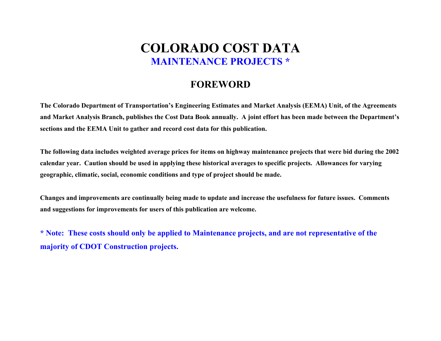## **COLORADO COST DATA MAINTENANCE PROJECTS \***

### **FOREWORD**

**The Colorado Department of Transportation's Engineering Estimates and Market Analysis (EEMA) Unit, of the Agreements and Market Analysis Branch, publishes the Cost Data Book annually. A joint effort has been made between the Department's sections and the EEMA Unit to gather and record cost data for this publication.** 

**The following data includes weighted average prices for items on highway maintenance projects that were bid during the 2002 calendar year. Caution should be used in applying these historical averages to specific projects. Allowances for varying geographic, climatic, social, economic conditions and type of project should be made.** 

**Changes and improvements are continually being made to update and increase the usefulness for future issues. Comments and suggestions for improvements for users of this publication are welcome.** 

**\* Note: These costs should only be applied to Maintenance projects, and are not representative of the majority of CDOT Construction projects.**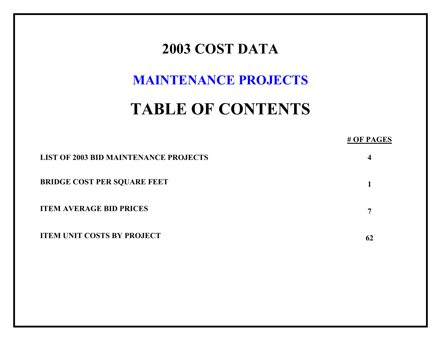## **2003 COST DATA**

## **MAINTENANCE PROJECTS**

# **TABLE OF CONTENTS**

### **# OF PAGES**

| <b>LIST OF 2003 BID MAINTENANCE PROJECTS</b> |  |
|----------------------------------------------|--|
| <b>BRIDGE COST PER SQUARE FEET</b>           |  |
| <b>ITEM AVERAGE BID PRICES</b>               |  |
| <b>ITEM UNIT COSTS BY PROJECT</b>            |  |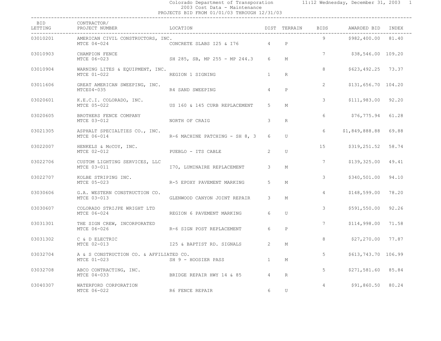#### Colorado Department of Transporation 11:12 Wednesday, December 31, 2003 1 2003 Cost Data - Maintenance PROJECTS BID FROM 01/01/03 THROUGH 12/31/03 ------------------------------------------------------------------------------------------------------------------------------------

| BID<br>LETTING | CONTRACTOR/<br>PROJECT NUMBER                          | LOCATION                       |                       | DIST TERRAIN | BIDS            | AWARDED BID INDEX   |       |  |
|----------------|--------------------------------------------------------|--------------------------------|-----------------------|--------------|-----------------|---------------------|-------|--|
| 03010201       | AMERICAN CIVIL CONSTRUCTORS, INC.<br>MTCE 04-024       | CONCRETE SLABS 125 & 176       | 4                     | $\mathbf{P}$ | $9^{\circ}$     | \$982,400.00 81.40  |       |  |
| 03010903       | CHAMPION FENCE<br>MTCE 06-023                          | SH 285, SB, MP 255 - MP 244.3  | $6^{\circ}$           | М            | $7\overline{ }$ | \$38,546.00 109.20  |       |  |
| 03010904       | WARNING LITES & EQUIPMENT, INC.<br>MTCE 01-022         | REGION 1 SIGNING               | $\overline{1}$        | R            | 8               | \$623,492.25 73.37  |       |  |
| 03011606       | GREAT AMERICAN SWEEPING, INC.<br>$MTCE04-035$          | R4 SAND SWEEPING               | $\overline{4}$        | $\mathsf{P}$ | $\overline{2}$  | \$131,656.70 104.20 |       |  |
| 03020601       | K.E.C.I. COLORADO, INC.<br>MTCE 05-022                 | US 160 & 145 CURB REPLACEMENT  | $5^{\circ}$           | M            | 3               | \$111,983.00 92.20  |       |  |
| 03020605       | BROTHERS FENCE COMPANY<br>MTCE 03-012                  | NORTH OF CRAIG                 | 3                     | R            | 6               | \$76,775.94         | 61.28 |  |
| 03021305       | ASPHALT SPECIALTIES CO., INC.<br>MTCE 06-014           | R-6 MACHINE PATCHING - SH 8, 3 | 6                     | U            | 6               | \$1,849,888.88      | 69.88 |  |
| 03022007       | HENKELS & McCOY, INC.<br>MTCE 02-012                   | PUEBLO - ITS CABLE             | 2                     | U            | 15              | \$319,251.52        | 58.74 |  |
| 03022706       | CUSTOM LIGHTING SERVICES, LLC<br>MTCE 03-011           | 170, LUMINAIRE REPLACEMENT     | 3                     | М            | $7\overline{ }$ | \$139,325.00        | 49.41 |  |
| 03022707       | KOLBE STRIPING INC.<br>MTCE 05-023                     | R-5 EPOXY PAVEMENT MARKING     | 5                     | М            | 3               | \$340,501.00        | 94.10 |  |
| 03030606       | G.A. WESTERN CONSTRUCTION CO.<br>MTCE 03-013           | GLENWOOD CANYON JOINT REPAIR   | 3                     | М            | $\overline{4}$  | \$148,599.00        | 78.20 |  |
| 03030607       | COLORADO STRIJPE WRIGHT LTD<br>MTCE 06-024             | REGION 6 PAVEMENT MARKING      | 6                     | U            | 3               | \$591,550.00        | 92.26 |  |
| 03031301       | THE SIGN CREW, INCORPORATED<br>MTCE 06-026             | R-6 SIGN POST REPLACEMENT      | 6                     | $\mathsf{P}$ | $7^{\circ}$     | \$114,998.00        | 71.58 |  |
| 03031302       | C & D ELECTRIC<br>MTCE 02-013                          | I25 & BAPTIST RD. SIGNALS      | $\mathbf{2}^{\prime}$ | М            | 8               | \$27,270.00         | 77.87 |  |
| 03032704       | A & S CONSTRUCTION CO. & AFFILIATED CO.<br>MTCE 01-023 | SH 9 - HOOSIER PASS            | $\mathbf{1}$          | M            | 5               | \$613,743.70 106.99 |       |  |
| 03032708       | ABCO CONTRACTING, INC.<br>MTCE 04-033                  | BRIDGE REPAIR HWY 14 & 85      | $\overline{4}$        | R            | 5               | \$271,581.60 85.84  |       |  |
| 03040307       | WATERFORD CORPORATION<br>MTCE 06-022                   | R6 FENCE REPAIR                | 6                     | U            | $\overline{4}$  | \$91,860.50 80.24   |       |  |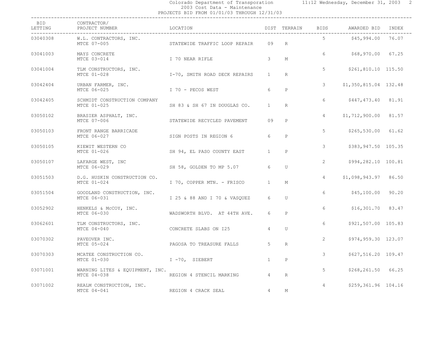#### Colorado Department of Transporation 11:12 Wednesday, December 31, 2003 2 2003 Cost Data - Maintenance

| 2003<br>Cost<br>Maintenance<br>Data<br>$-$       |
|--------------------------------------------------|
| PROJECTS BID FROM 01/01/03 THROUGH 1<br>12/31/03 |
| ------                                           |

| BID<br>LETTING | CONTRACTOR/<br>PROJECT NUMBER                  | LOCATION                      |                | DIST TERRAIN | BIDS           | AWARDED BID           | INDEX |  |
|----------------|------------------------------------------------|-------------------------------|----------------|--------------|----------------|-----------------------|-------|--|
| 03040308       | W.L. CONTRACTORS, INC.<br>MTCE 07-005          | STATEWIDE TRAFFIC LOOP REPAIR | 09             | R            | 5              | \$45,994.00           | 76.07 |  |
| 03041003       | MAYS CONCRETE<br>MTCE 03-014                   | I 70 NEAR RIFLE               | 3              | М            | 6              | \$68,970.00 67.25     |       |  |
| 03041004       | TLM CONSTRUCTORS, INC.<br>MTCE 01-028          | I-70, SMITH ROAD DECK REPAIRS | $\mathbf{1}$   | $\mathbb{R}$ | 5              | \$261,810.10 115.50   |       |  |
| 03042404       | URBAN FARMER, INC.<br>MTCE 06-025              | I 70 - PECOS WEST             | 6              | $\, {\bf P}$ | 3              | \$1,350,815.04 132.48 |       |  |
| 03042405       | SCHMIDT CONSTRUCTION COMPANY<br>MTCE 01-025    | SH 83 & SH 67 IN DOUGLAS CO.  | $\overline{1}$ | R            | 6              | \$447,473.40 81.91    |       |  |
| 03050102       | BRASIER ASPHALT, INC.<br>MTCE 07-006           | STATEWIDE RECYCLED PAVEMENT   | 09             | P            | 4              | \$1,712,900.00        | 81.57 |  |
| 03050103       | FRONT RANGE BARRICADE<br>MTCE 06-027           | SIGN POSTS IN REGION 6        | 6              | $\mathsf{P}$ | 5              | \$265,530.00          | 61.62 |  |
| 03050105       | KIEWIT WESTERN CO<br>MTCE 01-026               | SH 94, EL PASO COUNTY EAST    | $\mathbf{1}$   | $\mathsf{P}$ | 3              | \$383,947.50 105.35   |       |  |
| 03050107       | LAFARGE WEST, INC<br>MTCE 06-029               | SH 58, GOLDEN TO MP 5.07      | 6              | U            | $\overline{2}$ | \$994,282.10 100.81   |       |  |
| 03051503       | D.G. HUSKIN CONSTRUCTION CO.<br>MTCE 01-024    | I 70, COPPER MTN. - FRISCO    | $\mathbf{1}$   | М            | $\overline{4}$ | \$1,098,943.97        | 86.50 |  |
| 03051504       | GOODLAND CONSTRUCTION, INC.<br>MTCE 06-031     | I 25 & 88 AND I 70 & VASOUEZ  | 6              | U            | 6              | \$45,100.00           | 90.20 |  |
| 03052902       | HENKELS & McCOY, INC.<br>MTCE 06-030           | WADSWORTH BLVD. AT 44TH AVE.  | 6              | $\mathsf{P}$ | 6              | $$16,301.70$ 83.47    |       |  |
| 03062601       | TLM CONSTRUCTORS, INC.<br>MTCE $04-040$        | CONCRETE SLABS ON 125         | $\overline{4}$ | U            | 6              | \$921,507.00 105.83   |       |  |
| 03070302       | PAVEOVER INC.<br>MTCE 05-024                   | PAGOSA TO TREASURE FALLS      | 5              | R            | 2              | \$974,959.30 123.07   |       |  |
| 03070303       | MCATEE CONSTRUCTION CO.<br>MTCE 01-030         | $I - 70$ , SIEBERT            | $\overline{1}$ | $\mathsf{P}$ | 3              | \$627,516.20 109.47   |       |  |
| 03071001       | WARNING LITES & EQUIPMENT, INC.<br>MTCE 04-038 | REGION 4 STENCIL MARKING      | $\overline{4}$ | R            | 5              | \$268,261.50 66.25    |       |  |
| 03071002       | REALM CONSTRUCTION, INC.<br>MTCE 04-041        | REGION 4 CRACK SEAL           | $\overline{4}$ | M            | $\overline{4}$ | \$259,361.96 104.16   |       |  |
|                |                                                |                               |                |              |                |                       |       |  |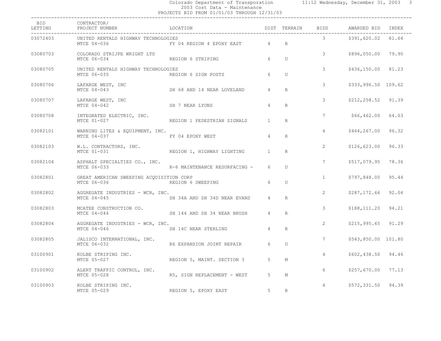#### Colorado Department of Transporation 11:12 Wednesday, December 31, 2003 3 2003 Cost Data - Maintenance PROJECTS BID FROM 01/01/03 THROUGH 12/31/03 ------------------------------------------------------------------------------------------------------------------------------------

| BID<br>LETTING | CONTRACTOR/<br>PROJECT NUMBER                           | LOCATION                      |                | DIST TERRAIN    | BIDS            | AWARDED BID INDEX    |       |
|----------------|---------------------------------------------------------|-------------------------------|----------------|-----------------|-----------------|----------------------|-------|
| 03072403       | UNITED RENTALS HIGHWAY TECHNOLOGIES<br>MTCE 04-036      | FY 04 REGION 4 EPOXY EAST     | 4              | $R_{\parallel}$ | $3^{\circ}$     | \$391,620.02 81.64   |       |
| 03080703       | COLORADO STRIJPE WRIGHT LTD<br>MTCE 06-034              | REGION 6 STRIPING             | $6^{\circ}$    | U               | 3               | \$896,050.00 79.90   |       |
| 03080705       | UNITED RENTALS HIGHWAY TECHNOLOGIES<br>MTCE 06-035      | REGION 6 SIGN POSTS           | 6              | U               | 3               | \$436,150.00 81.23   |       |
| 03080706       | LAFARGE WEST, INC<br>MTCE 04-043                        | SH 68 AND 14 NEAR LOVELAND    | $\overline{4}$ | R               | 3               | \$333,996.50 109.62  |       |
| 03080707       | LAFARGE WEST, INC<br>MTCE 04-042                        | SH 7 NEAR LYONS               | $\overline{4}$ | R               | 3               | $$212, 258.52$ 91.39 |       |
| 03080708       | INTEGRATED ELECTRIC, INC.<br>MTCE 01-027                | REGION 1 PEDESTRIAN SIGNALS   | $\mathbf{1}$   | R               | $7\phantom{.0}$ | \$66,462.00          | 64.03 |
| 03082101       | WARNING LITES & EQUIPMENT, INC.<br>MTCE 04-037          | FY 04 EPOXY WEST              | $\overline{4}$ | R               | $\overline{4}$  | \$464,267.00         | 96.32 |
| 03082103       | W.L. CONTRACTORS, INC.<br>MTCE 01-031                   | REGION 1, HIGHWAY LIGHTING    | $\mathbf{1}$   | R               | $\overline{2}$  | \$126,623.00         | 96.33 |
| 03082104       | ASPHALT SPECIALTIES CO., INC.<br>MTCE 06-033            | R-6 MAINTENANCE RESURFACING - | 6              | U               | $7\overline{ }$ | \$517,079.95         | 78.36 |
| 03082801       | GREAT AMERICAN SWEEPING ACQUISITION CORP<br>MTCE 06-036 | REGION 6 SWEEPING             | 6              | U               | $\mathbf{1}$    | \$797,848.00 95.44   |       |
| 03082802       | AGGREGATE INDUSTRIES - WCR, INC.<br>MTCE 04-045         | SH 34A AND SH 34D NEAR EVANS  | $\overline{4}$ | R               | $\overline{2}$  | \$287,172.66 92.04   |       |
| 03082803       | MCATEE CONSTRUCTION CO.<br>MTCE 04-044                  | SH 144 AND SH 34 NEAR BRUSH   | $\overline{4}$ | R               | 3               | \$188,111.20 94.21   |       |
| 03082804       | AGGREGATE INDUSTRIES - WCR, INC.<br>MTCE 04-046         | SH 14C NEAR STERLING          | $\overline{4}$ | R               | $\overline{2}$  | $$215, 995.65$ 91.29 |       |
| 03082805       | JALISCO INTERNATIONAL, INC.<br>MTCE 06-032              | R6 EXPANSION JOINT REPAIR     | 6              | U               | $7\phantom{.0}$ | \$543,850.00 101.80  |       |
| 03100901       | KOLBE STRIPING INC.<br>MTCE 05-027                      | REGION 5, MAINT. SECTION 3    | 5              | М               | $\overline{4}$  | \$602,438.50 94.46   |       |
| 03100902       | ALERT TRAFFIC CONTROL, INC.<br>MTCE 05-028              | R5, SIGN REPLACEMENT - WEST   | $5^{\circ}$    | М               | 6               | \$257,670.00         | 77.13 |
| 03100903       | KOLBE STRIPING INC.<br>MTCE 05-029                      | REGION 5, EPOXY EAST          | $5^{\circ}$    | $\mathbb{R}$    | $\overline{4}$  | $$572,331.50$ 94.39  |       |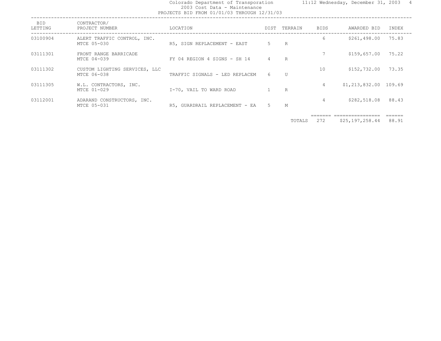#### Colorado Department of Transporation 11:12 Wednesday, December 31, 2003 4 2003 Cost Data - Maintenance PROJECTS BID FROM 01/01/03 THROUGH 12/31/03

|  |  |  |  |  |  | )JECTS BID FROM 01/01/03 THROUGH 12/31/03 |
|--|--|--|--|--|--|-------------------------------------------|
|--|--|--|--|--|--|-------------------------------------------|

| <b>BID</b><br>LETTING | CONTRACTOR/<br>PROJECT NUMBER                | LOCATION                       | DIST           | TERRAIN | <b>BIDS</b> | AWARDED BID            | INDEX |
|-----------------------|----------------------------------------------|--------------------------------|----------------|---------|-------------|------------------------|-------|
| 03100904              | ALERT TRAFFIC CONTROL, INC.<br>MTCE 05-030   | R5, SIGN REPLACEMENT - EAST    | 5              | R       | 6           | \$261,498.00           | 75.83 |
| 03111301              | FRONT RANGE BARRICADE<br>MTCE 04-039         | FY 04 REGION 4 SIGNS - SH 14   | $\overline{4}$ | R       |             | \$159,657.00           | 75.22 |
| 03111302              | CUSTOM LIGHTING SERVICES, LLC<br>MTCE 06-038 | TRAFFIC SIGNALS - LED REPLACEM | 6              | U       | 10          | \$152,732.00           | 73.35 |
| 03111305              | W.L. CONTRACTORS, INC.<br>MTCE 01-029        | I-70, VAIL TO WARD ROAD        |                | R       | 4           | $$1,213,832.00$ 109.69 |       |
| 03112001              | ADARAND CONSTRUCTORS, INC.<br>MTCE 05-031    | R5, GUARDRAIL REPLACEMENT - EA | 5              | М       | 4           | \$282,518.08           | 88.43 |

======= ================ ======

TOTALS 272 \$25,197,258.44 88.91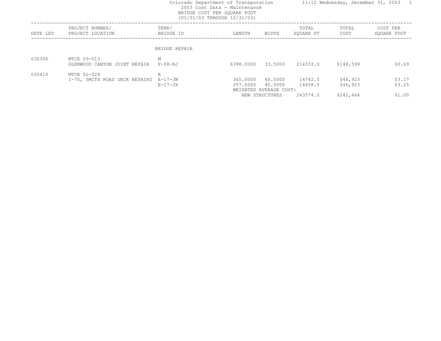#### 2003 Cost Data - Maintenance BRIDGE COST PER SQUARE FOOT (01/01/03 THROUGH 12/31/03)

------------------------------------------------------------------------------------------------------------------------------------ PROJECT NUMBER/ TERR/ TOTAL TOTAL COST PE R DATE LET PROJECT LOCATION BRIDGE ID LENGTH WIDTH SQUARE FT COST SQUARE FOOT ------------------------------------------------------------------------------------------------------------------------------------ BRIDGE REPAIR030306 MTCE 03-013 M GLENWOOD CANYON JOINT REPAIR F-08-BJ 6398.0000 33.5000 214333.0 \$148,599 \$0.69 030410 MTCE 01-028  $\mathbb R$  I-70, SMITH ROAD DECK REPAIRS E-17-JW 365.0000 40.5000 14782.5 \$46,923 \$3.17 E-17-JX 357.0000 40.5000 14458.5 \$46,923 \$3.25 WEIGHTED AVERAGE COST: NEW STRUCTURES 243574.0 \$242,444 \$1.00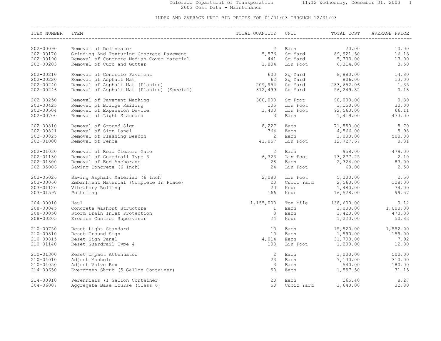#### Colorado Department of Transporation 11:12 Wednesday, December 31, 2003 1 2003 Cost Data - Maintenance

| ITEM NUMBER   | ITEM                                       |                         |            |                                                                                 |                                                                                            |
|---------------|--------------------------------------------|-------------------------|------------|---------------------------------------------------------------------------------|--------------------------------------------------------------------------------------------|
| 202-00090     | Removal of Delineator                      |                         |            |                                                                                 | 10.00                                                                                      |
| 202-00170     | Grinding And Texturing Concrete Pavement   |                         |            | 20.00<br>2 Each 20.00<br>5,576 Sq Yard 89,921.50                                | 16.13                                                                                      |
| 202-00190     | Removal of Concrete Median Cover Material  | 441                     |            |                                                                                 | 13.00                                                                                      |
| 202-00203     | Removal of Curb and Gutter                 | 1,804                   |            | Sq Yard 5,733.00<br>Lin Foot 6,314.00                                           | 3.50                                                                                       |
|               |                                            |                         |            |                                                                                 |                                                                                            |
| 202-00210     | Removal of Concrete Pavement               | 600                     |            |                                                                                 | Sq Yard 8,880.00 14.80                                                                     |
| 202-00220     | Removal of Asphalt Mat                     | 62                      |            |                                                                                 | 13.00                                                                                      |
| 202-00240     | Removal of Asphalt Mat (Planing)           | 209,954                 |            | Sq Yard 806.00<br>Sq Yard 283,652.06                                            | 1.35                                                                                       |
| 202-00246     | Removal of Asphalt Mat (Planing) (Special) | 312,499                 |            | $Sq$ Yard $56, 249.82$                                                          | 0.18                                                                                       |
| 202-00250     | Removal of Pavement Marking                | 300,000                 |            |                                                                                 |                                                                                            |
| 202-00425     | Removal of Bridge Railing                  | 105                     |            |                                                                                 |                                                                                            |
| 202-00504     | Removal of Expansion Device                | 1,400                   |            |                                                                                 |                                                                                            |
| 202-00700     | Removal of Light Standard                  | 3                       |            |                                                                                 | 90,000.00 0.30<br>Lin Foot 3,150.00 0.30<br>Lin Foot 3,150.00 0.30<br>Each 1,419.00 473.00 |
|               |                                            |                         |            |                                                                                 |                                                                                            |
| 202-00810     | Removal of Ground Sign                     | 8,227                   |            |                                                                                 | 8.70                                                                                       |
| 202-00821     | Removal of Sign Panel                      | 764                     |            | Each 71,550.00<br>Each 4,566.00                                                 | 5.98                                                                                       |
| 202-00825     | Removal of Flashing Beacon                 | $\overline{2}$          |            |                                                                                 | 500.00                                                                                     |
| 202-01000     | Removal of Fence                           | 41,057                  |            | Each 1,000.00<br>Lin Foot 12,727.67                                             | 0.31                                                                                       |
|               |                                            |                         |            |                                                                                 |                                                                                            |
| 202-01030     | Removal of Road Closure Gate               | $\overline{2}$          | Each       | 958.00                                                                          | 479.00                                                                                     |
| 202-01130     | Removal of Guardrail Type 3                | 6,323                   |            |                                                                                 |                                                                                            |
| 202-01300     | Removal of End Anchorage                   | 28                      |            | Lin Foot 13, 277.25<br>Each 2, 324.00                                           | $2.10$<br>83.00                                                                            |
| 202-05006     | Sawing Concrete (6 Inch)                   | 24                      | Lin Foot   | 60.00                                                                           | 2.50                                                                                       |
| $202 - 05026$ | Sawing Asphalt Material (6 Inch)           | 2,080                   |            |                                                                                 | 2.50                                                                                       |
| 203-00060     | Embankment Material (Complete In Place)    | 20                      |            |                                                                                 | 128.00                                                                                     |
| 203-01120     | Vibratory Rolling                          | 20                      |            |                                                                                 | 74.00                                                                                      |
| 203-01597     | Potholing                                  | 166                     |            | Lin Foot 5, 200.00<br>Cubic Yard 2, 560.00<br>Hour 1, 480.00<br>Hour 16, 528.00 | 99.57                                                                                      |
|               |                                            |                         |            |                                                                                 |                                                                                            |
| 204-00010     | Haul                                       | 1,155,000               |            |                                                                                 | Ton Mile $138,600.00$ 0.12                                                                 |
| 208-00045     | Concrete Washout Structure                 | $\mathbf{1}$            | Each       | $1,000.00$<br>$1,420.00$                                                        | 1,000.00                                                                                   |
| 208-00050     | Storm Drain Inlet Protection               | $\overline{\mathbf{3}}$ | Each       |                                                                                 | 473.33                                                                                     |
| 208-00205     | Erosion Control Supervisor                 | 24                      | Hour       | 1,220.00                                                                        | 50.83                                                                                      |
| 210-00750     | Reset Light Standard                       | 10 <sup>°</sup>         | Each       |                                                                                 | 15,520.00 1,552.00                                                                         |
| 210-00810     | Reset Ground Sign                          | 10                      | Each       |                                                                                 | 159.00                                                                                     |
| 210-00815     | Reset Sign Panel                           | 4,014                   | Each       | 1,590.00<br>31,790.00                                                           | 7.92                                                                                       |
| 210-01140     |                                            | 100                     |            |                                                                                 |                                                                                            |
|               | Reset Guardrail Type 4                     |                         |            | Lin Foot 1,200.00                                                               | 12.00                                                                                      |
| 210-01300     | Reset Impact Attenuator                    | 2                       | Each       | $1,000.00$<br>7 130 00                                                          | 500.00                                                                                     |
| 210-04010     | Adjust Manhole                             | 23                      | Each       | 7,130.00                                                                        | 310.00                                                                                     |
| 210-04050     | Adjust Valve Box                           | $\overline{\mathbf{3}}$ | Each       |                                                                                 | 540.00 180.00                                                                              |
| 214-00650     | Evergreen Shrub (5 Gallon Container)       | 50                      | Each       | 1,557.50                                                                        | 31.15                                                                                      |
|               |                                            |                         |            |                                                                                 |                                                                                            |
| 214-00910     | Perennials (1 Gallon Container)            | 20                      | Each       | 165.40                                                                          | 8.27                                                                                       |
| 304-06007     | Aggregate Base Course (Class 6)            | 50                      | Cubic Yard | 1,640.00                                                                        | 32.80                                                                                      |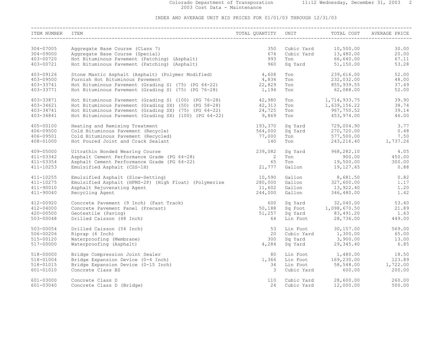#### Colorado Department of Transporation 11:12 Wednesday, December 31, 2003 2 2003 Cost Data - Maintenance

| ITEM NUMBER ITEM         |                                                                                                                    |                |            |                                                                                    |        |
|--------------------------|--------------------------------------------------------------------------------------------------------------------|----------------|------------|------------------------------------------------------------------------------------|--------|
| ________________________ |                                                                                                                    |                |            |                                                                                    |        |
|                          |                                                                                                                    |                |            |                                                                                    |        |
| 304-07005                | Aggregate Base Course (Class 7)                                                                                    | 350            |            |                                                                                    | 30.00  |
| 304-09000                |                                                                                                                    | 674            |            |                                                                                    | 20.00  |
| 403-00720                | Ayyregate Base Course (Class 7)<br>Aggregate Base Course (Special)<br>Hot Bituminous Pavement (Patching) (Asphalt) | 993            |            |                                                                                    | 67.11  |
| 403-00721                | Hot Bituminous Pavement (Patching) (Asphalt)                                                                       | 960            |            | Cubic Yard 10,500.00<br>Cubic Yard 13,480.00<br>Ton 66,640.00<br>Sq Yard 51,150.00 | 53.28  |
|                          |                                                                                                                    |                |            |                                                                                    |        |
| 403-09126                | Stone Mastic Asphalt (Asphalt) (Polymer Modified) 4,608                                                            |                | Ton        | 239,616.00                                                                         | 52.00  |
| 403-09500                | Furnish Hot Bituminous Pavement                                                                                    | 4,834          | Ton        |                                                                                    | 48.00  |
| 403-33741                | Hot Bituminous Pavement (Grading S) (75) (PG 64-22) 22,829                                                         |                | Ton        | 232,032.00<br>855,939.55                                                           | 37.49  |
| 403-33771                | Hot Bituminous Pavement (Grading S) (75) (PG 76-28)                                                                | 1,194          | Ton        | 62,088.00                                                                          | 52.00  |
|                          |                                                                                                                    |                |            |                                                                                    |        |
| 403-33871                | Hot Bituminous Pavement (Grading S) (100) (PG 76-28)                                                               | 42,980         | Ton        | 1,714,933.75                                                                       | 39.90  |
| 403-34621                | $Hot Bituminous Pavenent (Grading SX) (50) (PG 58-28)$ 42,313                                                      |                | Ton        | 1,639,156.22                                                                       | 38.74  |
| 403-34741                | Hot Bituminous Pavement (Grading SX) (75) (PG 64-22) 24,725                                                        |                | Ton        | 967,750.52                                                                         | 39.14  |
| 403-34841                | Hot Bituminous Pavement (Grading SX) $(100)$ (PG 64-22) 9,869                                                      |                |            | Ton 453, 974.00                                                                    | 46.00  |
|                          |                                                                                                                    |                |            |                                                                                    |        |
| 405-00100                | Heating and Remixing Treatment                                                                                     | 193,370        |            |                                                                                    | 3.77   |
| 406-09500                | Cold Bituminous Pavement (Recycle)                                                                                 | 564,000        |            | Sq Yard 729,004.90<br>Sq Yard 270,720.00                                           | 0.48   |
| 406-09501                | Cold Bituminous Pavement (Recycled)                                                                                | 77,000         |            |                                                                                    |        |
|                          |                                                                                                                    |                |            | Ton 577,500.00 7.50<br>Ton 243,216.40 1,737.26                                     |        |
| 408-01000                | Hot Poured Joint and Crack Sealant                                                                                 | 140            |            |                                                                                    |        |
| 409-05000                | Ultrathin Bonded Wearing Course                                                                                    | 239,082        | Sq Yard    | 968,282.10                                                                         | 4.05   |
| 411-03342                | Asphalt Cement Performance Grade (PG 64-28)                                                                        | $\overline{2}$ | <b>Ton</b> |                                                                                    | 450.00 |
| $411 - 03354$            | Asphalt Cement Performance Grade (PG 64-22)                                                                        | 65             | Ton        | $900.00$<br>19,500.00                                                              | 300.00 |
|                          |                                                                                                                    |                |            |                                                                                    |        |
| 411-10253                | Emulsified Asphalt (CSS-1H)                                                                                        | 21,777         |            | Gallon 19, 127.65                                                                  | 0.88   |
| 411-10255                | Emulsified Asphalt (Slow-Setting)                                                                                  | 10,590         |            | 8,681.50                                                                           | 0.82   |
| 411-10275                | Emulsified Asphalt (HFMS-2P) (High Float) (Polymerize                                                              | 280,000        |            | Gallon 8,681.50<br>Gallon 327,600.00                                               | 1.17   |
| 411-90010                | Asphalt Rejuvenating Agent                                                                                         | 11,602         | Gallon     | 13,922.40                                                                          | 1.20   |
| 411-90040                | Recycling Agent                                                                                                    | 244,000        |            | Gallon 346,480.00                                                                  | 1.42   |
|                          |                                                                                                                    |                |            |                                                                                    |        |
| 412-00920                | Concrete Pavement (9 Inch) (Fast Track)                                                                            | 600            |            | Sq Yard 32,040.00<br>Sq Foot 1,098,670.50                                          | 53.40  |
| 412-04000                | Concrete Pavement Panel (Precast)                                                                                  | 50,188         |            |                                                                                    | 21.89  |
| 420-00500                | Geotextile (Paving)                                                                                                | 51,257         |            | $\overline{sq}$ Yard $\overline{83,491.20}$                                        | 1.63   |
| 503-00048                | Drilled Caisson (48 Inch)                                                                                          | 64             | Lin Foot   | 28,736.00                                                                          | 449.00 |
|                          |                                                                                                                    |                |            |                                                                                    |        |
| 503-00054                | Drilled Caisson (54 Inch)                                                                                          | 53             | Lin Foot   | 30, 157.00                                                                         | 569.00 |
| 506-00206                | Riprap (6 Inch)                                                                                                    | 20             |            |                                                                                    | 65.00  |
| 515-00120                | Waterproofing (Membrane)                                                                                           | 300            |            | Cubic Yard 1,300.00<br>Sq Yard 3,900.00                                            | 13.00  |
|                          | Waterproofing (Asphalt)                                                                                            |                |            | $sq$ Yard 29, 345.40                                                               | 6.85   |
| 517-00000                |                                                                                                                    | 4,284          |            |                                                                                    |        |
| 518-00000                | Bridge Compression Joint Sealer                                                                                    | 80             |            |                                                                                    | 18.50  |
| 518-01004                | Bridge Expansion Device (0-4 Inch)                                                                                 | 1,366          |            | Lin Foot 1,480.00<br>Lin Foot 169,230.00                                           | 123.89 |
| 518-01015                | Bridge Expansion Device (0-15 Inch)                                                                                | 34             |            |                                                                                    |        |
| 601-01010                | Concrete Class BZ                                                                                                  | $\mathbf{3}$   |            | Lin Foot 58,548.00 1,722.00<br>Cubic Yard 600.00 200.00                            |        |
|                          |                                                                                                                    |                |            |                                                                                    |        |
| 601-03000                | Concrete Class D                                                                                                   | 110            |            | Cubic Yard 28,600.00                                                               | 260.00 |
| 601-03040                | Concrete Class D (Bridge)                                                                                          | 24             | Cubic Yard | 12,000.00                                                                          | 500.00 |
|                          |                                                                                                                    |                |            |                                                                                    |        |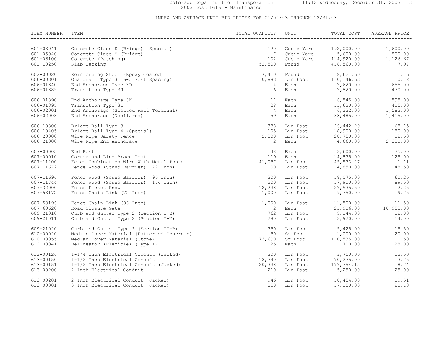#### Colorado Department of Transporation 11:12 Wednesday, December 31, 2003 3 2003 Cost Data - Maintenance

| ITEM NUMBER | ITEM                                       | TOTAL QUANTITY UNIT |                                                                                                                                                                                                                                 | TITY UNIT TOTAL COST AVE                                                            | AVERAGE PRICE                                                                                                           |
|-------------|--------------------------------------------|---------------------|---------------------------------------------------------------------------------------------------------------------------------------------------------------------------------------------------------------------------------|-------------------------------------------------------------------------------------|-------------------------------------------------------------------------------------------------------------------------|
|             |                                            |                     |                                                                                                                                                                                                                                 |                                                                                     |                                                                                                                         |
| 601-03041   | Concrete Class D (Bridge) (Special)        | 120                 |                                                                                                                                                                                                                                 |                                                                                     |                                                                                                                         |
| 601-05040   | Concrete Class S (Bridge)                  | $\overline{7}$      |                                                                                                                                                                                                                                 |                                                                                     |                                                                                                                         |
| 601-06100   | Concrete (Patching)                        | 102                 |                                                                                                                                                                                                                                 |                                                                                     |                                                                                                                         |
| 601-10250   | Slab Jacking                               | 52,500              |                                                                                                                                                                                                                                 |                                                                                     | Cubic Yard 192,000.00 1,600.00<br>Cubic Yard 5,600.00 800.00<br>Cubic Yard 114,920.00 1,126.67<br>Pound 418,560.00 7.97 |
| 602-00020   | Reinforcing Steel (Epoxy Coated)           | 7,410               |                                                                                                                                                                                                                                 | Pound<br>Lin Foot 8,621.60<br>Lin Foot 110,146.63<br>Each 2,620.00                  | 1.16                                                                                                                    |
| 606-00301   | Guardrail Type 3 (6-3 Post Spacing)        | 10,883              |                                                                                                                                                                                                                                 |                                                                                     | 10.12                                                                                                                   |
| 606-01340   | End Anchorage Type 3D                      | 4                   |                                                                                                                                                                                                                                 |                                                                                     | 655.00                                                                                                                  |
|             |                                            |                     |                                                                                                                                                                                                                                 |                                                                                     |                                                                                                                         |
| 606-01385   | Transition Type 3J                         | 6                   | Each                                                                                                                                                                                                                            | 2,820.00                                                                            | 470.00                                                                                                                  |
| 606-01390   | End Anchorage Type 3K                      | 11                  | Each                                                                                                                                                                                                                            |                                                                                     |                                                                                                                         |
| 606-01395   | Transition Type 3L                         | 28                  | Each                                                                                                                                                                                                                            |                                                                                     |                                                                                                                         |
| 606-02001   | End Anchorage (Slotted Rail Terminal)      | $\overline{4}$      | Each                                                                                                                                                                                                                            |                                                                                     |                                                                                                                         |
| 606-02003   | End Anchorage (Nonflared)                  | 59                  | Each and the state of the state of the state of the state of the state of the state of the state of the state of the state of the state of the state of the state of the state of the state of the state of the state of the st |                                                                                     | 6,545.00 595.00<br>11,620.00 415.00<br>6,332.00 1,583.00<br>83,485.00 1,415.00                                          |
| 606-10300   | Bridge Rail Type 3                         | 388                 |                                                                                                                                                                                                                                 |                                                                                     | 68.15                                                                                                                   |
| 606-10405   | Bridge Rail Type 4 (Special)               | 105                 |                                                                                                                                                                                                                                 | Lin Foot 26,442.20<br>Lin Foot 18,900.00                                            | 180.00                                                                                                                  |
| 606-20000   | Wire Rope Safety Fence                     | 2,300               |                                                                                                                                                                                                                                 |                                                                                     | 12.50                                                                                                                   |
| 606-21000   | Wire Rope End Anchorage                    | 2                   | Each                                                                                                                                                                                                                            | Lin Foot 28,750.00                                                                  | $\begin{array}{c} 28,750.00 \\ 4,660.00 \end{array}$ 2,330.00                                                           |
|             |                                            |                     |                                                                                                                                                                                                                                 |                                                                                     |                                                                                                                         |
| 607-00005   | End Post                                   | 48                  |                                                                                                                                                                                                                                 | Each 3,600.00<br>Each 14,875.00<br>Lin Foot 45,573.27                               | 75.00                                                                                                                   |
| 607-00010   | Corner and Line Brace Post                 | 119                 |                                                                                                                                                                                                                                 |                                                                                     | 125.00                                                                                                                  |
| 607-11200   | Fence Combination Wire With Metal Posts    | 41,057              |                                                                                                                                                                                                                                 |                                                                                     | 1.11                                                                                                                    |
| 607-11672   | Fence Wood (Sound Barrier) (72 Inch)       | 100                 |                                                                                                                                                                                                                                 | Lin Foot 4,850.00                                                                   | 48.50                                                                                                                   |
| 607-11696   | Fence Wood (Sound Barrier) (96 Inch)       | 300                 |                                                                                                                                                                                                                                 |                                                                                     | 60.25                                                                                                                   |
| 607-11744   | Fence Wood (Sound Barrier) (144 Inch)      | 200                 |                                                                                                                                                                                                                                 |                                                                                     | 89.50                                                                                                                   |
| 607-32000   | Fence Picket Snow                          | 12,238              |                                                                                                                                                                                                                                 |                                                                                     | 2.25                                                                                                                    |
| 607-53172   | Fence Chain Link (72 Inch)                 | 1,000               |                                                                                                                                                                                                                                 | Lin Foot 18,075.00<br>Lin Foot 17,900.00<br>Lin Foot 27,535.50<br>Lin Foot 9,750.00 | 9.75                                                                                                                    |
|             |                                            |                     |                                                                                                                                                                                                                                 |                                                                                     |                                                                                                                         |
| 607-53196   | Fence Chain Link (96 Inch)                 | 1,000               |                                                                                                                                                                                                                                 |                                                                                     | Lin Foot 11,500.00 11.50<br>Each 21,906.00 10,953.00<br>Lin Foot 9,144.00 12.00                                         |
| 607-60620   | Road Closure Gate                          | $\overline{2}$      |                                                                                                                                                                                                                                 |                                                                                     |                                                                                                                         |
| 609-21010   | Curb and Gutter Type 2 (Section I-B)       | 762                 |                                                                                                                                                                                                                                 |                                                                                     |                                                                                                                         |
| 609-21011   | Curb and Gutter Type 2 (Section I-M)       | 280                 |                                                                                                                                                                                                                                 | Lin Foot 3,920.00                                                                   | 14.00                                                                                                                   |
| 609-21020   | Curb and Gutter Type 2 (Section II-B)      | 350                 |                                                                                                                                                                                                                                 | Lin Foot 5,425.00<br>Sq Foot 1,000.00<br>Sq Foot 110,535.00                         | 15.50                                                                                                                   |
| 610-00020   | Median Cover Material (Patterned Concrete) | 50                  |                                                                                                                                                                                                                                 |                                                                                     | 20.00                                                                                                                   |
| 610-00055   | Median Cover Material (Stone)              | 73,690              |                                                                                                                                                                                                                                 |                                                                                     | 1.50                                                                                                                    |
| 612-00041   | Delineator (Flexible) (Type I)             | 25                  |                                                                                                                                                                                                                                 | Each 700.00                                                                         | 28.00                                                                                                                   |
| 613-00126   | 1-1/4 Inch Electrical Conduit (Jacked)     | 300                 |                                                                                                                                                                                                                                 |                                                                                     | 12.50                                                                                                                   |
| 613-00150   | 1-1/2 Inch Electrical Conduit              | 18,740              |                                                                                                                                                                                                                                 |                                                                                     | 3.75                                                                                                                    |
|             |                                            |                     |                                                                                                                                                                                                                                 |                                                                                     |                                                                                                                         |
| 613-00151   | 1-1/2 Inch Electrical Conduit (Jacked)     | 20,338              |                                                                                                                                                                                                                                 | Lin Foot 3,750.00<br>Lin Foot 70,275.00<br>Lin Foot 177,754.12<br>Lin Foot 5,250.00 | 8.74                                                                                                                    |
| 613-00200   | 2 Inch Electrical Conduit                  | 210                 |                                                                                                                                                                                                                                 |                                                                                     | 25.00                                                                                                                   |
| 613-00201   | 2 Inch Electrical Conduit (Jacked)         | 946                 |                                                                                                                                                                                                                                 | Lin Foot 18,454.00                                                                  | 19.51                                                                                                                   |
| 613-00301   | 3 Inch Electrical Conduit (Jacked)         | 850                 | Lin Foot                                                                                                                                                                                                                        | 17,150.00                                                                           | 20.18                                                                                                                   |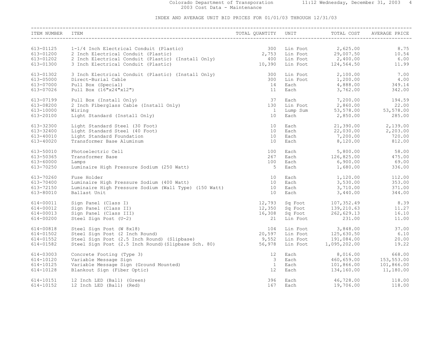#### Colorado Department of Transporation 11:12 Wednesday, December 31, 2003 4 2003 Cost Data - Maintenance

| ITEM NUMBER                                      | ITEM                                                                                                                                                             | TOTAL QUANTITY                   | UNIT                                         | TOTAL COST                                                                     | AVERAGE PRICE                   |
|--------------------------------------------------|------------------------------------------------------------------------------------------------------------------------------------------------------------------|----------------------------------|----------------------------------------------|--------------------------------------------------------------------------------|---------------------------------|
| 613-01125                                        | 1-1/4 Inch Electrical Conduit (Plastic)                                                                                                                          | 300                              | Lin Foot                                     | 2,625.00                                                                       | 8.75                            |
| 613-01200                                        | 2 Inch Electrical Conduit (Plastic)                                                                                                                              | 2,753                            | Lin Foot                                     | 29,007.50                                                                      | 10.54                           |
| 613-01202                                        | 2 Inch Electrical Conduit (Plastic) (Install Only)                                                                                                               | 400                              | Lin Foot                                     | 2,400.00                                                                       | 6.00                            |
| 613-01300                                        | 3 Inch Electrical Conduit (Plastic)                                                                                                                              | 10,390                           | Lin Foot<br>Lin Foot                         | 124,564.50                                                                     | 11.99                           |
| 613-01302                                        | 3 Inch Electrical Conduit (Plastic) (Install Only)                                                                                                               | 300                              | Lin Foot                                     | 2,100.00                                                                       | 7.00                            |
| 613-05000                                        | Direct-Burial Cable                                                                                                                                              | 300                              | Lin Foot                                     | 1,200.00                                                                       | 4.00                            |
| 613-07000                                        | Pull Box (Special)                                                                                                                                               | 14                               | Each                                         | 4,888.00                                                                       | 349.14                          |
| 613-07026                                        | Pull Box (16"x24"x12")                                                                                                                                           | 11                               | Each                                         | 3,762.00                                                                       | 342.00                          |
| 613-07199                                        | Pull Box (Install Only)                                                                                                                                          | 37                               | Each                                         | 7,200.00                                                                       | 194.59                          |
| 613-08200                                        | 2 Inch Fiberglass Cable (Install Only)                                                                                                                           | 130                              | Lin Foot                                     | 2,860.00                                                                       | 22.00                           |
| 613-10000                                        | Wiring                                                                                                                                                           | $\overline{1}$                   | Lump Sum                                     | 53,578.00                                                                      | 53,578.00                       |
| 613-20100                                        | Light Standard (Install Only)                                                                                                                                    | 10                               | Each                                         | 2,850.00                                                                       | 285.00                          |
| 613-32300                                        | Light Standard Steel (30 Foot)                                                                                                                                   | 10                               | Each                                         | 21,390.00                                                                      | 2,139.00                        |
| 613-32400                                        | Light Standard Steel (40 Foot)                                                                                                                                   | 10 <sup>°</sup>                  | Each                                         | 22,030.00                                                                      | 2,203.00                        |
| 613-40010                                        | Light Standard Foundation                                                                                                                                        | 10                               | Each                                         | 7,200.00                                                                       | 720.00                          |
| 613-40020                                        | Transformer Base Aluminum                                                                                                                                        | 10                               | Each                                         | 8,120.00                                                                       | 812.00                          |
| 613-50010                                        | Photoelectric Cell                                                                                                                                               | 100                              | Each                                         | 5,800.00                                                                       | 58.00                           |
| 613-50365                                        | Transformer Base                                                                                                                                                 | 267                              | Each                                         | 126,825.00                                                                     | 475.00                          |
| 613-60000                                        | Lamps                                                                                                                                                            | 100                              | Each                                         | 6,900.00                                                                       | 69.00                           |
| 613-70250                                        | Luminaire High Pressure Sodium (250 Watt)                                                                                                                        | 5                                | Each                                         | 1,680.00                                                                       | 336.00                          |
| 613-70260                                        | Fuse Holder                                                                                                                                                      | 10                               | Each                                         | 1,120.00                                                                       | 112.00                          |
| 613-70400                                        | Luminaire High Pressure Sodium (400 Watt)                                                                                                                        | 10                               | Each                                         | 3,530.00                                                                       | 353.00                          |
| 613-72150                                        | Luminaire High Pressure Sodium (Wall Type) (150 Watt)                                                                                                            | 10                               | Each                                         | 3,710.00                                                                       | 371.00                          |
| 613-80010                                        | Ballast Unit                                                                                                                                                     | 10                               | Each                                         | 3,440.00                                                                       | 344.00                          |
| 614-00011<br>614-00012<br>614-00013<br>614-00200 | Sign Panel (Class I)<br>Sign Panel (Class II)<br>Sign Panel (Class III)<br>Steel Sign Post (U-2)                                                                 | 12,793<br>12,350<br>16,308<br>21 | Sq Foot<br>Sq Foot<br>Lin Foot               | Sq Foot 107,352.49<br>Sq Foot 139.210.63<br>139,210.63<br>262,629.13<br>231.00 | 8.39<br>11.27<br>16.10<br>11.00 |
| 614-00818<br>614-01502<br>614-01552<br>614-01582 | Steel Sign Post (W 8x18)<br>Steel Sign Post (2 Inch Round)<br>Steel Sign Post (2.5 Inch Round) (Slipbase)<br>Steel Sign Post (2.5 Inch Round) (Slipbase Sch. 80) | 104<br>20,597<br>9,552<br>56,978 | Lin Foot<br>Lin Foot<br>Lin Foot<br>Lin Foot | 3,848.00<br>125,630.50<br>191,084.00<br>1,095,202.00                           | 37.00<br>6.10<br>20.00<br>19.22 |
| 614-03003                                        | Concrete Footing (Type 3)                                                                                                                                        | 12                               | Each                                         | 8,016.00                                                                       | 668.00                          |
| 614-10120                                        | Variable Message Sign                                                                                                                                            | $\overline{\mathbf{3}}$          | Each                                         | 460,659.00                                                                     | 153,553.00                      |
| 614-10125                                        | Variable Message Sign (Ground Mounted)                                                                                                                           | $\mathbf{1}$                     | Each                                         | 101,866.00                                                                     | 101,866.00                      |
| 614-10128                                        | Blankout Sign (Fiber Optic)                                                                                                                                      | 12                               | Each                                         | 134,160.00                                                                     | 11,180.00                       |
| 614-10151                                        | 12 Inch LED (Ball) (Green)                                                                                                                                       | 396                              | Each                                         | 46,728.00                                                                      | 118.00                          |
| 614-10152                                        | 12 Inch LED (Ball) (Red)                                                                                                                                         | 167                              | Each                                         | 19,706.00                                                                      | 118.00                          |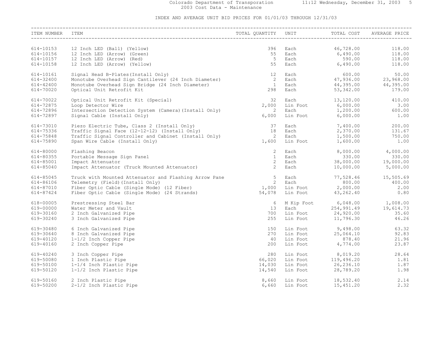#### Colorado Department of Transporation 11:12 Wednesday, December 31, 2003 5 2003 Cost Data - Maintenance

| ITEM NUMBER | ITEM                                                                                                                                                                                                                                | TOTAL QUANTITY UNIT                     |          | TITY UNIT TOTAL COST AVE                                                        | TOTAL COST AVERAGE PRICE                                                               |
|-------------|-------------------------------------------------------------------------------------------------------------------------------------------------------------------------------------------------------------------------------------|-----------------------------------------|----------|---------------------------------------------------------------------------------|----------------------------------------------------------------------------------------|
|             |                                                                                                                                                                                                                                     |                                         |          |                                                                                 |                                                                                        |
| 614-10153   | 12 Inch LED (Ball) (Yellow)                                                                                                                                                                                                         | 396                                     | Each     |                                                                                 | $118.00$<br>$118.00$                                                                   |
| 614-10156   | 12 Inch LED (Arrow) (Green)                                                                                                                                                                                                         | 55                                      | Each     | $46, 728.00$<br>$6, 490.00$<br>$590.00$<br>$6, 490.00$                          |                                                                                        |
| 614-10157   | 12 Inch LED (Arrow) (Red)                                                                                                                                                                                                           | 5 <sup>5</sup>                          | Each     |                                                                                 | 118.00<br>118.00                                                                       |
| 614-10158   | 12 Inch LED (Arrow) (Yellow)                                                                                                                                                                                                        | 55                                      | Each     |                                                                                 |                                                                                        |
| 614-10161   | Signal Head B-Plates (Install Only)                                                                                                                                                                                                 | 12                                      | Each     |                                                                                 |                                                                                        |
| 614-32400   |                                                                                                                                                                                                                                     | $\begin{array}{c} 2 \\ 1 \end{array}$   | Each     |                                                                                 |                                                                                        |
| 614-42400   | Monotube Overhead Sign Cantilever (24 Inch Diameter)<br>Monotube Overhead Sign Bridge (24 Inch Diameter)                                                                                                                            |                                         | Each     |                                                                                 |                                                                                        |
| 614-70020   | Optical Unit Retrofit Kit                                                                                                                                                                                                           | 298                                     | Each     |                                                                                 | $600.00$ 50.00<br>$47,936.00$ 23,968.00<br>$44,395.00$ 44,395.00<br>$53,342.00$ 179.00 |
| 614-70022   | Optical Unit Retrofit Kit (Special)                                                                                                                                                                                                 | $\frac{32}{2,000}$                      |          |                                                                                 | 410.00                                                                                 |
| 614-72875   |                                                                                                                                                                                                                                     |                                         |          | Each 13,120.00<br>Lin Foot 6,000.00                                             |                                                                                        |
| 614-72896   |                                                                                                                                                                                                                                     | $\overline{2}$                          |          |                                                                                 |                                                                                        |
| 614-72897   | Loop Detector Wire<br>Intersection Detection System (Camera) (Install Only)                                                                                                                                                         | 6,000                                   |          |                                                                                 | Lin Foot 6,000.00 3.00<br>Each 1,200.00 600.00<br>Lin Foot 6,000.00 1.00               |
| 614-73010   |                                                                                                                                                                                                                                     |                                         |          |                                                                                 |                                                                                        |
| 614-75336   |                                                                                                                                                                                                                                     | $\begin{array}{c} 37 \\ 18 \end{array}$ |          |                                                                                 | Each 7,400.00 200.00<br>Each 2,370.00 131.67                                           |
| 614-75848   | Piezo Electric Tube, Class 2 (Install Only)<br>Traffic Signal Face (12-12-12) (Install Only)<br>Traffic Signal Controller and Cabinet (Install Only)                                                                                | $\overline{2}$                          |          |                                                                                 |                                                                                        |
| 614-75890   | Span Wire Cable (Install Only)                                                                                                                                                                                                      | 1,600                                   |          |                                                                                 | Each 1,500.00 750.00<br>Lin Foot 1,600.00 1.00                                         |
|             |                                                                                                                                                                                                                                     |                                         |          |                                                                                 |                                                                                        |
| 614-80000   | Flashing Beacon                                                                                                                                                                                                                     | 2                                       | Each     |                                                                                 | $8,000.00$ $4,000.00$                                                                  |
| 614-80355   | Portable Message Sign Panel                                                                                                                                                                                                         | $\sim$ 1                                | Each     |                                                                                 |                                                                                        |
| 614-85001   | Impact Attenuator                                                                                                                                                                                                                   | $\overline{2}$                          | Each     |                                                                                 | $330.00$ $330.00$<br>$38,000.00$ $19,000.00$                                           |
| 614-85040   | Impact Attenuator (Truck Mounted Attenuator)                                                                                                                                                                                        | $\overline{2}$                          | Each     |                                                                                 | 10,000.00 5,000.00                                                                     |
| 614-85045   |                                                                                                                                                                                                                                     |                                         |          |                                                                                 |                                                                                        |
| 614-86106   |                                                                                                                                                                                                                                     |                                         |          |                                                                                 |                                                                                        |
| 614-87010   |                                                                                                                                                                                                                                     |                                         |          |                                                                                 |                                                                                        |
| 614-87424   | Truck with Mounted Attenuator and Flashing Arrow Pane 5 Each 77,528.46 15,505.69<br>Telemetry (Field) (Install Only) 2 Each 77,528.46 15,505.69<br>Fiber Optic Cable (Single Mode) (12 Fiber) 1,000 Lin Foot 2,000.00 2.00<br>Fiber |                                         |          |                                                                                 |                                                                                        |
| 618-00005   | Prestressing Steel Bar                                                                                                                                                                                                              |                                         |          |                                                                                 |                                                                                        |
| 619-00000   | Water Meter and Vault                                                                                                                                                                                                               | 13                                      |          |                                                                                 | 6 M Kip Foot 6,048.00 1,008.00<br>13 Each 254,991.49 19,614.73                         |
| 619-30160   | 2 Inch Galvanized Pipe                                                                                                                                                                                                              | 700                                     |          |                                                                                 |                                                                                        |
| 619-30240   | 3 Inch Galvanized Pipe                                                                                                                                                                                                              | 255                                     |          |                                                                                 | Lin Foot 24,920.00 35.60<br>Lin Foot 11,796.30 46.26                                   |
|             |                                                                                                                                                                                                                                     |                                         |          | Lin Foot 9,498.00<br>Lin Foot 25,064.10<br>Lin Foot 878.40<br>Lin Foot 4,774.00 |                                                                                        |
| 619-30480   | 6 Inch Galvanized Pipe                                                                                                                                                                                                              | 150<br>270                              |          |                                                                                 | 63.32<br>92.83                                                                         |
| 619-30640   | 8 Inch Galvanized Pipe                                                                                                                                                                                                              |                                         |          |                                                                                 |                                                                                        |
| 619-40120   | 1-1/2 Inch Copper Pipe                                                                                                                                                                                                              | 40<br>200                               |          |                                                                                 | 21.96                                                                                  |
| 619-40160   | 2 Inch Copper Pipe                                                                                                                                                                                                                  |                                         |          |                                                                                 | 23.87                                                                                  |
| 619-40240   | 3 Inch Copper Pipe                                                                                                                                                                                                                  | 280                                     |          | Lin Foot 8,019.20<br>Lin Foot 119,496.20                                        | 28.64                                                                                  |
| 619-50080   | 1 Inch Plastic Pipe                                                                                                                                                                                                                 | 66,020                                  |          |                                                                                 | 1.81                                                                                   |
| 619-50100   | 1-1/4 Inch Plastic Pipe                                                                                                                                                                                                             | 14,030                                  |          | Lin Foot 26,236.10<br>Lin Foot 28,789.20                                        | 1.87                                                                                   |
| 619-50120   | 1-1/2 Inch Plastic Pipe                                                                                                                                                                                                             | 14,540                                  |          |                                                                                 | 1.98                                                                                   |
| 619-50160   | 2 Inch Plastic Pipe                                                                                                                                                                                                                 | 8,660                                   |          | Lin Foot 18,532.40                                                              | 2.14                                                                                   |
| 619-50200   | 2-1/2 Inch Plastic Pipe                                                                                                                                                                                                             | 6,660                                   | Lin Foot | 15,451.20                                                                       | 2.32                                                                                   |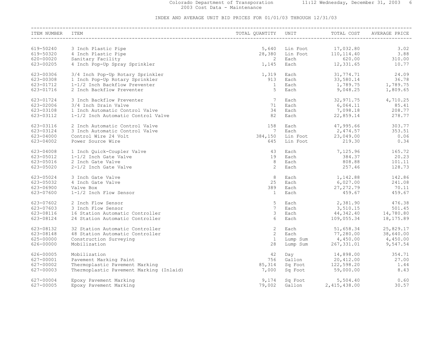#### Colorado Department of Transporation 11:12 Wednesday, December 31, 2003 6 2003 Cost Data - Maintenance

| ITEM NUMBER            | <b>ITEM</b>                                                               | TOTAL QUANTITY          | UNIT                 | TOTAL COST                                | AVERAGE PRICE          |
|------------------------|---------------------------------------------------------------------------|-------------------------|----------------------|-------------------------------------------|------------------------|
|                        |                                                                           |                         |                      |                                           |                        |
| 619-50240<br>619-50320 | 3 Inch Plastic Pipe<br>4 Inch Plastic Pipe                                | 5,640<br>28,380         | Lin Foot<br>Lin Foot | 17,032.80<br>110,114.40                   | 3.02<br>3.88           |
| 620-00020<br>623-00205 | Sanitary Facility<br>4 Inch Pop-Up Spray Sprinkler                        | $\overline{2}$<br>1,145 | Each<br>Each         | 620.00<br>12,331.65                       | 310.00<br>10.77        |
|                        |                                                                           |                         |                      |                                           |                        |
| 623-00306<br>623-00308 | 3/4 Inch Pop-Up Rotary Sprinkler<br>1 Inch Pop-Up Rotary Sprinkler        | 1,319<br>913            | Each<br>Each         | 31,774.71<br>33,580.14                    | 24.09<br>36.78         |
| 623-01712              | 1-1/2 Inch Backflow Preventer                                             | $\mathbf{1}$            | Each                 | 1,789.75                                  | 1,789.75               |
| 623-01716              | 2 Inch Backflow Preventer                                                 | 5                       | Each                 | 9,048.25                                  | 1,809.65               |
| 623-01724              | 3 Inch Backflow Preventer                                                 | $7\phantom{.0}$         | Each                 | 32,971.75                                 | 4,710.25               |
| 623-02006              | 3/4 Inch Drain Valve                                                      | 71                      | Each                 | 6,064.11                                  | 85.41                  |
| 623-03108<br>623-03112 | 1 Inch Automatic Control Valve<br>1-1/2 Inch Automatic Control Valve      | 34<br>82                | Each<br>Each         | 7,098.18<br>22,859.14                     | 208.77<br>278.77       |
|                        |                                                                           |                         |                      |                                           |                        |
| 623-03116              | 2 Inch Automatic Control Valve                                            | 158                     | Each                 | 47,995.66                                 | 303.77                 |
| 623-03124<br>623-04000 | 3 Inch Automatic Control Valve<br>Control Wire 24 Volt                    | 7                       | Each<br>Lin Foot     | 2,474.57                                  | 353.51<br>0.06         |
| 623-04002              | Power Source Wire                                                         | 384,150<br>645          | Lin Foot             | 23,049.00<br>219.30                       | 0.34                   |
|                        |                                                                           |                         |                      |                                           |                        |
| 623-04008              | 1 Inch Quick-Coupler Valve                                                | 43                      | Each                 | 7,125.96                                  | 165.72                 |
| 623-05012              | 1-1/2 Inch Gate Valve                                                     | 19                      | Each                 | 384.37                                    | 20.23                  |
| 623-05016<br>623-05020 | 2 Inch Gate Valve<br>2-1/2 Inch Gate Valve                                | 8<br>2                  | Each<br>Each         | 808.88<br>257.46                          | 101.11<br>128.73       |
|                        |                                                                           |                         |                      |                                           |                        |
| 623-05024              | 3 Inch Gate Valve                                                         | 8                       | Each                 | 1,142.88                                  | 142.86                 |
| 623-05032              | 4 Inch Gate Valve                                                         | 25                      | Each                 | 6,027.00                                  | 241.08                 |
| 623-06900              | Valve Box                                                                 | 389                     | Each                 | 27, 272.79                                | 70.11                  |
| 623-07600              | 1-1/2 Inch Flow Sensor                                                    | $\mathbf{1}$            | Each                 | 459.67                                    | 459.67                 |
| 623-07602              | 2 Inch Flow Sensor                                                        | 5                       | Each                 | 2,381.90                                  | 476.38                 |
| 623-07603              | 3 Inch Flow Sensor                                                        | $7\overline{ }$         | Each                 | 3,510.15                                  | 501.45                 |
| 623-08116<br>623-08124 | 16 Station Automatic Controller<br>24 Station Automatic Controller        | 3<br>6                  | Each<br>Each         | $44,342.40$<br>$109,055.34$<br>109,055.34 | 14,780.80<br>18,175.89 |
|                        |                                                                           |                         |                      |                                           |                        |
| 623-08132              | 32 Station Automatic Controller                                           | 2                       | Each                 | 51,658.34                                 | 25,829.17              |
| 623-08148              | 48 Station Automatic Controller                                           | $\overline{2}$          | Each                 | 77,280.00                                 |                        |
| 625-00000              | Construction Surveying                                                    | $\mathbf{1}$            | Lump Sum             | 4,450.00                                  | $38,0.0$<br>4,450.00   |
| 626-00000              | Mobilization                                                              | 28                      | Lump Sum             | 267,331.01                                | 9,547.54               |
| 626-00005              | Mobilization                                                              | 42                      | Day                  | 14,898.00                                 | 354.71                 |
| 627-00001              | Pavement Marking Paint                                                    | 756                     | Gallon               | 20,412.00                                 | 27.00                  |
| 627-00002<br>627-00003 | Thermoplastic Pavement Marking<br>Thermoplastic Pavement Marking (Inlaid) | 85,314<br>7,000         | Sq Foot<br>Sq Foot   | 122,598.20<br>59,000.00                   | 1.44<br>8.43           |
|                        |                                                                           |                         |                      |                                           |                        |
| 627-00004              | Epoxy Pavement Marking                                                    | 9,174                   | Sq Foot              | 5,504.40                                  | 0.60                   |
| 627-00005              | Epoxy Pavement Marking                                                    | 79,002                  | Gallon               | 2,415,438.00                              | 30.57                  |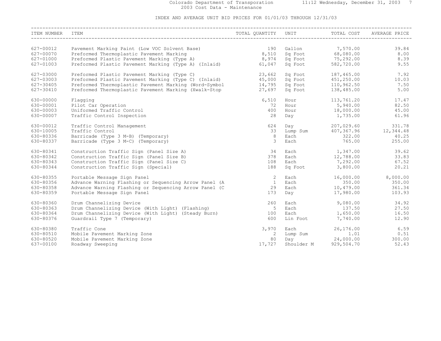#### Colorado Department of Transporation 11:12 Wednesday, December 31, 2003 7 2003 Cost Data - Maintenance

| ITEM NUMBER | ITEM                                                                                    | TOTAL QUANTITY UNIT TOTAL COST AVERAL PORT AND THE RESERVE TO THE |                                                                                                                                                                                                                               |                                                         | AVERAGE PRICE                   |
|-------------|-----------------------------------------------------------------------------------------|-------------------------------------------------------------------|-------------------------------------------------------------------------------------------------------------------------------------------------------------------------------------------------------------------------------|---------------------------------------------------------|---------------------------------|
|             |                                                                                         |                                                                   |                                                                                                                                                                                                                               |                                                         |                                 |
| 627-00012   | Pavement Marking Paint (Low VOC Solvent Base)                                           | 190                                                               |                                                                                                                                                                                                                               | Gallon 7,570.00                                         | 39.84                           |
| 627-00070   | Preformed Thermoplastic Pavement Marking<br>Preformed Plastic Pavement Marking (Type A) | 8,510                                                             |                                                                                                                                                                                                                               | Sq Foot 68,080.00<br>Sq Foot 75,292.00                  | 8.00                            |
| 627-01000   |                                                                                         | 8,974                                                             |                                                                                                                                                                                                                               |                                                         | 8.39                            |
| 627-01003   | Preformed Plastic Pavement Marking (Type A) (Inlaid)                                    | 61,047                                                            |                                                                                                                                                                                                                               | Sq Foot 582,720.00                                      | 9.55                            |
| 627-03000   | Preformed Plastic Pavement Marking (Type C)                                             | 23,662                                                            |                                                                                                                                                                                                                               | Sq Foot 187,465.00<br>Sq Foot 451,250.00                | 7.92                            |
| 627-03003   | Preformed Plastic Pavement Marking (Type C) (Inlaid) 45,000                             |                                                                   |                                                                                                                                                                                                                               |                                                         | 10.03                           |
| 627-30405   | Preformed Thermoplastic Pavement Marking (Word-Symbol 14,795                            |                                                                   |                                                                                                                                                                                                                               | Sq Foot 110,962.50                                      | 7.50                            |
| 627-30410   | Preformed Thermoplastic Pavement Marking (Xwalk-Stop 37,697                             |                                                                   |                                                                                                                                                                                                                               | Sq Foot 138,485.00                                      | 5.00                            |
| 630-00000   | Flaqqinq                                                                                | 6,510                                                             | Hour                                                                                                                                                                                                                          | 113,761.20                                              | 17.47                           |
| 630-00001   | Pilot Car Operation                                                                     | 72                                                                | Hour                                                                                                                                                                                                                          | 5,940.00                                                | 82.50                           |
| 630-00003   | Uniformed Traffic Control                                                               | 400                                                               |                                                                                                                                                                                                                               | Hour 18,000.00                                          | 45.00                           |
| 630-00007   | Traffic Control Inspection                                                              | 28                                                                | Day                                                                                                                                                                                                                           | 1,735.00                                                | 61.96                           |
| 630-00012   | Traffic Control Management                                                              | 624                                                               |                                                                                                                                                                                                                               | Day 207,029.60                                          | 331.78                          |
| 630-10005   | Traffic Control                                                                         | 33                                                                |                                                                                                                                                                                                                               |                                                         | Lump Sum 407, 367.96 12, 344.48 |
| 630-80336   | Barricade (Type 3 M-B) (Temporary)                                                      | 8                                                                 | Each                                                                                                                                                                                                                          | 322.00                                                  | 40.25                           |
| 630-80337   | Barricade (Type 3 M-C) (Temporary)                                                      | 3                                                                 | Each                                                                                                                                                                                                                          | 765.00                                                  | 255.00                          |
| 630-80341   | Construction Traffic Sign (Panel Size A)                                                | 34                                                                |                                                                                                                                                                                                                               | Each 1,347.00                                           | 39.62                           |
| 630-80342   | Construction Traffic Sign (Panel Size B)                                                | 378                                                               | Each                                                                                                                                                                                                                          |                                                         | 33.83                           |
| 630-80343   | Construction Traffic Sign (Panel Size C)                                                | 108                                                               | Each                                                                                                                                                                                                                          | $12,788.00$<br>$7,292,00$<br>7,292.00                   | 67.52                           |
| 630-80344   | Construction Traffic Sign (Special)                                                     | 188                                                               |                                                                                                                                                                                                                               | Sq Foot 3,800.00                                        | 20.21                           |
| 630-80355   | Portable Message Sign Panel                                                             | $\overline{2}$                                                    | Each                                                                                                                                                                                                                          |                                                         | 16,000.00 8,000.00              |
| 630-80356   | Advance Warning Flashing or Sequencing Arrow Panel (A                                   | $\overline{1}$                                                    | Each                                                                                                                                                                                                                          | 350.00                                                  | 350.00                          |
| 630-80358   | Advance Warning Flashing or Sequencing Arrow Panel (C                                   | 29                                                                | Each                                                                                                                                                                                                                          | 10,479.00                                               | 361.34                          |
| 630-80359   | Portable Message Sign Panel                                                             | 173                                                               | Day and the basic control of the basic control of the basic control of the basic control of the basic control of the basic control of the basic control of the basic control of the basic control of the basic control of the | 17,980.00                                               | 103.93                          |
| 630-80360   | Drum Channelizing Device                                                                | 260                                                               | Each                                                                                                                                                                                                                          | 9,080.00                                                | 34.92                           |
| 630-80363   | Drum Channelizing Device (With Light) (Flashing)                                        | $5^{\circ}$                                                       | Each                                                                                                                                                                                                                          | 137.50                                                  | 27.50                           |
| 630-80364   | Drum Channelizing Device (With Light) (Steady Burn)                                     | 100                                                               | Each                                                                                                                                                                                                                          | 1,650.00                                                | 16.50                           |
| 630-80376   | Guardrail Type 7 (Temporary)                                                            | 600                                                               | Lin Foot                                                                                                                                                                                                                      | 7,740.00                                                | 12.90                           |
| 630-80380   | Traffic Cone                                                                            | 3,970                                                             | Each                                                                                                                                                                                                                          | 26,176.00                                               | 6.59                            |
| 630-80510   | Mobile Pavement Marking Zone                                                            | $\overline{2}$                                                    |                                                                                                                                                                                                                               |                                                         | 0.51                            |
| 630-80520   | Mobile Pavement Marking Zone                                                            | 80                                                                |                                                                                                                                                                                                                               |                                                         | 300.00                          |
| 637-00100   | Roadway Sweeping                                                                        | 17,727                                                            |                                                                                                                                                                                                                               | Lump Sum 1.01<br>Day 24,000.00<br>Shoulder M 929,504.70 | 52.43                           |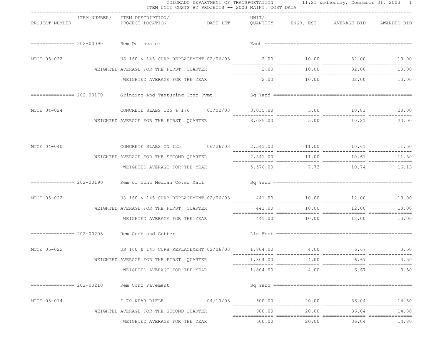|                           |                                                                       | COLORADO DEPARTMENT OF TRANSPORTATION 11:21 Wednesday, December 31, 2003 1<br>ITEM UNIT COSTS BY PROJECTS -- 2003 MAINT. COST DATA<br>----------------------------- |          |       |                                   |       |
|---------------------------|-----------------------------------------------------------------------|---------------------------------------------------------------------------------------------------------------------------------------------------------------------|----------|-------|-----------------------------------|-------|
| PROJECT NUMBER            | ITEM NUMBER/ ITEM DESCRIPTION/<br>PROJECT LOCATION                    | DATE LET    QUANTITY    ENGR. EST.    AVERAGE BID    AWARDED BID                                                                                                    | UNIT/    |       |                                   |       |
|                           | ============== 202-00090 Rem Delineator                               |                                                                                                                                                                     |          |       |                                   |       |
| MTCE 05-022               |                                                                       |                                                                                                                                                                     |          |       |                                   |       |
|                           | WEIGHTED AVERAGE FOR THE FIRST QUARTER                                |                                                                                                                                                                     | 2.00     | 10.00 | 32.00                             | 10.00 |
|                           | WEIGHTED AVERAGE FOR THE YEAR                                         |                                                                                                                                                                     |          |       | $2.00$ $10.00$ $32.00$ $10.00$    |       |
|                           |                                                                       |                                                                                                                                                                     |          |       |                                   |       |
| MTCE 04-024               | CONCRETE SLABS I25 & I76 01/02/03 3,035.00 5.00 10.81 20.00           |                                                                                                                                                                     |          |       |                                   |       |
|                           | WEIGHTED AVERAGE FOR THE FIRST QUARTER                                |                                                                                                                                                                     |          |       | $3,035.00$ $5.00$ $10.81$ $20.00$ |       |
| MTCE 04-040               | CONCRETE SLABS ON I25 $06/26/03$ 2,541.00 11.00 10.61 11.50           |                                                                                                                                                                     |          |       |                                   |       |
|                           | WEIGHTED AVERAGE FOR THE SECOND QUARTER                               |                                                                                                                                                                     | 2,541.00 | 11.00 | 10.61                             | 11.50 |
|                           | WEIGHTED AVERAGE FOR THE YEAR                                         |                                                                                                                                                                     |          |       | 5,576.00 7.73 10.74 16.13         |       |
|                           |                                                                       |                                                                                                                                                                     |          |       |                                   |       |
| MTCE 05-022               | US 160 & 145 CURB REPLACEMENT 02/06/03 441.00 10.00 12.00 12.00 13.00 |                                                                                                                                                                     |          |       |                                   |       |
|                           | WEIGHTED AVERAGE FOR THE FIRST QUARTER                                |                                                                                                                                                                     |          |       |                                   |       |
|                           | WEIGHTED AVERAGE FOR THE YEAR                                         |                                                                                                                                                                     |          |       | $441.00$ $10.00$ $12.00$ $13.00$  |       |
|                           | ============== 202-00203 Rem Curb and Gutter                          |                                                                                                                                                                     |          |       |                                   |       |
| MTCE 05-022               | US 160 & 145 CURB REPLACEMENT 02/06/03 1,804.00 4.00 6.67 6.67 3.50   |                                                                                                                                                                     |          |       |                                   |       |
|                           | WEIGHTED AVERAGE FOR THE FIRST OUARTER                                |                                                                                                                                                                     |          |       | 1,804.00 4.00 6.67                | 3.50  |
|                           | WEIGHTED AVERAGE FOR THE YEAR                                         |                                                                                                                                                                     | 1,804.00 | 4.00  | 6.67                              | 3.50  |
| $============= 202-00210$ | Rem Conc Pavement                                                     |                                                                                                                                                                     |          |       |                                   |       |
| MTCE 03-014               | I 70 NEAR RIFLE                                                       | 04/10/03                                                                                                                                                            | 600.00   | 20.00 | 36.04                             | 14.80 |
|                           | WEIGHTED AVERAGE FOR THE SECOND QUARTER                               |                                                                                                                                                                     | 600.00   | 20.00 | 36.04                             | 14.80 |
|                           | WEIGHTED AVERAGE FOR THE YEAR                                         |                                                                                                                                                                     | 600.00   | 20.00 | 36.04                             | 14.80 |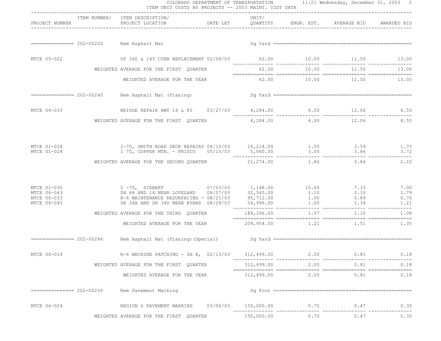|                                                          | COLORADO DEPARTMENT OF TRANSPORTATION 11:21 Wednesday, December 31, 2003 2<br>ITEM UNIT COSTS BY PROJECTS -- 2003 MAINT. COST DATA       |                     |      |                         |                              |
|----------------------------------------------------------|------------------------------------------------------------------------------------------------------------------------------------------|---------------------|------|-------------------------|------------------------------|
| PROJECT NUMBER                                           | ----------------------------------<br>ITEM NUMBER/ ITEM DESCRIPTION/<br>PROJECT LOCATION <b>DATE LET</b> QUANTITY ENGR. EST. AVERAGE BID | UNIT/               |      |                         | AWARDED BID                  |
|                                                          | ============== 202-00220 Rem Asphalt Mat                                                                                                 |                     |      |                         |                              |
| MTCE 05-022                                              | US 160 & 145 CURB REPLACEMENT 02/06/03 62.00 10.00 11.50 13.00                                                                           |                     |      |                         |                              |
|                                                          | WEIGHTED AVERAGE FOR THE FIRST QUARTER                                                                                                   |                     |      | 62.00 10.00 11.50       | 13.00                        |
|                                                          | WEIGHTED AVERAGE FOR THE YEAR                                                                                                            |                     |      | 62.00 10.00 11.50 13.00 |                              |
|                                                          |                                                                                                                                          |                     |      |                         |                              |
| MTCE 04-033                                              |                                                                                                                                          |                     |      |                         |                              |
|                                                          | WEIGHTED AVERAGE FOR THE FIRST QUARTER $4,284.00$ $4.00$ $12.06$                                                                         |                     |      |                         | 8.55                         |
| MTCE 01-028<br>MTCE 01-024                               | I-70, SMITH ROAD DECK REPAIRS 04/10/03 16,214.00 1.50 2.59 1.75<br>3.72 1 70, COPPER MTN. - FRISCO $0.5/15/03$ 5,060.00 3.00 3.84 3.72   |                     |      |                         | 3.72                         |
|                                                          | WEIGHTED AVERAGE FOR THE SECOND QUARTER $21,274.00$ $1.86$ $2.84$                                                                        |                     |      |                         | 2.22                         |
| MTCE 01-030<br>MTCE 04-043<br>MTCE 06-033<br>MTCE 04-045 |                                                                                                                                          |                     |      |                         | 7.00<br>1.79<br>0.70<br>1.21 |
|                                                          |                                                                                                                                          |                     |      |                         |                              |
|                                                          |                                                                                                                                          |                     |      |                         |                              |
|                                                          |                                                                                                                                          |                     |      |                         |                              |
| MTCE 06-014                                              | R-6 MACHINE PATCHING - SH 8, 02/13/03 312,499.00                                                                                         |                     | 2.00 | 0.81                    | 0.18                         |
|                                                          | WEIGHTED AVERAGE FOR THE FIRST QUARTER                                                                                                   | 312,499.00          | 2.00 | 0.81                    | 0.18                         |
|                                                          | WEIGHTED AVERAGE FOR THE YEAR                                                                                                            | 312,499.00          | 2.00 | 0.81                    | 0.18                         |
| ================ 202-00250                               | Rem Pavement Marking                                                                                                                     |                     |      |                         |                              |
| MTCE 06-024                                              | REGION 6 PAVEMENT MARKING                                                                                                                | 03/06/03 150,000.00 |      | 0.75<br>0.47            | 0.35                         |
|                                                          | WEIGHTED AVERAGE FOR THE FIRST QUARTER                                                                                                   | 150,000.00          | 0.75 | 0.47                    | 0.35                         |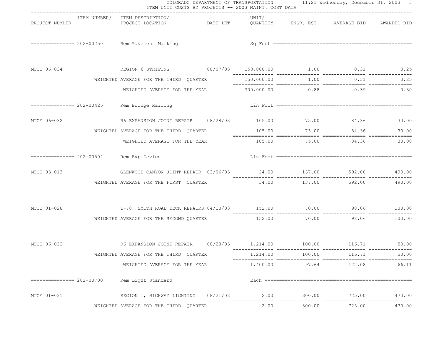|                              | ITEM UNIT COSTS BY PROJECTS -- 2003 MAINT. COST DATA                                                           |               |        |                             |        |
|------------------------------|----------------------------------------------------------------------------------------------------------------|---------------|--------|-----------------------------|--------|
| PROJECT NUMBER               | ITEM NUMBER/ ITEM DESCRIPTION/<br>PROJECT LOCATION <b>DATE LET</b> QUANTITY ENGR. EST. AVERAGE BID AWARDED BID | UNIT/         |        |                             |        |
|                              |                                                                                                                |               |        |                             |        |
| MTCE 06-034                  | REGION 6 STRIPING 08/07/03 150,000.00 1.00 0.31 0.25                                                           |               |        |                             |        |
|                              | WEIGHTED AVERAGE FOR THE THIRD QUARTER                                                                         |               |        | $1.00$ 0.31 0.25            |        |
|                              | WEIGHTED AVERAGE FOR THE YEAR                                                                                  |               |        | $300,000.00$ 0.88 0.39 0.30 |        |
|                              | ============== 202-00425 Rem Bridge Railing                                                                    |               |        |                             |        |
| MTCE 06-032                  |                                                                                                                | ------------- |        |                             | 30.00  |
|                              | WEIGHTED AVERAGE FOR THE THIRD QUARTER                                                                         | 105.00        | 75.00  | 84.36                       | 30.00  |
|                              | WEIGHTED AVERAGE FOR THE YEAR 105.00 75.00 84.36                                                               |               |        |                             | 30.00  |
|                              | ============== 202-00504 Rem Exp Device                                                                        |               |        |                             |        |
| MTCE 03-013                  | GLENWOOD CANYON JOINT REPAIR 03/06/03 34.00 137.00 592.00 990.00                                               |               |        |                             |        |
|                              | WEIGHTED AVERAGE FOR THE FIRST QUARTER                                                                         |               |        | 34.00 137.00 592.00         | 490.00 |
| MTCE 01-028                  | 100.00 98.06 98.06 PECK REPAIRS 04/10/03 152.00 70.00 98.06 100.00                                             |               |        |                             |        |
|                              | WEIGHTED AVERAGE FOR THE SECOND QUARTER                                                                        | 152.00        |        | 70.00 98.06 100.00          |        |
| MTCE 06-032                  |                                                                                                                |               |        |                             |        |
|                              | WEIGHTED AVERAGE FOR THE THIRD QUARTER                                                                         | 1,214.00      | 100.00 | 116.71                      | 50.00  |
|                              | WEIGHTED AVERAGE FOR THE YEAR                                                                                  | 1,400.00      | 97.64  | 122.08                      | 66.11  |
| $============== = 202-00700$ | Rem Light Standard                                                                                             |               |        |                             |        |
| MTCE 01-031                  | REGION 1, HIGHWAY LIGHTING 08/21/03                                                                            | 2.00          | 300.00 | 725.00                      | 470.00 |
|                              | WEIGHTED AVERAGE FOR THE THIRD QUARTER                                                                         | 2.00          | 300.00 | 725.00                      | 470.00 |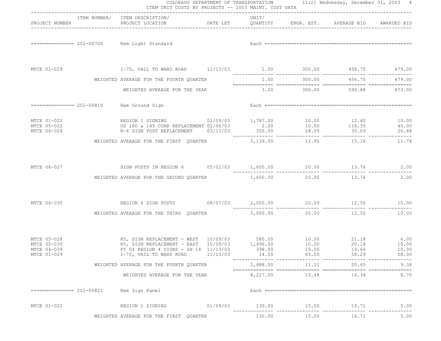|                                                          |                           | ITEM NUMBER/ ITEM DESCRIPTION/                                                                                                                                                                                          |          | UNIT/    |       |                           |                                     |
|----------------------------------------------------------|---------------------------|-------------------------------------------------------------------------------------------------------------------------------------------------------------------------------------------------------------------------|----------|----------|-------|---------------------------|-------------------------------------|
| PROJECT NUMBER                                           |                           | PROJECT LOCATION DATE LET QUANTITY ENGR. EST.                                                                                                                                                                           |          |          |       | AVERAGE BID AWARDED BID   |                                     |
|                                                          |                           | ============== 202-00700 Rem Light Standard                                                                                                                                                                             |          |          |       |                           |                                     |
|                                                          |                           |                                                                                                                                                                                                                         |          |          |       |                           |                                     |
|                                                          |                           | WEIGHTED AVERAGE FOR THE FOURTH QUARTER                                                                                                                                                                                 |          | 1.00     |       | 300.00 456.75             | 479.00                              |
|                                                          |                           | WEIGHTED AVERAGE FOR THE YEAR                                                                                                                                                                                           |          |          |       | 3.00 300.00 590.88 473.00 |                                     |
|                                                          | =============== 202-00810 | Rem Ground Sign                                                                                                                                                                                                         |          |          |       |                           |                                     |
| MTCE 01-022<br>MTCE 05-022<br>MTCE 06-026                |                           | REGION 1 SIGNING 01/09/03 1,787.00 10.00 12.60<br>US 160 & 145 CURB REPLACEMENT 02/06/03<br>R-6 SIGN POST REPLACEMENT 03/13/03 350.00 28.00 30.03                                                                       |          |          |       |                           | 10.00<br>40.00<br>20.48             |
|                                                          |                           | WEIGHTED AVERAGE FOR THE FIRST QUARTER                                                                                                                                                                                  |          | 2,139.00 |       | 12.95 15.18               | 11.74                               |
| MTCE 06-027                                              |                           | SIGN POSTS IN REGION 6 $05/01/03$ 1,600.00 $20.00$ 13.76 $2.00$<br>WEIGHTED AVERAGE FOR THE SECOND QUARTER                                                                                                              |          | 1,600.00 | 20.00 | 13.76                     | 2.00                                |
| MTCE 06-035                                              |                           | REGION 6 SIGN POSTS 08/07/03 2,000.00 20.00 20.00 12.50                                                                                                                                                                 |          |          |       |                           | 10.00                               |
|                                                          |                           | WEIGHTED AVERAGE FOR THE THIRD QUARTER $2,000.00$ 20.00 20.00 12.50                                                                                                                                                     |          |          |       |                           | 10.00                               |
| MTCE 05-028<br>MTCE 05-030<br>MTCE 04-039<br>MTCE 01-029 |                           | R5, SIGN REPLACEMENT - WEST 10/09/03 580.00 10.00 10.00 21.18<br>R5, SIGN REPLACEMENT - EAST 10/09/03 1,496.00 10.00 10.00 20.18<br>FY 04 REGION 4 SIGNS - SH 14 11/13/03 398.00 15.00 19.66<br>I-70, VAIL TO WARD ROAD | 11/13/03 | 14.00    | 65.00 | 58.29                     | $6.00$<br>$10.00$<br>10.00<br>58.00 |
|                                                          |                           | WEIGHTED AVERAGE FOR THE FOURTH QUARTER                                                                                                                                                                                 |          | 2,488.00 | 11.11 | 20.45                     | 9.34                                |
|                                                          |                           | WEIGHTED AVERAGE FOR THE YEAR                                                                                                                                                                                           |          | 8,227.00 | 15.48 | 16.34                     | 8.70                                |
|                                                          |                           | Rem Sign Panel                                                                                                                                                                                                          |          |          |       |                           |                                     |
| MTCE 01-022                                              |                           | REGION 1 SIGNING                                                                                                                                                                                                        | 01/09/03 | 130.00   | 15.00 | 16.71                     | 5.00                                |
|                                                          |                           | WEIGHTED AVERAGE FOR THE FIRST QUARTER                                                                                                                                                                                  |          | 130.00   | 15.00 | 16.71                     | 5.00                                |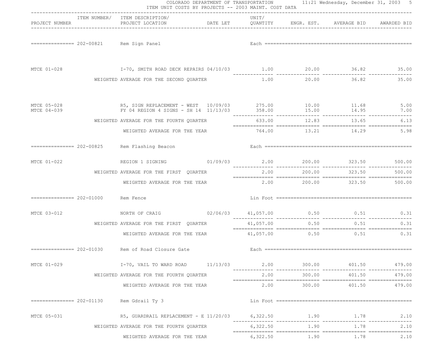|                            |                                    | ITEM UNIT COSTS BY PROJECTS -- 2003 MAINT. COST DATA<br>----------------------------------                                    |           |                    |                                   |               |
|----------------------------|------------------------------------|-------------------------------------------------------------------------------------------------------------------------------|-----------|--------------------|-----------------------------------|---------------|
| PROJECT NUMBER             |                                    | ITEM NUMBER/ ITEM DESCRIPTION/<br>PROJECT LOCATION <b>DATE LET</b> QUANTITY ENGR. EST. AVERAGE BID AWARDED BID                | UNIT/     |                    |                                   |               |
|                            |                                    | ============== 202-00821 Rem Sign Panel                                                                                       |           |                    |                                   |               |
| MTCE 01-028                |                                    | 1.00 16.82 35.00 36.82 1.00 20.00 1.00 20.00 I-100 ECK REPAIRS 04/10/03                                                       |           |                    |                                   |               |
|                            |                                    | WEIGHTED AVERAGE FOR THE SECOND OUARTER                                                                                       |           |                    | 1.00 20.00 36.82                  | 35.00         |
| MTCE 05-028<br>MTCE 04-039 |                                    | R5, SIGN REPLACEMENT - WEST 10/09/03 275.00 10.00 11.68 5.00<br>FY 04 REGION 4 SIGNS - SH 14 11/13/03 358.00 15.00 14.95 7.00 |           |                    |                                   |               |
|                            |                                    | WEIGHTED AVERAGE FOR THE FOURTH QUARTER                                                                                       |           |                    | 633.00 12.83 13.65 6.13           |               |
|                            |                                    | WEIGHTED AVERAGE FOR THE YEAR $764.00$ 13.21 14.29 5.98                                                                       |           |                    |                                   |               |
|                            |                                    | ============== 202-00825 Rem Flashing Beacon                                                                                  |           |                    |                                   |               |
| MTCE 01-022                |                                    | REGION 1 SIGNING 01/09/03 2.00 200.00 323.50                                                                                  |           |                    |                                   | 500.00        |
|                            |                                    | WEIGHTED AVERAGE FOR THE FIRST QUARTER                                                                                        | 2.00      | 200.00             | 323.50                            | 500.00        |
|                            |                                    | WEIGHTED AVERAGE FOR THE YEAR                                                                                                 |           |                    | $2.00$ $200.00$ $323.50$ $500.00$ |               |
|                            | ============== 202-01000 Rem Fence |                                                                                                                               |           |                    |                                   |               |
| MTCE 03-012                |                                    | NORTH OF CRAIG $02/06/03$ 41,057.00 0.50 0.51 0.31                                                                            |           |                    |                                   |               |
|                            |                                    | WEIGHTED AVERAGE FOR THE FIRST QUARTER                                                                                        | 41,057.00 | 0.50               | 0.51                              | 0.31          |
|                            |                                    | WEIGHTED AVERAGE FOR THE YEAR $41,057.00$ 0.50 0.51 0.31 0.31                                                                 |           |                    |                                   |               |
|                            |                                    |                                                                                                                               |           |                    |                                   |               |
| MTCE 01-029                |                                    | I-70, VAIL TO WARD ROAD $11/13/03$ $2.00$ $300.00$ $401.50$ $479.00$                                                          |           |                    |                                   |               |
|                            |                                    | WEIGHTED AVERAGE FOR THE FOURTH QUARTER                                                                                       | 2.00      | 300.00             |                                   | 401.50 479.00 |
|                            |                                    | WEIGHTED AVERAGE FOR THE YEAR                                                                                                 | 2.00      |                    | 300.00 401.50                     | 479.00        |
|                            | ===================== 202-01130    | Rem Gdrail Ty 3                                                                                                               |           |                    |                                   |               |
| MTCE 05-031                |                                    |                                                                                                                               |           |                    |                                   |               |
|                            |                                    | WEIGHTED AVERAGE FOR THE FOURTH QUARTER                                                                                       |           | 6,322.50 1.90      | 1.78                              | 2.10          |
|                            |                                    | WEIGHTED AVERAGE FOR THE YEAR                                                                                                 |           | 6,322.50 1.90 1.78 |                                   | 2.10          |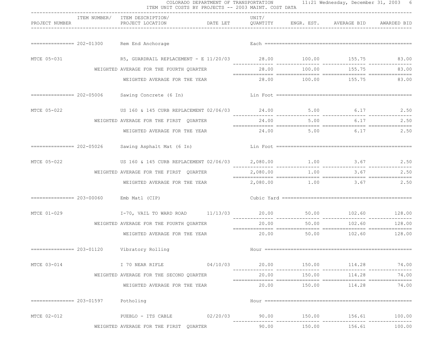|                | COLORADO DEPARTMENT OF TRANSPORTATION 11:21 Wednesday, December 31, 2003 6<br>ITEM UNIT COSTS BY PROJECTS -- 2003 MAINT. COST DATA<br>------------------------------ |                                                                     |                                                      |       |        |                                                                                                                                                                                                                                                                                                                                                                                                                                                                                                           |                               |  |
|----------------|----------------------------------------------------------------------------------------------------------------------------------------------------------------------|---------------------------------------------------------------------|------------------------------------------------------|-------|--------|-----------------------------------------------------------------------------------------------------------------------------------------------------------------------------------------------------------------------------------------------------------------------------------------------------------------------------------------------------------------------------------------------------------------------------------------------------------------------------------------------------------|-------------------------------|--|
| PROJECT NUMBER |                                                                                                                                                                      | ITEM NUMBER/ ITEM DESCRIPTION/<br>PROJECT LOCATION                  | DATE LET QUANTITY ENGR. EST. AVERAGE BID AWARDED BID | UNIT/ |        |                                                                                                                                                                                                                                                                                                                                                                                                                                                                                                           |                               |  |
|                |                                                                                                                                                                      | ============== 202-01300 Rem End Anchorage                          |                                                      |       |        |                                                                                                                                                                                                                                                                                                                                                                                                                                                                                                           |                               |  |
| MTCE 05-031    |                                                                                                                                                                      | R5, GUARDRAIL REPLACEMENT - E 11/20/03 28.00 100.00 155.75 83.00    |                                                      |       |        |                                                                                                                                                                                                                                                                                                                                                                                                                                                                                                           |                               |  |
|                |                                                                                                                                                                      | WEIGHTED AVERAGE FOR THE FOURTH QUARTER                             |                                                      |       |        | 28.00 100.00 155.75                                                                                                                                                                                                                                                                                                                                                                                                                                                                                       | 83.00                         |  |
|                |                                                                                                                                                                      | WEIGHTED AVERAGE FOR THE YEAR                                       |                                                      |       |        | 28.00 100.00 155.75 83.00                                                                                                                                                                                                                                                                                                                                                                                                                                                                                 |                               |  |
|                |                                                                                                                                                                      | ============== 202-05006 Sawing Concrete (6 In)                     |                                                      |       |        |                                                                                                                                                                                                                                                                                                                                                                                                                                                                                                           |                               |  |
| MTCE 05-022    |                                                                                                                                                                      | US 160 & 145 CURB REPLACEMENT 02/06/03 24.00 5.00 6.17 2.50         |                                                      |       |        |                                                                                                                                                                                                                                                                                                                                                                                                                                                                                                           |                               |  |
|                |                                                                                                                                                                      | WEIGHTED AVERAGE FOR THE FIRST QUARTER                              |                                                      | 24.00 |        | 5.00 6.17                                                                                                                                                                                                                                                                                                                                                                                                                                                                                                 | 2.50                          |  |
|                |                                                                                                                                                                      | WEIGHTED AVERAGE FOR THE YEAR                                       |                                                      |       |        | $24.00$ 5.00 6.17 2.50                                                                                                                                                                                                                                                                                                                                                                                                                                                                                    |                               |  |
|                |                                                                                                                                                                      | ============== 202-05026 Sawing Asphalt Mat (6 In)                  |                                                      |       |        |                                                                                                                                                                                                                                                                                                                                                                                                                                                                                                           |                               |  |
| MTCE 05-022    |                                                                                                                                                                      | US 160 & 145 CURB REPLACEMENT 02/06/03 2,080.00 1.00 3.67 3.67 2.50 |                                                      |       |        |                                                                                                                                                                                                                                                                                                                                                                                                                                                                                                           |                               |  |
|                |                                                                                                                                                                      | WEIGHTED AVERAGE FOR THE FIRST QUARTER                              |                                                      |       |        | 2,080.00 1.00 3.67                                                                                                                                                                                                                                                                                                                                                                                                                                                                                        | 2.50                          |  |
|                |                                                                                                                                                                      | WEIGHTED AVERAGE FOR THE YEAR                                       |                                                      |       |        | 2,080.00 1.00 3.67 2.50                                                                                                                                                                                                                                                                                                                                                                                                                                                                                   |                               |  |
|                | $=$ = = = = = = = = = = 203-00060 Emb Matl (CIP)                                                                                                                     |                                                                     |                                                      |       |        |                                                                                                                                                                                                                                                                                                                                                                                                                                                                                                           |                               |  |
| MTCE 01-029    |                                                                                                                                                                      | I-70, VAIL TO WARD ROAD 11/13/03 20.00 50.00 102.60 128.00          |                                                      |       |        |                                                                                                                                                                                                                                                                                                                                                                                                                                                                                                           |                               |  |
|                |                                                                                                                                                                      | WEIGHTED AVERAGE FOR THE FOURTH QUARTER                             |                                                      | 20.00 | 50.00  | 102.60<br>$\begin{minipage}{0.03\textwidth} \begin{tabular}{l} \textbf{0.04\textwidth} \begin{tabular}{l} \textbf{0.04\textwidth} \begin{tabular}{l} \textbf{0.04\textwidth} \begin{tabular}{l} \textbf{0.04\textwidth} \begin{tabular}{l} \textbf{0.04\textwidth} \begin{tabular}{l} \textbf{0.04\textwidth} \begin{tabular}{l} \textbf{0.04\textwidth} \begin{tabular}{l} \textbf{0.04\textwidth} \begin{tabular}{l} \textbf{0.04\textwidth} \begin{tabular}{l} \textbf{0.04\textwidth} \begin{tabular$ | 128.00                        |  |
|                |                                                                                                                                                                      | WEIGHTED AVERAGE FOR THE YEAR                                       |                                                      |       |        | $20.00$ 50.00 $102.60$ 128.00                                                                                                                                                                                                                                                                                                                                                                                                                                                                             |                               |  |
|                |                                                                                                                                                                      | ============== 203-01120    Vibratory Rolling                       |                                                      |       |        |                                                                                                                                                                                                                                                                                                                                                                                                                                                                                                           |                               |  |
| MTCE 03-014    |                                                                                                                                                                      | I 70 NEAR RIFLE 04/10/03                                            |                                                      |       |        | $20.00$ $150.00$ $114.28$ $114.29$                                                                                                                                                                                                                                                                                                                                                                                                                                                                        | 74.00                         |  |
|                |                                                                                                                                                                      | WEIGHTED AVERAGE FOR THE SECOND QUARTER                             |                                                      | 20.00 | 150.00 | 114.28                                                                                                                                                                                                                                                                                                                                                                                                                                                                                                    | 74.00                         |  |
|                |                                                                                                                                                                      | WEIGHTED AVERAGE FOR THE YEAR                                       |                                                      |       |        |                                                                                                                                                                                                                                                                                                                                                                                                                                                                                                           | 74.00                         |  |
|                | $=$ ============== 203-01597 Potholing                                                                                                                               |                                                                     |                                                      |       |        |                                                                                                                                                                                                                                                                                                                                                                                                                                                                                                           |                               |  |
| MTCE 02-012    |                                                                                                                                                                      | PUEBLO - ITS CABLE 02/20/03 90.00 150.00 156.61 100.00              |                                                      |       |        |                                                                                                                                                                                                                                                                                                                                                                                                                                                                                                           | . _ _ _ _ _ _ _ _ _ _ _ _ _ _ |  |
|                |                                                                                                                                                                      | WEIGHTED AVERAGE FOR THE FIRST QUARTER                              |                                                      | 90.00 | 150.00 | 156.61                                                                                                                                                                                                                                                                                                                                                                                                                                                                                                    | 100.00                        |  |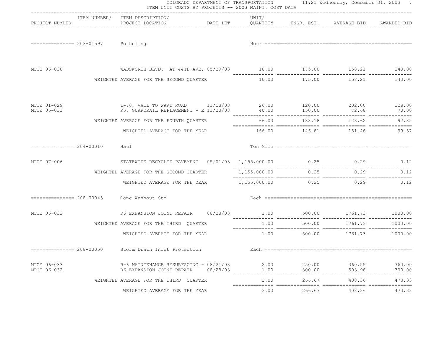|                                    | COLORADO DEPARTMENT OF TRANSPORTATION 11:21 Wednesday, December 31, 2003 7<br>ITEM UNIT COSTS BY PROJECTS -- 2003 MAINT. COST DATA |          |              |                  |                                 |                  |
|------------------------------------|------------------------------------------------------------------------------------------------------------------------------------|----------|--------------|------------------|---------------------------------|------------------|
| PROJECT NUMBER                     | ITEM NUMBER/ ITEM DESCRIPTION/<br>PROJECT LOCATION <b>DATE LET</b> QUANTITY ENGR. EST. AVERAGE BID AWARDED BID                     | UNIT/    |              |                  |                                 |                  |
| ============== 203-01597 Potholing |                                                                                                                                    |          |              |                  |                                 |                  |
| MTCE 06-030                        | WADSWORTH BLVD. AT 44TH AVE. 05/29/03 10.00 175.00 158.21 140.00                                                                   |          |              |                  |                                 |                  |
|                                    | WEIGHTED AVERAGE FOR THE SECOND QUARTER                                                                                            |          |              |                  | 10.00 175.00 158.21 140.00      |                  |
| MTCE 01-029<br>MTCE 05-031         | I-70, VAIL TO WARD ROAD 11/13/03 26.00 120.00 202.00 128.00<br>R5, GUARDRAIL REPLACEMENT - E 11/20/03                              |          |              | 40.00    150.00  | 72.68                           | 70.00            |
|                                    | WEIGHTED AVERAGE FOR THE FOURTH QUARTER                                                                                            |          |              |                  | 66.00 138.18 123.62             | 92.85            |
|                                    | WEIGHTED AVERAGE FOR THE YEAR                                                                                                      |          |              |                  | 166.00 146.81 151.46 99.57      |                  |
| $============= 204-00010$          | Haul                                                                                                                               |          |              |                  |                                 |                  |
| MTCE 07-006                        | STATEWIDE RECYCLED PAVEMENT  05/01/03  1,155,000.00  0.25  0.29  0.29  0.12                                                        |          |              |                  |                                 |                  |
|                                    | WEIGHTED AVERAGE FOR THE SECOND QUARTER $1,155,000.00$ $0.25$ 0.25 0.29                                                            |          |              |                  |                                 | 0.12             |
|                                    | WEIGHTED AVERAGE FOR THE YEAR $1,155,000.00$ $0.25$ 0.29 0.29 0.12                                                                 |          |              |                  |                                 |                  |
|                                    | ============== 208-00045 Conc Washout Str                                                                                          |          |              |                  |                                 |                  |
| MTCE 06-032                        |                                                                                                                                    |          |              |                  |                                 |                  |
|                                    | WEIGHTED AVERAGE FOR THE THIRD QUARTER                                                                                             |          | 1.00         | 500.00           | 1761.73                         | 1000.00          |
|                                    | WEIGHTED AVERAGE FOR THE YEAR                                                                                                      |          |              |                  | $1.00$ 500.00 $1761.73$ 1000.00 |                  |
|                                    | ============== 208-00050 Storm Drain Inlet Protection                                                                              |          |              |                  |                                 |                  |
| MTCE 06-033<br>MTCE 06-032         | R-6 MAINTENANCE RESURFACING - 08/21/03<br>R6 EXPANSION JOINT REPAIR                                                                | 08/28/03 | 2.00<br>1.00 | 250.00<br>300.00 | 360.55<br>503.98                | 360.00<br>700.00 |
|                                    | WEIGHTED AVERAGE FOR THE THIRD QUARTER                                                                                             |          | 3.00         | 266.67           | 408.36                          | .<br>473.33      |
|                                    | WEIGHTED AVERAGE FOR THE YEAR                                                                                                      |          | 3.00         | 266.67           | 408.36                          | 473.33           |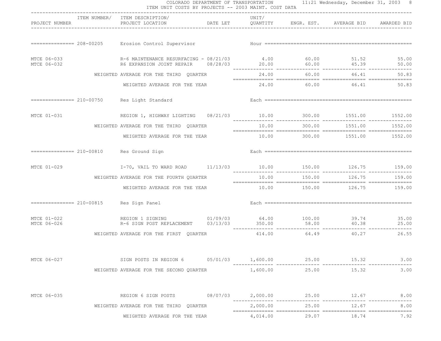|                            | COLORADO DEPARTMENT OF TRANSPORTATION 11:21 Wednesday, December 31, 2003 8<br>ITEM UNIT COSTS BY PROJECTS -- 2003 MAINT. COST DATA<br>------------------------------ |                                                                                                                                       |  |          |              |                                                                                                                                                                                                                               |         |  |
|----------------------------|----------------------------------------------------------------------------------------------------------------------------------------------------------------------|---------------------------------------------------------------------------------------------------------------------------------------|--|----------|--------------|-------------------------------------------------------------------------------------------------------------------------------------------------------------------------------------------------------------------------------|---------|--|
| PROJECT NUMBER             |                                                                                                                                                                      | ITEM NUMBER/ ITEM DESCRIPTION/<br>PROJECT LOCATION                                                                                    |  | UNIT/    |              | DATE LET OUANTITY ENGR. EST. AVERAGE BID AWARDED BID                                                                                                                                                                          |         |  |
|                            |                                                                                                                                                                      | ============== 208-00205 Erosion Control Supervisor                                                                                   |  |          |              |                                                                                                                                                                                                                               |         |  |
| MTCE 06-033<br>MTCE 06-032 |                                                                                                                                                                      | R-6 MAINTENANCE RESURFACING - 08/21/03 4.00 60.00 51.52 55.00                                                                         |  |          |              |                                                                                                                                                                                                                               |         |  |
|                            |                                                                                                                                                                      | WEIGHTED AVERAGE FOR THE THIRD QUARTER                                                                                                |  |          |              | 24.00 60.00 46.41                                                                                                                                                                                                             | 50.83   |  |
|                            |                                                                                                                                                                      | WEIGHTED AVERAGE FOR THE YEAR                                                                                                         |  |          |              | 24.00 60.00 46.41                                                                                                                                                                                                             | 50.83   |  |
|                            |                                                                                                                                                                      | ============== 210-00750 Res Light Standard                                                                                           |  |          |              |                                                                                                                                                                                                                               |         |  |
|                            |                                                                                                                                                                      | MTCE 01-031 6 652.00 REGION 1, HIGHWAY LIGHTING 08/21/03 10.00 300.00 1551.00 1552.00                                                 |  |          |              |                                                                                                                                                                                                                               |         |  |
|                            |                                                                                                                                                                      | WEIGHTED AVERAGE FOR THE THIRD QUARTER                                                                                                |  |          | 10.00 300.00 | 1551.00                                                                                                                                                                                                                       | 1552.00 |  |
|                            |                                                                                                                                                                      | WEIGHTED AVERAGE FOR THE YEAR                                                                                                         |  |          |              |                                                                                                                                                                                                                               |         |  |
|                            |                                                                                                                                                                      | ============== 210-00810 Res Ground Sign                                                                                              |  |          |              |                                                                                                                                                                                                                               |         |  |
| MTCE 01-029                |                                                                                                                                                                      | I-70, VAIL TO WARD ROAD 11/13/03 10.00 150.00 126.75 159.00                                                                           |  |          |              |                                                                                                                                                                                                                               |         |  |
|                            |                                                                                                                                                                      | WEIGHTED AVERAGE FOR THE FOURTH QUARTER                                                                                               |  | 10.00    | 150.00       | 126.75                                                                                                                                                                                                                        | 159.00  |  |
|                            |                                                                                                                                                                      | WEIGHTED AVERAGE FOR THE YEAR                                                                                                         |  |          |              | $10.00$ $150.00$ $126.75$ $159.00$                                                                                                                                                                                            |         |  |
|                            |                                                                                                                                                                      | ============== 210-00815 Res Sign Panel                                                                                               |  |          |              |                                                                                                                                                                                                                               |         |  |
| MTCE 01-022<br>MTCE 06-026 |                                                                                                                                                                      | REGION 1 SIGNING 01/09/03 64.00 100.00 39.74 35.00<br>R-6 SIGN POST REPLACEMENT 03/13/03 350.00 58.00 40.38 25.00<br>REGION 1 SIGNING |  |          |              | 25.00    40.38    40.38    40.38    40.38    40.38    40.38    40.38    40.38    40.38    40.38    40.38    40.38    40.38    40.38    40.38    40.38    40.38    40.38    40.58    40.58    40.58    40.58    40.58    40.58 |         |  |
|                            |                                                                                                                                                                      | WEIGHTED AVERAGE FOR THE FIRST QUARTER                                                                                                |  |          | 414.00 64.49 | 40.27                                                                                                                                                                                                                         | 26.55   |  |
| MTCE 06-027                |                                                                                                                                                                      | SIGN POSTS IN REGION 6 05/01/03 1,600.00                                                                                              |  |          | 25.00        | 15.32                                                                                                                                                                                                                         | 3.00    |  |
|                            |                                                                                                                                                                      | WEIGHTED AVERAGE FOR THE SECOND QUARTER                                                                                               |  | 1,600.00 | 25.00        | 15.32                                                                                                                                                                                                                         | 3.00    |  |
| MTCE 06-035                |                                                                                                                                                                      | REGION 6 SIGN POSTS 08/07/03 2,000.00 25.00 12.67                                                                                     |  |          |              |                                                                                                                                                                                                                               | 8.00    |  |
|                            |                                                                                                                                                                      | WEIGHTED AVERAGE FOR THE THIRD QUARTER                                                                                                |  | 2,000.00 | 25.00        | 12.67                                                                                                                                                                                                                         | 8.00    |  |
|                            |                                                                                                                                                                      | WEIGHTED AVERAGE FOR THE YEAR                                                                                                         |  | 4,014.00 | 29.07        | 18.74                                                                                                                                                                                                                         | 7.92    |  |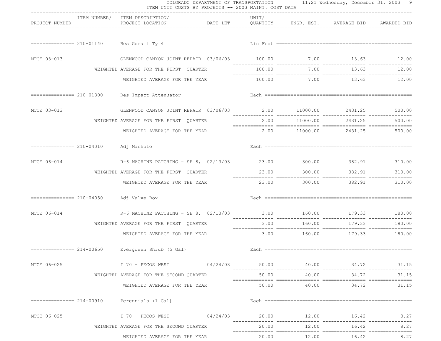|                                        | ITEM NUMBER/ ITEM DESCRIPTION/                                     | ------------------------------                                   | UNIT/          |        |                                 |        |
|----------------------------------------|--------------------------------------------------------------------|------------------------------------------------------------------|----------------|--------|---------------------------------|--------|
| PROJECT NUMBER                         | PROJECT LOCATION                                                   | DATE LET    QUANTITY    ENGR. EST.    AVERAGE BID    AWARDED BID |                |        |                                 |        |
|                                        | ============== 210-01140 Res Gdrail Ty 4                           |                                                                  |                |        |                                 |        |
| MTCE 03-013                            | GLENWOOD CANYON JOINT REPAIR 03/06/03 100.00 7.00 13.63 12.00      |                                                                  |                |        |                                 |        |
|                                        | WEIGHTED AVERAGE FOR THE FIRST QUARTER                             |                                                                  | 100.00         |        | 7.00 13.63                      | 12.00  |
|                                        | WEIGHTED AVERAGE FOR THE YEAR                                      |                                                                  |                |        | $100.00$ $7.00$ $13.63$ $12.00$ |        |
|                                        | ============== 210-01300 Res Impact Attenuator                     |                                                                  |                |        |                                 |        |
| MTCE 03-013                            | GLENWOOD CANYON JOINT REPAIR 03/06/03 2.00 11000.00 2431.25 500.00 |                                                                  |                |        |                                 |        |
|                                        | WEIGHTED AVERAGE FOR THE FIRST QUARTER                             |                                                                  | 2.00           |        | 11000.00 2431.25 500.00         |        |
|                                        | WEIGHTED AVERAGE FOR THE YEAR                                      |                                                                  |                |        | 2.00 11000.00 2431.25 500.00    |        |
|                                        | Adj Manhole                                                        |                                                                  |                |        |                                 |        |
| MTCE 06-014                            |                                                                    |                                                                  |                |        |                                 |        |
|                                        | WEIGHTED AVERAGE FOR THE FIRST QUARTER                             |                                                                  | 23.00          | 300.00 | 382.91                          | 310.00 |
|                                        | WEIGHTED AVERAGE FOR THE YEAR                                      |                                                                  |                |        | 23.00 300.00 382.91 310.00      |        |
| ============== 210-04050 Adj Valve Box |                                                                    |                                                                  |                |        |                                 |        |
| MTCE 06-014                            | R-6 MACHINE PATCHING - SH 8, 02/13/03 3.00 160.00 179.33 180.00    |                                                                  | ______________ |        | ______________                  |        |
|                                        | WEIGHTED AVERAGE FOR THE FIRST QUARTER                             |                                                                  | 3.00           | 160.00 | 179.33                          | 180.00 |
|                                        | WEIGHTED AVERAGE FOR THE YEAR                                      |                                                                  |                |        | $3.00$ 160.00 179.33 180.00     |        |
|                                        |                                                                    |                                                                  |                |        |                                 |        |
| MTCE 06-025                            | $170 - PECOS WEST$ $04/24/03$ $50.00$ $40.00$ $34.72$ $31.15$      |                                                                  |                |        |                                 |        |
|                                        | WEIGHTED AVERAGE FOR THE SECOND QUARTER                            |                                                                  | 50.00          | 40.00  | 34.72                           | 31.15  |
|                                        | WEIGHTED AVERAGE FOR THE YEAR                                      |                                                                  |                |        | $50.00$ $40.00$ $34.72$         | 31.15  |
|                                        | ============== 214-00910 Perennials (1 Gal)                        |                                                                  |                |        |                                 |        |
| MTCE 06-025                            | $I$ 70 - PECOS WEST $04/24/03$ 20.00 $12.00$ 12.00 $16.42$         |                                                                  |                |        |                                 | 8.27   |
|                                        | WEIGHTED AVERAGE FOR THE SECOND QUARTER                            |                                                                  |                |        | 20.00 12.00 16.42               | 8.27   |
|                                        | WEIGHTED AVERAGE FOR THE YEAR                                      |                                                                  |                |        | 20.00 12.00 16.42               | 8.27   |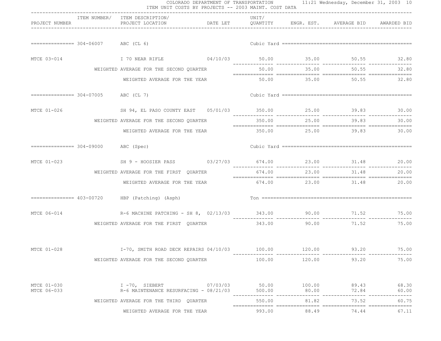| PROJECT NUMBER             |                                      | ITEM NUMBER/ ITEM DESCRIPTION/<br>PROJECT LOCATION                        DATE LET           QUANTITY         ENGR. EST.       AVERAGE BID      AWARDED BID | UNIT/  |                       |                                 |                |
|----------------------------|--------------------------------------|-------------------------------------------------------------------------------------------------------------------------------------------------------------|--------|-----------------------|---------------------------------|----------------|
|                            | $=========== = 304-06007$ ABC (CL 6) |                                                                                                                                                             |        |                       |                                 |                |
| MTCE 03-014                |                                      | I 70 NEAR RIFLE $04/10/03$ 50.00 35.00 50.55 32.80                                                                                                          |        |                       |                                 |                |
|                            |                                      | WEIGHTED AVERAGE FOR THE SECOND OUARTER                                                                                                                     |        |                       | 50.00 35.00 50.55               | 32.80          |
|                            |                                      | WEIGHTED AVERAGE FOR THE YEAR                                                                                                                               |        |                       | $50.00$ $35.00$ $50.55$ $32.80$ |                |
|                            |                                      |                                                                                                                                                             |        |                       |                                 |                |
| MTCE 01-026                |                                      | SH 94, EL PASO COUNTY EAST 05/01/03 350.00 25.00 39.83 30.00                                                                                                |        |                       |                                 |                |
|                            |                                      | WEIGHTED AVERAGE FOR THE SECOND QUARTER                                                                                                                     |        |                       | 350.00 25.00 39.83              | 30.00          |
|                            |                                      | WEIGHTED AVERAGE FOR THE YEAR                                                                                                                               |        |                       | 350.00 25.00 39.83 30.00        |                |
|                            | $=========== = 304-09000$ ABC (Spec) |                                                                                                                                                             |        |                       |                                 |                |
| MTCE 01-023                |                                      | SH 9 - HOOSIER PASS 03/27/03 674.00 23.00 31.48 20.00                                                                                                       |        |                       |                                 |                |
|                            |                                      | WEIGHTED AVERAGE FOR THE FIRST QUARTER                                                                                                                      | 674.00 | 23.00                 | 31.48                           | 20.00          |
|                            |                                      | WEIGHTED AVERAGE FOR THE YEAR                                                                                                                               |        |                       | 674.00 23.00 31.48 20.00        |                |
|                            |                                      | ============== 403-00720 HBP (Patching) (Asph)                                                                                                              |        |                       |                                 |                |
| MTCE 06-014                |                                      | R-6 MACHINE PATCHING - SH 8, 02/13/03 343.00 90.00 90.00 71.52 75.00                                                                                        |        |                       | --------                        |                |
|                            |                                      | WEIGHTED AVERAGE FOR THE FIRST QUARTER                                                                                                                      | 343.00 | 90.00                 | 71.52                           | 75.00          |
| MTCE 01-028                |                                      | I-70, SMITH ROAD DECK REPAIRS 04/10/03 100.00 120.00 120.00 93.20 75.00                                                                                     |        |                       |                                 |                |
|                            |                                      | WEIGHTED AVERAGE FOR THE SECOND OUARTER                                                                                                                     | 100.00 | 120.00                | 93.20                           | 75.00          |
| MTCE 01-030<br>MTCE 06-033 |                                      | I -70, SIEBERT 07/03/03<br>R-6 MAINTENANCE RESURFACING - 08/21/03                                                                                           | 500.00 | 50.00 100.00<br>80.00 | 89.43<br>72.84                  | 68.30<br>60.00 |
|                            |                                      | WEIGHTED AVERAGE FOR THE THIRD QUARTER                                                                                                                      | 550.00 | 81.82                 | 73.52                           | 60.75          |
|                            |                                      | WEIGHTED AVERAGE FOR THE YEAR                                                                                                                               | 993.00 | 88.49                 | 74.44                           | 67.11          |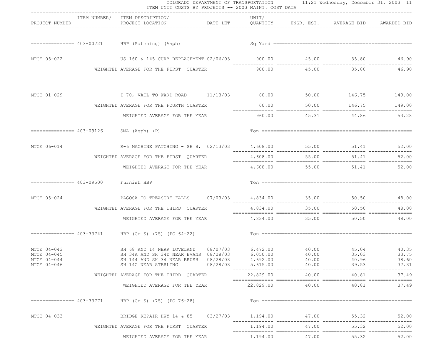|                                                          |                                       | ITEM NUMBER/ ITEM DESCRIPTION/                                                                                                                                                               | UNIT/                                       |                 |                            |                         |
|----------------------------------------------------------|---------------------------------------|----------------------------------------------------------------------------------------------------------------------------------------------------------------------------------------------|---------------------------------------------|-----------------|----------------------------|-------------------------|
| PROJECT NUMBER                                           |                                       | PROJECT LOCATION <b>DATE LET</b> QUANTITY ENGR. EST. AVERAGE BID AWARDED BID                                                                                                                 |                                             |                 |                            |                         |
|                                                          |                                       |                                                                                                                                                                                              |                                             |                 |                            |                         |
| MTCE 05-022                                              |                                       |                                                                                                                                                                                              |                                             |                 |                            |                         |
|                                                          |                                       | WEIGHTED AVERAGE FOR THE FIRST QUARTER                                                                                                                                                       |                                             |                 | 900.00 45.00 35.80 46.90   |                         |
| MTCE 01-029                                              |                                       | 199.00 146.75 149.00 196.00 146.75 149.00 146.75 149.00 146.75 149.00 150.00 146.75                                                                                                          |                                             |                 |                            |                         |
|                                                          |                                       | WEIGHTED AVERAGE FOR THE FOURTH QUARTER                                                                                                                                                      | 60.00                                       | 50.00           |                            | 146.75 149.00           |
|                                                          |                                       | WEIGHTED AVERAGE FOR THE YEAR 6 0 0 0 45.31 44.86 53.28                                                                                                                                      |                                             |                 |                            |                         |
|                                                          |                                       | $=$ ================= 403-09126 SMA (Asph) (P)                                                                                                                                               |                                             |                 |                            |                         |
| MTCE 06-014                                              |                                       | R-6 MACHINE PATCHING - SH 8, $02/13/03$ 4,608.00 55.00 51.41 52.00                                                                                                                           |                                             |                 |                            |                         |
|                                                          |                                       | WEIGHTED AVERAGE FOR THE FIRST QUARTER                                                                                                                                                       |                                             | 4,608.00 55.00  | 51.41                      | 52.00                   |
|                                                          |                                       | WEIGHTED AVERAGE FOR THE YEAR                                                                                                                                                                |                                             |                 | 4,608.00 55.00 51.41 52.00 |                         |
|                                                          | =============== 403-09500 Furnish HBP |                                                                                                                                                                                              |                                             |                 |                            |                         |
| MTCE 05-024                                              |                                       | PAGOSA TO TREASURE FALLS $07/03/03$ 4,834.00  35.00  50.50  48.00                                                                                                                            |                                             |                 |                            |                         |
|                                                          |                                       | WEIGHTED AVERAGE FOR THE THIRD QUARTER                                                                                                                                                       | 4,834.00                                    | 35.00           | 50.50                      | 48.00                   |
|                                                          |                                       | WEIGHTED AVERAGE FOR THE YEAR                                                                                                                                                                |                                             |                 | 4,834.00 35.00 50.50 48.00 |                         |
|                                                          |                                       |                                                                                                                                                                                              |                                             |                 |                            |                         |
| MTCE 04-043<br>MTCE 04-045<br>MTCE 04-044<br>MTCE 04-046 |                                       | SH 68 AND 14 NEAR LOVELAND 08/07/03 6,472.00 40.00 45.04 47.04 40.35<br>SH 34A AND SH 34D NEAR EVANS 08/28/03 6,050.00 40.00<br>SH 144 AND SH 34 NEAR BRUSH 08/28/03<br>SH 14C NEAR STERLING | 4,692.00<br>$08/28/03$ 5,615.00             | 40.00<br>40.00  | 35.03<br>40.96<br>39.53    | 33.75<br>38.60<br>37.31 |
|                                                          |                                       | WEIGHTED AVERAGE FOR THE THIRD OUARTER                                                                                                                                                       | -------------- ---------------<br>22,829.00 | 40.00           | 40.81                      | 37.49                   |
|                                                          |                                       | WEIGHTED AVERAGE FOR THE YEAR                                                                                                                                                                |                                             | 22,829.00 40.00 | 40.81                      | 37.49                   |
|                                                          |                                       | $\text{HBP}$ (Gr S) (75) (PG 76-28)                                                                                                                                                          |                                             |                 |                            |                         |
| MTCE 04-033                                              |                                       | BRIDGE REPAIR HWY 14 & 85 03/27/03                                                                                                                                                           | 1,194.00                                    | 47.00           | 55.32                      | 52.00                   |
|                                                          |                                       | WEIGHTED AVERAGE FOR THE FIRST QUARTER                                                                                                                                                       |                                             | 1, 194.00 47.00 | 55.32                      | 52.00                   |
|                                                          |                                       | WEIGHTED AVERAGE FOR THE YEAR                                                                                                                                                                | 1,194.00                                    | 47.00           | 55.32                      | 52.00                   |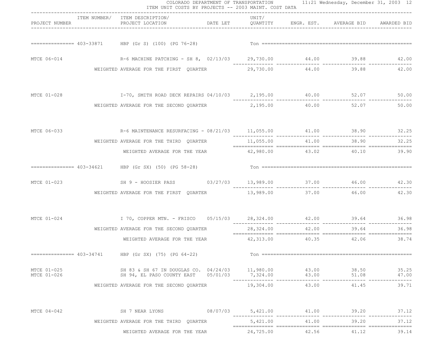|                            |                                        | ITEM UNIT COSTS BY PROJECTS -- 2003 MAINT. COST DATA                                                                    |  |           |                             |                                                                       |       |
|----------------------------|----------------------------------------|-------------------------------------------------------------------------------------------------------------------------|--|-----------|-----------------------------|-----------------------------------------------------------------------|-------|
|                            | PROJECT NUMBER                         | ITEM NUMBER/ ITEM DESCRIPTION/<br>PROJECT LOCATION <b>The STATE OF A SET ARE ARRIES SECULIES</b> PROJECT LOCATION       |  | UNIT/     |                             |                                                                       |       |
|                            |                                        |                                                                                                                         |  |           |                             |                                                                       |       |
|                            | MTCE 06-014                            | R-6 MACHINE PATCHING - SH 8, 02/13/03 29,730.00 44.00 39.88 42.00                                                       |  |           |                             |                                                                       |       |
|                            |                                        | WEIGHTED AVERAGE FOR THE FIRST QUARTER $29,730.00$ 44.00 39.88                                                          |  |           |                             |                                                                       | 42.00 |
| MTCE 01-028                |                                        | 1-70, SMITH ROAD DECK REPAIRS 04/10/03 2,195.00 40.00 52.07 50.00                                                       |  |           |                             |                                                                       |       |
|                            |                                        | WEIGHTED AVERAGE FOR THE SECOND QUARTER $2,195.00$ 40.00 52.07                                                          |  |           |                             |                                                                       | 50.00 |
| MTCE 06-033                |                                        | R-6 MAINTENANCE RESURFACING - 08/21/03 11,055.00 41.00 38.90 38.90 32.25                                                |  |           |                             |                                                                       |       |
|                            | WEIGHTED AVERAGE FOR THE THIRD QUARTER |                                                                                                                         |  |           | 11,055.00 41.00 38.90 32.25 |                                                                       |       |
|                            |                                        | WEIGHTED AVERAGE FOR THE YEAR $42,980.00$ $43.02$ $40.10$                                                               |  |           |                             |                                                                       | 39.90 |
|                            |                                        |                                                                                                                         |  |           |                             |                                                                       |       |
|                            | MTCE 01-023                            | SH 9 - HOOSIER PASS 03/27/03 13,989.00 37.00 46.00 46.00 42.30                                                          |  |           |                             |                                                                       |       |
|                            |                                        | WEIGHTED AVERAGE FOR THE FIRST QUARTER 13,989.00 37.00 46.00                                                            |  |           |                             |                                                                       | 42.30 |
|                            |                                        | MTCE 01-024 1 70, COPPER MTN. - FRISCO 05/15/03 28,324.00 42.00 39.64 16.00 39.64 16.98                                 |  |           |                             |                                                                       |       |
|                            |                                        | WEIGHTED AVERAGE FOR THE SECOND QUARTER                                                                                 |  |           |                             | 28,324.00   42.00   42.00   42.00   42.00   59.64   28,324.00   56.98 |       |
|                            |                                        | WEIGHTED AVERAGE FOR THE YEAR 42,313.00                                                                                 |  |           |                             | 40.35 42.06                                                           | 38.74 |
|                            |                                        | $\text{HBP}$ (Gr SX) (75) (PG 64-22)                                                                                    |  |           |                             |                                                                       |       |
| MTCE 01-025<br>MTCE 01-026 |                                        | SH 83 & SH 67 IN DOUGLAS CO. 04/24/03 11,980.00<br>SH 94, EL PASO COUNTY EAST 05/01/03 7,324.00 43.00 51.08 51.08 47.00 |  |           | 43.00                       | 38.50                                                                 | 35.25 |
|                            |                                        | WEIGHTED AVERAGE FOR THE SECOND QUARTER 19,304.00                                                                       |  |           |                             | 43.00 41.45                                                           | 39.71 |
| MTCE 04-042                |                                        | SH 7 NEAR LYONS 08/07/03 5,421.00 41.00 39.20                                                                           |  |           |                             |                                                                       | 37.12 |
|                            |                                        | WEIGHTED AVERAGE FOR THE THIRD QUARTER                                                                                  |  | 5,421.00  | 41.00                       | 39.20                                                                 | 37.12 |
|                            |                                        | WEIGHTED AVERAGE FOR THE YEAR                                                                                           |  | 24,725.00 | 42.56                       | 41.12                                                                 | 39.14 |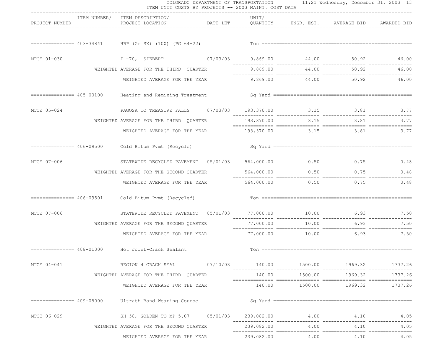|                |                            | ITEM NUMBER/ ITEM DESCRIPTION/                                      | ------------------------------- | UNIT/      |         |                                                      |         |
|----------------|----------------------------|---------------------------------------------------------------------|---------------------------------|------------|---------|------------------------------------------------------|---------|
| PROJECT NUMBER |                            | PROJECT LOCATION                                                    |                                 |            |         | DATE LET QUANTITY ENGR. EST. AVERAGE BID AWARDED BID |         |
|                |                            |                                                                     |                                 |            |         |                                                      |         |
| MTCE 01-030    |                            | I -70, SIEBERT 07/03/03 9,869.00 44.00 50.92 46.00                  |                                 |            |         |                                                      |         |
|                |                            | WEIGHTED AVERAGE FOR THE THIRD QUARTER                              |                                 |            |         | 9,869.00 44.00 50.92                                 | 46.00   |
|                |                            | WEIGHTED AVERAGE FOR THE YEAR                                       |                                 |            |         | 9,869.00 44.00 50.92 46.00                           |         |
|                | ================ 405-00100 |                                                                     |                                 |            |         |                                                      |         |
| MTCE 05-024    |                            | PAGOSA TO TREASURE FALLS 07/03/03 193,370.00 3.15 3.81 3.77         |                                 |            |         |                                                      |         |
|                |                            | WEIGHTED AVERAGE FOR THE THIRD QUARTER                              |                                 |            |         | 193, 370.00 3.15 3.81                                | 3.77    |
|                |                            | WEIGHTED AVERAGE FOR THE YEAR 193,370.00 3.15 3.81 3.77             |                                 |            |         |                                                      |         |
|                |                            | ============== 406-09500    Cold Bitum Pvmt (Recycle)               |                                 |            |         |                                                      |         |
| MTCE 07-006    |                            | STATEWIDE RECYCLED PAVEMENT  05/01/03  564,000.00  0.50  0.75  0.48 |                                 |            |         |                                                      |         |
|                |                            | WEIGHTED AVERAGE FOR THE SECOND QUARTER                             |                                 | 564,000.00 |         | $0.50$ 0.75 0.48                                     |         |
|                |                            | WEIGHTED AVERAGE FOR THE YEAR                                       |                                 |            |         | 564,000.00 0.50 0.75 0.48                            |         |
|                |                            | ============== 406-09501    Cold Bitum Pvmt (Recycled)              |                                 |            |         |                                                      |         |
| MTCE 07-006    |                            | STATEWIDE RECYCLED PAVEMENT  05/01/03  77,000.00  10.00  6.93  7.50 |                                 |            |         | _______________                                      |         |
|                |                            | WEIGHTED AVERAGE FOR THE SECOND QUARTER                             |                                 | 77,000.00  | 10.00   | 6.93                                                 | 7.50    |
|                |                            | WEIGHTED AVERAGE FOR THE YEAR $77,000.00$ $10.00$ $6.93$ $7.50$     |                                 |            |         |                                                      |         |
|                |                            | =============== 408-01000 Hot Joint-Crack Sealant                   |                                 |            |         |                                                      |         |
| MTCE 04-041    |                            | REGION 4 CRACK SEAL 07/10/03 140.00 1500.00 1969.32 1737.26         |                                 |            |         |                                                      |         |
|                |                            | WEIGHTED AVERAGE FOR THE THIRD QUARTER                              |                                 | 140.00     | 1500.00 | 1969.32                                              | 1737.26 |
|                |                            | WEIGHTED AVERAGE FOR THE YEAR                                       |                                 |            |         | $140.00$ $1500.00$ $1969.32$                         | 1737.26 |
|                |                            | ============== 409-05000 Ultrath Bond Wearing Course                |                                 |            |         |                                                      |         |
| MTCE 06-029    |                            | SH 58, GOLDEN TO MP 5.07 05/01/03 239,082.00 4.00 4.10              |                                 |            |         |                                                      | 4.05    |
|                |                            | WEIGHTED AVERAGE FOR THE SECOND QUARTER                             |                                 |            |         | 239,082.00 4.00 4.10                                 | 4.05    |
|                |                            | WEIGHTED AVERAGE FOR THE YEAR                                       |                                 | 239,082.00 | 4.00    | 4.10                                                 | 4.05    |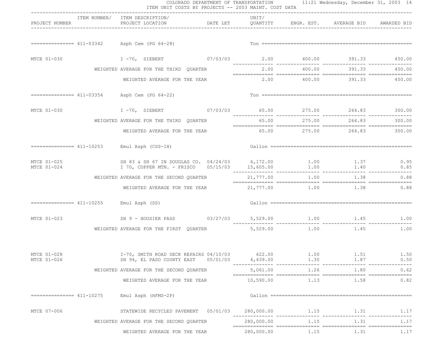|                                                            | ITEM UNIT COSTS BY PROJECTS -- 2003 MAINT. COST DATA                                                           |                                    |                    |              | COLORADO DEPARTMENT OF TRANSPORTATION 11:21 Wednesday, December 31, 2003 14  |              |
|------------------------------------------------------------|----------------------------------------------------------------------------------------------------------------|------------------------------------|--------------------|--------------|------------------------------------------------------------------------------|--------------|
| PROJECT NUMBER                                             | ITEM NUMBER/ ITEM DESCRIPTION/<br>PROJECT LOCATION                                                             | __________________________________ | UNIT/              |              | DATE LET         QUANTITY        ENGR. EST.      AVERAGE BID     AWARDED BID |              |
|                                                            | $=========== 411-03342$ Asph Cem (PG 64-28)                                                                    |                                    |                    |              |                                                                              |              |
| MTCE 01-030                                                | I -70, SIEBERT 67/03/03 2.00 400.00 391.33 450.00                                                              |                                    |                    |              |                                                                              |              |
|                                                            | WEIGHTED AVERAGE FOR THE THIRD QUARTER                                                                         |                                    |                    |              | 2.00 400.00 391.33 450.00                                                    |              |
|                                                            | WEIGHTED AVERAGE FOR THE YEAR                                                                                  |                                    |                    |              | 2.00 400.00 391.33 450.00                                                    |              |
|                                                            | $=========== 411-03354$ Asph Cem (PG 64-22)                                                                    |                                    |                    |              |                                                                              |              |
|                                                            |                                                                                                                |                                    |                    |              |                                                                              |              |
|                                                            | WEIGHTED AVERAGE FOR THE THIRD QUARTER                                                                         |                                    |                    |              | 65.00  275.00  264.83  300.00                                                |              |
|                                                            | WEIGHTED AVERAGE FOR THE YEAR                                                                                  |                                    |                    |              | $65.00$ $275.00$ $264.83$ $300.00$                                           |              |
|                                                            | $=$ = = = = = = = = = = 411-10253 Emul Asph (CSS-1H)                                                           |                                    |                    |              |                                                                              |              |
| MTCE 01-025<br>MTCE 01-024                                 | SH 83 & SH 67 IN DOUGLAS CO. 04/24/03 6,172.00 1.00 1.37 0.95<br>I 70, COPPER MTN. - FRISCO 05/15/03 15,605.00 |                                    |                    | 1.00         | 1.40                                                                         | 0.85         |
|                                                            | WEIGHTED AVERAGE FOR THE SECOND QUARTER                                                                        |                                    | 21,777.00          | 1.00         | 1.38                                                                         | 0.88         |
|                                                            | WEIGHTED AVERAGE FOR THE YEAR $21,777.00$ $1.00$ $1.38$ 0.88                                                   |                                    |                    |              |                                                                              |              |
| $=$ $=$ $=$ $=$ $=$ $=$ $=$ $=$ $411-10255$ Emul Asph (SS) |                                                                                                                |                                    |                    |              |                                                                              |              |
| MTCE 01-023                                                |                                                                                                                |                                    |                    |              |                                                                              |              |
|                                                            | WEIGHTED AVERAGE FOR THE FIRST QUARTER $5,529.00$ 1.00 1.45 1.00                                               |                                    |                    |              |                                                                              |              |
| MTCE 01-028<br>MTCE 01-026                                 | I-70, SMITH ROAD DECK REPAIRS 04/10/03<br>SH 94, EL PASO COUNTY EAST                                           | 05/01/03                           | 622.00<br>4,439.00 | 1.00<br>1.30 | 1.51<br>1.87                                                                 | 1.50<br>0.50 |
|                                                            | WEIGHTED AVERAGE FOR THE SECOND QUARTER                                                                        |                                    | 5,061.00           | 1.26         | ______  _________________  _<br>1.80                                         | 0.62         |
|                                                            | WEIGHTED AVERAGE FOR THE YEAR                                                                                  |                                    | 10,590.00          | 1.13         | 1.58                                                                         | 0.82         |
| ================ 411-10275                                 | Emul Asph (HFMS-2P)                                                                                            |                                    |                    |              |                                                                              |              |
| MTCE 07-006                                                | STATEWIDE RECYCLED PAVEMENT 05/01/03                                                                           |                                    | 280,000.00         | 1.15         | 1.31                                                                         | 1.17         |
|                                                            | WEIGHTED AVERAGE FOR THE SECOND QUARTER                                                                        |                                    | 280,000.00         | 1.15         | 1.31                                                                         | 1.17         |
|                                                            | WEIGHTED AVERAGE FOR THE YEAR                                                                                  |                                    | 280,000.00         | 1.15         | 1.31                                                                         | 1.17         |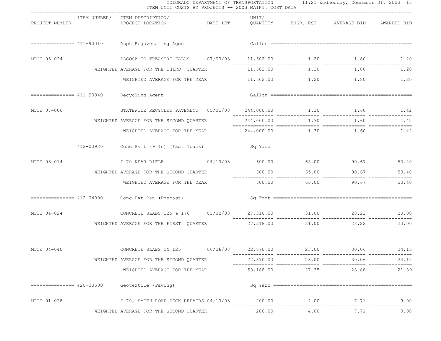|                            | ITEM UNIT COSTS BY PROJECTS -- 2003 MAINT. COST DATA                |           |       | COLORADO DEPARTMENT OF TRANSPORTATION 11:21 Wednesday, December 31, 2003 15 |           |
|----------------------------|---------------------------------------------------------------------|-----------|-------|-----------------------------------------------------------------------------|-----------|
| PROJECT NUMBER             | ITEM NUMBER/ ITEM DESCRIPTION/                                      | UNIT/     |       |                                                                             |           |
|                            |                                                                     |           |       |                                                                             |           |
|                            |                                                                     |           |       |                                                                             |           |
| MTCE 05-024                | PAGOSA TO TREASURE FALLS 07/03/03 11,602.00 1.20 1.80 1.80 1.20     |           |       |                                                                             |           |
|                            | WEIGHTED AVERAGE FOR THE THIRD QUARTER                              |           |       | $11,602.00$ $1.20$ $1.80$ $1.20$                                            |           |
|                            | WEIGHTED AVERAGE FOR THE YEAR                                       |           |       | $11,602.00$ $1.20$ $1.80$ $1.20$                                            |           |
|                            | ============== 411-90040 Recycling Agent                            |           |       |                                                                             |           |
| MTCE 07-006                | STATEWIDE RECYCLED PAVEMENT  05/01/03  244,000.00  1.30  1.60  1.42 |           |       |                                                                             |           |
|                            | WEIGHTED AVERAGE FOR THE SECOND QUARTER                             |           |       | 244,000.00 1.30 1.60 1.42                                                   |           |
|                            | WEIGHTED AVERAGE FOR THE YEAR $244,000.00$ $1.30$ $1.60$ $1.42$     |           |       |                                                                             |           |
|                            |                                                                     |           |       |                                                                             |           |
| MTCE 03-014                | I 70 NEAR RIFLE 694/10/03 600.00 65.00 65.00 90.67 53.40            |           |       |                                                                             |           |
|                            | WEIGHTED AVERAGE FOR THE SECOND QUARTER                             |           |       | 600.00 65.00 90.67                                                          | 53.40     |
|                            | WEIGHTED AVERAGE FOR THE YEAR                                       |           |       | 600.00 65.00 90.67 53.40                                                    |           |
|                            |                                                                     |           |       |                                                                             |           |
| MTCE 04-024                | CONCRETE SLABS I25 & I76 $01/02/03$ 27,318.00 $21.00$ 28.22 20.00   |           |       |                                                                             |           |
|                            | WEIGHTED AVERAGE FOR THE FIRST QUARTER                              |           |       | 27,318.00 31.00 28.22                                                       | 20.00     |
| MTCE 04-040                | CONCRETE SLABS ON 125  06/26/03  22,870.00  23.00  30.06  24.15     |           |       |                                                                             |           |
|                            | WEIGHTED AVERAGE FOR THE SECOND QUARTER                             | 22,870.00 |       | 23.00<br>30.06                                                              | 24.15     |
|                            | WEIGHTED AVERAGE FOR THE YEAR                                       | 50,188.00 | 27.35 | 28.88                                                                       | 21.89     |
| ================ 420-00500 | Geotextile (Paving)                                                 |           |       |                                                                             |           |
| MTCE 01-028                | $I-70$ , SMITH ROAD DECK REPAIRS $04/10/03$ 200.00                  |           | 4.00  |                                                                             | 7.71 9.00 |
|                            | WEIGHTED AVERAGE FOR THE SECOND QUARTER                             |           |       | 200.00 4.00 7.71                                                            | 9.00      |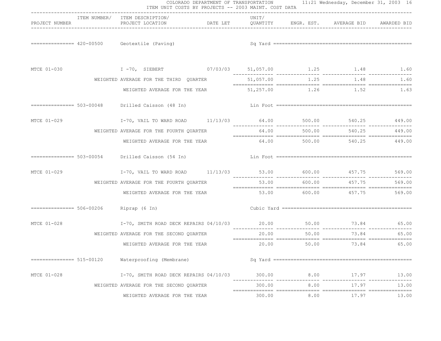|                |                                         | COLORADO DEPARTMENT OF TRANSPORTATION 11:21 Wednesday, December 31, 2003 16<br>ITEM UNIT COSTS BY PROJECTS -- 2003 MAINT. COST DATA<br>----------------------------------- |  |                                    |        |                                |        |  |  |
|----------------|-----------------------------------------|----------------------------------------------------------------------------------------------------------------------------------------------------------------------------|--|------------------------------------|--------|--------------------------------|--------|--|--|
| PROJECT NUMBER |                                         | ITEM NUMBER/ ITEM DESCRIPTION/<br>PROJECT LOCATION <b>DATE LET</b> QUANTITY ENGR. EST. AVERAGE BID AWARDED BID                                                             |  | UNIT/                              |        |                                |        |  |  |
|                |                                         | $=$ $=$ $=$ $=$ $=$ $=$ $=$ $=$ $= 420 - 00500$ Geotextile (Paving)                                                                                                        |  |                                    |        |                                |        |  |  |
|                |                                         | MTCE 01-030 1.48 1.60 1 1 -70, SIEBERT 07/03/03 51,057.00 1.25 1.48 1.60                                                                                                   |  |                                    |        |                                |        |  |  |
|                |                                         | WEIGHTED AVERAGE FOR THE THIRD QUARTER                                                                                                                                     |  |                                    |        | 51,057.00 1.25 1.48 1.60       |        |  |  |
|                |                                         | WEIGHTED AVERAGE FOR THE YEAR                                                                                                                                              |  |                                    |        | 51,257.00 1.26 1.52 1.63       |        |  |  |
|                |                                         |                                                                                                                                                                            |  |                                    |        |                                |        |  |  |
| MTCE 01-029    |                                         | I-70, VAIL TO WARD ROAD 11/13/03 64.00 500.00 540.25 449.00                                                                                                                |  | __________________________________ |        |                                |        |  |  |
|                |                                         | WEIGHTED AVERAGE FOR THE FOURTH QUARTER                                                                                                                                    |  | 64.00                              | 500.00 | 540.25                         | 449.00 |  |  |
|                |                                         | WEIGHTED AVERAGE FOR THE YEAR 64.00 500.00 540.25 449.00                                                                                                                   |  |                                    |        |                                |        |  |  |
|                |                                         |                                                                                                                                                                            |  |                                    |        |                                |        |  |  |
| MTCE 01-029    |                                         |                                                                                                                                                                            |  |                                    |        |                                |        |  |  |
|                |                                         | WEIGHTED AVERAGE FOR THE FOURTH QUARTER                                                                                                                                    |  |                                    |        | 53.00 600.00 457.75 569.00     |        |  |  |
|                |                                         | WEIGHTED AVERAGE FOR THE YEAR                                                                                                                                              |  |                                    |        | $53.00$ 600.00 $457.75$ 569.00 |        |  |  |
|                | =============== 506-00206 Riprap (6 In) |                                                                                                                                                                            |  |                                    |        |                                |        |  |  |
| MTCE 01-028    |                                         | I-70, SMITH ROAD DECK REPAIRS 04/10/03 20.00 50.00 50.00 73.84 65.00                                                                                                       |  |                                    |        |                                |        |  |  |
|                |                                         | WEIGHTED AVERAGE FOR THE SECOND QUARTER                                                                                                                                    |  | 20.00                              | 50.00  | 73.84                          | 65.00  |  |  |
|                |                                         | WEIGHTED AVERAGE FOR THE YEAR                                                                                                                                              |  |                                    |        | 20.00 50.00 73.84 65.00        |        |  |  |
|                |                                         | Waterproofing (Membrane)                                                                                                                                                   |  |                                    |        |                                |        |  |  |
| MTCE 01-028    |                                         | I-70, SMITH ROAD DECK REPAIRS 04/10/03                                                                                                                                     |  | 300.00                             | 8.00   | 17.97                          | 13.00  |  |  |
|                |                                         | WEIGHTED AVERAGE FOR THE SECOND QUARTER                                                                                                                                    |  | 300.00                             | 8.00   | 17.97                          | 13.00  |  |  |
|                |                                         | WEIGHTED AVERAGE FOR THE YEAR                                                                                                                                              |  | 300.00                             | 8.00   | 17.97                          | 13.00  |  |  |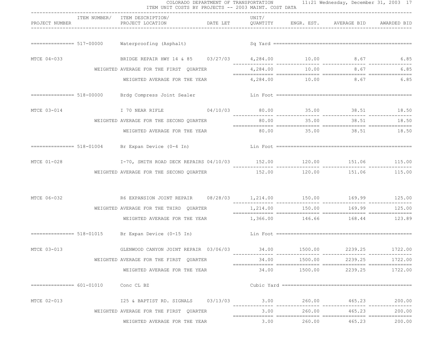|                |             | ITEM UNIT COSTS BY PROJECTS -- 2003 MAINT. COST DATA                           |       |        | COLORADO DEPARTMENT OF TRANSPORTATION 11:21 Wednesday, December 31, 2003 17 |                 |
|----------------|-------------|--------------------------------------------------------------------------------|-------|--------|-----------------------------------------------------------------------------|-----------------|
| PROJECT NUMBER |             | ITEM NUMBER/ ITEM DESCRIPTION/                                                 | UNIT/ |        |                                                                             |                 |
|                |             |                                                                                |       |        |                                                                             |                 |
| MTCE 04-033    |             | BRIDGE REPAIR HWY 14 & 85 03/27/03 4, 284.00 10.00 8.67 6.85                   |       |        |                                                                             |                 |
|                |             | WEIGHTED AVERAGE FOR THE FIRST QUARTER                                         |       |        | 4,284.00 10.00 8.67 6.85                                                    |                 |
|                |             | WEIGHTED AVERAGE FOR THE YEAR                                                  |       |        | $4,284.00$ 10.00 8.67 6.85                                                  |                 |
|                |             |                                                                                |       |        |                                                                             |                 |
|                |             | MTCE 03-014 170 NEAR RIFLE 04/10/03 80.00 35.00 38.51 18.50                    |       |        |                                                                             |                 |
|                |             | WEIGHTED AVERAGE FOR THE SECOND QUARTER                                        |       |        | 80.00 35.00 38.51 18.50                                                     |                 |
|                |             | WEIGHTED AVERAGE FOR THE YEAR 60.00 35.00 38.51 18.50                          |       |        |                                                                             |                 |
|                |             |                                                                                |       |        |                                                                             |                 |
|                | MTCE 01-028 | I-70, SMITH ROAD DECK REPAIRS 04/10/03 152.00 120.00 151.06 115.00 151.06      |       |        |                                                                             |                 |
|                |             | WEIGHTED AVERAGE FOR THE SECOND QUARTER $152.00$ $120.00$ $151.06$ $115.00$    |       |        |                                                                             |                 |
|                |             | MTCE 06-032 66 EXPANSION JOINT REPAIR $08/28/03$ 1,214.00 150.00 169.99 125.00 |       |        |                                                                             |                 |
|                |             | WEIGHTED AVERAGE FOR THE THIRD QUARTER                                         |       |        | 1,214.00 150.00 169.99 125.00                                               |                 |
|                |             | WEIGHTED AVERAGE FOR THE YEAR 1,366.00 146.66 168.44 123.89                    |       |        |                                                                             |                 |
|                |             |                                                                                |       |        |                                                                             |                 |
| MTCE 03-013    |             | GLENWOOD CANYON JOINT REPAIR  03/06/03  34.00  1500.00  2239.25  1722.00       |       |        |                                                                             |                 |
|                |             | WEIGHTED AVERAGE FOR THE FIRST QUARTER                                         |       |        | 2239.25                                                                     | 1722.00         |
|                |             | WEIGHTED AVERAGE FOR THE YEAR                                                  |       |        |                                                                             | 2239.25 1722.00 |
|                |             | Conc CL BZ                                                                     |       |        |                                                                             |                 |
| MTCE 02-013    |             | 125 & BAPTIST RD. SIGNALS 03/13/03 3.00 260.00 465.23                          |       |        |                                                                             | 200.00          |
|                |             | WEIGHTED AVERAGE FOR THE FIRST QUARTER                                         | 3.00  | 260.00 | 465.23                                                                      | 200.00          |
|                |             | WEIGHTED AVERAGE FOR THE YEAR                                                  | 3.00  |        | 260.00 465.23                                                               | 200.00          |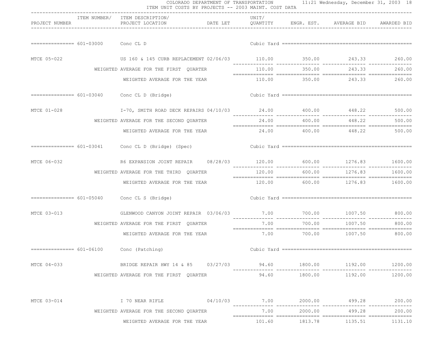|                |                                    |                                                                          | ITEM UNIT COSTS BY PROJECTS -- 2003 MAINT. COST DATA<br>------------------------------ |       |               |                                  |               |  |  |
|----------------|------------------------------------|--------------------------------------------------------------------------|----------------------------------------------------------------------------------------|-------|---------------|----------------------------------|---------------|--|--|
| PROJECT NUMBER |                                    | ITEM NUMBER/ ITEM DESCRIPTION/<br>PROJECT LOCATION                       | DATE LET QUANTITY ENGR. EST. AVERAGE BID AWARDED BID                                   | UNIT/ |               |                                  |               |  |  |
|                | $============ 601-03000$ Conc CL D |                                                                          |                                                                                        |       |               |                                  |               |  |  |
|                |                                    |                                                                          |                                                                                        |       |               |                                  |               |  |  |
| MTCE 05-022    |                                    | US 160 & 145 CURB REPLACEMENT 02/06/03 110.00 350.00 243.33 260.00       |                                                                                        |       |               |                                  |               |  |  |
|                |                                    | WEIGHTED AVERAGE FOR THE FIRST QUARTER                                   |                                                                                        |       | 110.00 350.00 |                                  | 243.33 260.00 |  |  |
|                |                                    | WEIGHTED AVERAGE FOR THE YEAR                                            |                                                                                        |       |               | 110.00 350.00 243.33 260.00      |               |  |  |
|                |                                    | $=$ ============== $601-03040$ Conc CL D (Bridge)                        |                                                                                        |       |               |                                  |               |  |  |
| MTCE 01-028    |                                    | I-70, SMITH ROAD DECK REPAIRS 04/10/03 24.00 400.00 448.22 500.00        |                                                                                        |       |               |                                  |               |  |  |
|                |                                    | WEIGHTED AVERAGE FOR THE SECOND QUARTER                                  |                                                                                        |       | 24.00 400.00  |                                  | 448.22 500.00 |  |  |
|                |                                    | WEIGHTED AVERAGE FOR THE YEAR                                            |                                                                                        |       |               | 24.00  400.00  448.22  500.00    |               |  |  |
|                |                                    | ============== 601-03041 Conc CL D (Bridge) (Spec)                       |                                                                                        |       |               |                                  |               |  |  |
| MTCE 06-032    |                                    |                                                                          |                                                                                        |       |               |                                  |               |  |  |
|                |                                    | WEIGHTED AVERAGE FOR THE THIRD QUARTER                                   |                                                                                        |       | 120.00 600.00 | 1276.83                          | 1600.00       |  |  |
|                |                                    | WEIGHTED AVERAGE FOR THE YEAR                                            |                                                                                        |       |               | 120.00 600.00 1276.83 1600.00    |               |  |  |
|                |                                    | ============== 601-05040 Conc CL S (Bridge)                              |                                                                                        |       |               |                                  |               |  |  |
| MTCE 03-013    |                                    | GLENWOOD CANYON JOINT REPAIR 03/06/03                                    |                                                                                        |       |               | 7.00 700.00 1007.50 800.00       |               |  |  |
|                |                                    | WEIGHTED AVERAGE FOR THE FIRST QUARTER                                   |                                                                                        | 7.00  | 700.00        | 1007.50                          | 800.00        |  |  |
|                |                                    | WEIGHTED AVERAGE FOR THE YEAR                                            |                                                                                        |       |               | $7.00$ $700.00$ $1007.50$ 800.00 |               |  |  |
|                |                                    | $=$ ============== $601-06100$ Conc (Patching)                           |                                                                                        |       |               |                                  |               |  |  |
| MTCE 04-033    |                                    | BRIDGE REPAIR HWY 14 & 85 03/27/03 94.60 1800.00 1192.00 1200.00 1200.00 |                                                                                        |       |               |                                  |               |  |  |
|                |                                    | WEIGHTED AVERAGE FOR THE FIRST QUARTER                                   |                                                                                        | 94.60 |               | 1800.00    1192.00               | 1200.00       |  |  |
| MTCE 03-014    |                                    |                                                                          |                                                                                        |       |               |                                  |               |  |  |
|                |                                    | WEIGHTED AVERAGE FOR THE SECOND QUARTER                                  |                                                                                        | 7.00  |               | 2000.00 499.28                   | 200.00        |  |  |
|                |                                    | WEIGHTED AVERAGE FOR THE YEAR                                            |                                                                                        |       |               | 101.60 1813.78 1135.51           | 1131.10       |  |  |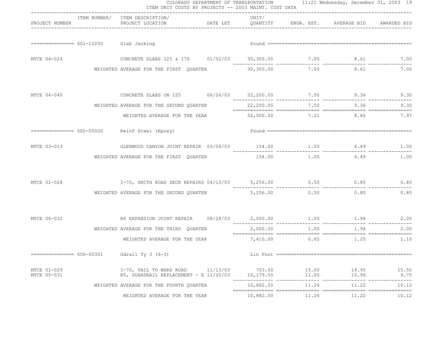|                            |                                                                                                               | ITEM UNIT COSTS BY PROJECTS -- 2003 MAINT. COST DATA                                                           |  |                     |                | COLORADO DEPARTMENT OF TRANSPORTATION 11:21 Wednesday, December 31, 2003 19 |                        |
|----------------------------|---------------------------------------------------------------------------------------------------------------|----------------------------------------------------------------------------------------------------------------|--|---------------------|----------------|-----------------------------------------------------------------------------|------------------------|
|                            | PROJECT NUMBER THE STATE OF THE STATE OF THE STATE OF THE STATE OF THE STATE OF THE STATE OF THE STATE OF THE | ITEM NUMBER/ ITEM DESCRIPTION/<br>PROJECT LOCATION <b>DATE LET</b> QUANTITY ENGR. EST. AVERAGE BID AWARDED BID |  | UNIT/               |                |                                                                             |                        |
|                            | =============== 601-10250 Slab Jacking                                                                        |                                                                                                                |  |                     |                |                                                                             |                        |
| MTCE 04-024                |                                                                                                               |                                                                                                                |  |                     |                |                                                                             |                        |
|                            |                                                                                                               | WEIGHTED AVERAGE FOR THE FIRST QUARTER 30,300.00 7.00 8.61 7.00                                                |  |                     |                |                                                                             |                        |
| MTCE 04-040                |                                                                                                               |                                                                                                                |  |                     |                |                                                                             |                        |
|                            |                                                                                                               | WEIGHTED AVERAGE FOR THE SECOND QUARTER                                                                        |  |                     | 22,200.00 7.50 |                                                                             | 9.36 9.30              |
|                            |                                                                                                               | WEIGHTED AVERAGE FOR THE YEAR 52,500.00 7.21 8.86 7.97                                                         |  |                     |                |                                                                             |                        |
|                            |                                                                                                               | ============== 602-00020 Reinf Steel (Epoxy)                                                                   |  |                     |                |                                                                             |                        |
| MTCE 03-013                |                                                                                                               | GLENWOOD CANYON JOINT REPAIR 03/06/03 154.00 1.00 1.00 4.49 1.00                                               |  |                     |                |                                                                             |                        |
|                            |                                                                                                               | WEIGHTED AVERAGE FOR THE FIRST QUARTER                                                                         |  |                     |                |                                                                             | 1.00                   |
| MTCE 01-028                |                                                                                                               | 1-70, SMITH ROAD DECK REPAIRS 04/10/03 5,256.00 0.50 0.80 0.80                                                 |  |                     |                |                                                                             |                        |
|                            |                                                                                                               | WEIGHTED AVERAGE FOR THE SECOND QUARTER $5,256.00$ 0.50 0.80 0.80 0.85                                         |  |                     |                |                                                                             |                        |
| MTCE 06-032                |                                                                                                               |                                                                                                                |  |                     |                |                                                                             |                        |
|                            |                                                                                                               | WEIGHTED AVERAGE FOR THE THIRD QUARTER                                                                         |  |                     |                | 2,000.00 1.00 1.94                                                          |                        |
|                            |                                                                                                               | WEIGHTED AVERAGE FOR THE YEAR $7,410.00$ 0.65 1.25 1.16                                                        |  |                     |                |                                                                             |                        |
| =============== 606-00301  |                                                                                                               | Gdrail Ty $3(6-3)$                                                                                             |  |                     |                |                                                                             |                        |
| MTCE 01-029<br>MTCE 05-031 |                                                                                                               | $I-70$ , VAIL TO WARD ROAD $11/13/03$<br>R5, GUARDRAIL REPLACEMENT - E 11/20/03                                |  | 703.00<br>10,179.50 | 15.00<br>11.00 | 14.95<br>10.96                                                              | 15.50<br>9.75          |
|                            |                                                                                                               | WEIGHTED AVERAGE FOR THE FOURTH QUARTER                                                                        |  | 10,882.50           | 11.26          | 11.22                                                                       | $- - - - - -$<br>10.12 |
|                            |                                                                                                               | WEIGHTED AVERAGE FOR THE YEAR                                                                                  |  | 10,882.50           | 11.26          | 11.22                                                                       | 10.12                  |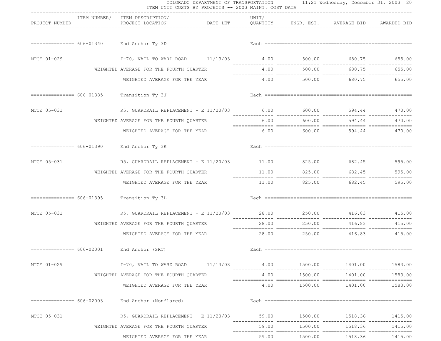|                | COLORADO DEPARTMENT OF TRANSPORTATION 11:21 Wednesday, December 31, 2003 20<br>ITEM UNIT COSTS BY PROJECTS -- 2003 MAINT. COST DATA |                                                                                     |  |       |                                |                                                      |               |  |  |
|----------------|-------------------------------------------------------------------------------------------------------------------------------------|-------------------------------------------------------------------------------------|--|-------|--------------------------------|------------------------------------------------------|---------------|--|--|
| PROJECT NUMBER |                                                                                                                                     | -----------------------------<br>ITEM NUMBER/ ITEM DESCRIPTION/<br>PROJECT LOCATION |  | UNIT/ |                                | DATE LET OUANTITY ENGR. EST. AVERAGE BID AWARDED BID |               |  |  |
|                |                                                                                                                                     | ============== 606-01340 End Anchor Ty 3D                                           |  |       |                                |                                                      |               |  |  |
| MTCE 01-029    |                                                                                                                                     | I-70, VAIL TO WARD ROAD 11/13/03 4.00 500.00 680.75 655.00                          |  |       |                                |                                                      |               |  |  |
|                |                                                                                                                                     | WEIGHTED AVERAGE FOR THE FOURTH QUARTER                                             |  |       | 4.00 500.00                    |                                                      | 680.75 655.00 |  |  |
|                |                                                                                                                                     | WEIGHTED AVERAGE FOR THE YEAR                                                       |  |       |                                | 4.00 500.00 680.75 655.00                            |               |  |  |
|                |                                                                                                                                     | ============== 606-01385  Transition Ty 3J                                          |  |       |                                |                                                      |               |  |  |
| MTCE 05-031    |                                                                                                                                     | R5, GUARDRAIL REPLACEMENT - E 11/20/03 6.00 600.00 600.00 594.44 470.00             |  |       |                                |                                                      |               |  |  |
|                |                                                                                                                                     | WEIGHTED AVERAGE FOR THE FOURTH QUARTER                                             |  |       | $6.00$ $600.00$                |                                                      | 594.44 470.00 |  |  |
|                |                                                                                                                                     | WEIGHTED AVERAGE FOR THE YEAR                                                       |  |       |                                | $6.00$ $600.00$ $594.44$ $470.00$                    |               |  |  |
|                |                                                                                                                                     | ============== 606-01390 End Anchor Ty 3K                                           |  |       |                                |                                                      |               |  |  |
| MTCE 05-031    |                                                                                                                                     | R5, GUARDRAIL REPLACEMENT - E 11/20/03 11.00 825.00 682.45 595.00                   |  |       |                                |                                                      |               |  |  |
|                |                                                                                                                                     | WEIGHTED AVERAGE FOR THE FOURTH QUARTER                                             |  |       | 11.00 825.00                   | 682.45                                               | 595.00        |  |  |
|                |                                                                                                                                     | WEIGHTED AVERAGE FOR THE YEAR                                                       |  |       |                                | 11.00 825.00 682.45 595.00                           |               |  |  |
|                |                                                                                                                                     | ============== 606-01395 Transition Ty 3L                                           |  |       |                                |                                                      |               |  |  |
| MTCE 05-031    |                                                                                                                                     | R5, GUARDRAIL REPLACEMENT - E 11/20/03 28.00 250.00 416.83 415.00                   |  |       | --------------- -------------- | _____________                                        |               |  |  |
|                |                                                                                                                                     | WEIGHTED AVERAGE FOR THE FOURTH QUARTER                                             |  | 28.00 | 250.00                         | 416.83                                               | 415.00        |  |  |
|                |                                                                                                                                     | WEIGHTED AVERAGE FOR THE YEAR                                                       |  |       |                                | 28.00 250.00 416.83 415.00                           |               |  |  |
|                |                                                                                                                                     | $=$ =============== $606-02001$ End Anchor (SRT)                                    |  |       |                                |                                                      |               |  |  |
| MTCE 01-029    |                                                                                                                                     | $I-70$ , VAIL TO WARD ROAD $11/13/03$ $4.00$ $1500.00$ $1401.00$ $1583.00$          |  |       |                                |                                                      |               |  |  |
|                |                                                                                                                                     | WEIGHTED AVERAGE FOR THE FOURTH QUARTER                                             |  | 4.00  | 1500.00                        | 1401.00                                              | 1583.00       |  |  |
|                |                                                                                                                                     | WEIGHTED AVERAGE FOR THE YEAR                                                       |  |       |                                | 4.00    1500.00    1401.00                           | 1583.00       |  |  |
|                |                                                                                                                                     | $=========== 606-02003$ End Anchor (Nonflared)                                      |  |       |                                |                                                      |               |  |  |
| MTCE 05-031    |                                                                                                                                     | R5, GUARDRAIL REPLACEMENT - E 11/20/03 59.00 1500.00 1518.36                        |  |       |                                |                                                      | 1415.00       |  |  |
|                |                                                                                                                                     | WEIGHTED AVERAGE FOR THE FOURTH QUARTER                                             |  | 59.00 | 1500.00                        | 1518.36                                              | 1415.00       |  |  |
|                |                                                                                                                                     | WEIGHTED AVERAGE FOR THE YEAR                                                       |  | 59.00 |                                | 1500.00 1518.36                                      | 1415.00       |  |  |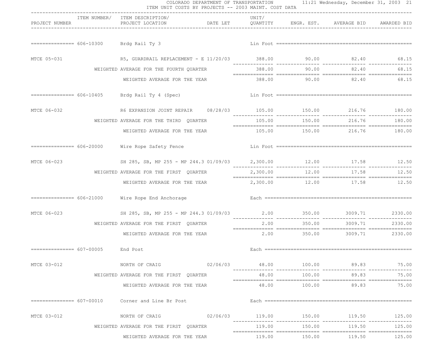|                                    |                                         | COLORADO DEPARTMENT OF TRANSPORTATION 11:21 Wednesday, December 31, 2003 21<br>ITEM UNIT COSTS BY PROJECTS -- 2003 MAINT. COST DATA<br>------------------------------ |                                                      |          |                    |                                     |               |  |  |  |
|------------------------------------|-----------------------------------------|-----------------------------------------------------------------------------------------------------------------------------------------------------------------------|------------------------------------------------------|----------|--------------------|-------------------------------------|---------------|--|--|--|
| PROJECT NUMBER                     |                                         | ITEM NUMBER/ ITEM DESCRIPTION/<br>PROJECT LOCATION                                                                                                                    | DATE LET OUANTITY ENGR. EST. AVERAGE BID AWARDED BID | UNIT/    |                    |                                     |               |  |  |  |
|                                    |                                         | ============== 606-10300 Brdg Rail Ty 3                                                                                                                               |                                                      |          |                    |                                     |               |  |  |  |
| MTCE 05-031                        |                                         | R5, GUARDRAIL REPLACEMENT - E 11/20/03 388.00 90.00 308.40 82.40 68.15                                                                                                |                                                      |          |                    |                                     |               |  |  |  |
|                                    | WEIGHTED AVERAGE FOR THE FOURTH OUARTER |                                                                                                                                                                       |                                                      |          | 388.00 90.00 82.40 | 68.15                               |               |  |  |  |
|                                    |                                         | WEIGHTED AVERAGE FOR THE YEAR                                                                                                                                         |                                                      |          |                    | 388.00 90.00 82.40 68.15            |               |  |  |  |
|                                    |                                         | $=========== 606-10405$ Brdg Rail Ty 4 (Spec)                                                                                                                         |                                                      |          |                    |                                     |               |  |  |  |
| MTCE 06-032                        |                                         |                                                                                                                                                                       |                                                      |          |                    |                                     |               |  |  |  |
|                                    |                                         | WEIGHTED AVERAGE FOR THE THIRD QUARTER                                                                                                                                |                                                      |          | 105.00 150.00      |                                     | 216.76 180.00 |  |  |  |
|                                    |                                         | WEIGHTED AVERAGE FOR THE YEAR                                                                                                                                         |                                                      |          |                    | 105.00 150.00 216.76 180.00         |               |  |  |  |
|                                    |                                         | ============== 606-20000 Wire Rope Safety Fence                                                                                                                       |                                                      |          |                    |                                     |               |  |  |  |
| MTCE 06-023                        |                                         | SH 285, SB, MP 255 - MP 244.3 01/09/03 2, 300.00 12.00 17.58 12.50                                                                                                    |                                                      |          |                    |                                     |               |  |  |  |
|                                    |                                         | WEIGHTED AVERAGE FOR THE FIRST QUARTER                                                                                                                                |                                                      | 2,300.00 | 12.00              |                                     | 17.58 12.50   |  |  |  |
|                                    |                                         | WEIGHTED AVERAGE FOR THE YEAR                                                                                                                                         |                                                      |          |                    | 2,300.00 12.00 17.58 12.50          |               |  |  |  |
|                                    |                                         | ============== 606-21000 Wire Rope End Anchorage                                                                                                                      |                                                      |          |                    |                                     |               |  |  |  |
| MTCE 06-023                        |                                         | SH 285, SB, MP 255 - MP 244.3 01/09/03 2.00 350.00 350.00 3009.71 2330.00                                                                                             |                                                      |          |                    |                                     |               |  |  |  |
|                                    |                                         | WEIGHTED AVERAGE FOR THE FIRST QUARTER                                                                                                                                |                                                      | 2.00     | 350.00             | 3009.71                             | 2330.00       |  |  |  |
|                                    |                                         | WEIGHTED AVERAGE FOR THE YEAR                                                                                                                                         |                                                      |          |                    | $2.00$ $350.00$ $3009.71$ $2330.00$ |               |  |  |  |
| =============== 607-00005 End Post |                                         |                                                                                                                                                                       |                                                      |          |                    |                                     |               |  |  |  |
| MTCE 03-012                        |                                         | NORTH OF CRAIG 02/06/03                                                                                                                                               |                                                      |          |                    |                                     |               |  |  |  |
|                                    |                                         | WEIGHTED AVERAGE FOR THE FIRST OUARTER                                                                                                                                |                                                      | 48.00    | 100.00             | 89.83                               | 75.00         |  |  |  |
|                                    |                                         | WEIGHTED AVERAGE FOR THE YEAR                                                                                                                                         |                                                      |          |                    | 48.00 100.00 89.83                  | 75.00         |  |  |  |
|                                    |                                         | ============== 607-00010 Corner and Line Br Post                                                                                                                      |                                                      |          |                    |                                     |               |  |  |  |
| MTCE 03-012                        |                                         |                                                                                                                                                                       |                                                      |          |                    |                                     |               |  |  |  |
|                                    |                                         | WEIGHTED AVERAGE FOR THE FIRST QUARTER                                                                                                                                |                                                      |          |                    |                                     | 125.00        |  |  |  |
|                                    |                                         | WEIGHTED AVERAGE FOR THE YEAR                                                                                                                                         |                                                      |          |                    | $119.00$ $150.00$ $119.50$ $125.00$ |               |  |  |  |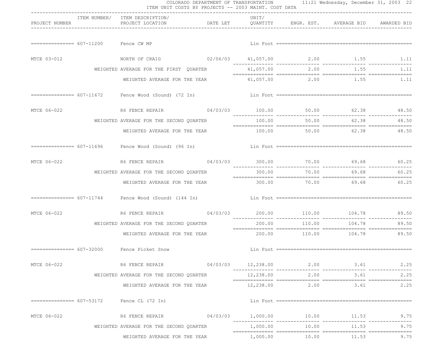|                                      |                                                                                                                | COLORADO DEPARTMENT OF TRANSPORTATION 11:21 Wednesday, December 31, 2003 22<br>ITEM UNIT COSTS BY PROJECTS -- 2003 MAINT. COST DATA |        |                |                                                                                                                                                                                                                                                                                                                                                                                                                                                                                                               |       |
|--------------------------------------|----------------------------------------------------------------------------------------------------------------|-------------------------------------------------------------------------------------------------------------------------------------|--------|----------------|---------------------------------------------------------------------------------------------------------------------------------------------------------------------------------------------------------------------------------------------------------------------------------------------------------------------------------------------------------------------------------------------------------------------------------------------------------------------------------------------------------------|-------|
| PROJECT NUMBER                       | ITEM NUMBER/ ITEM DESCRIPTION/<br>PROJECT LOCATION <b>DATE LET</b> QUANTITY ENGR. EST. AVERAGE BID AWARDED BID | ------------------------------                                                                                                      | UNIT/  |                |                                                                                                                                                                                                                                                                                                                                                                                                                                                                                                               |       |
| ============== 607-11200 Fence CW MP |                                                                                                                |                                                                                                                                     |        |                |                                                                                                                                                                                                                                                                                                                                                                                                                                                                                                               |       |
| MTCE 03-012                          | NORTH OF CRAIG 62/06/03 41,057.00 2.00 1.55 1.11                                                               |                                                                                                                                     |        |                |                                                                                                                                                                                                                                                                                                                                                                                                                                                                                                               |       |
|                                      | WEIGHTED AVERAGE FOR THE FIRST QUARTER                                                                         |                                                                                                                                     |        |                | 41,057.00 2.00 1.55                                                                                                                                                                                                                                                                                                                                                                                                                                                                                           | 1.11  |
|                                      | WEIGHTED AVERAGE FOR THE YEAR                                                                                  |                                                                                                                                     |        |                | 41,057.00 2.00 1.55 1.11                                                                                                                                                                                                                                                                                                                                                                                                                                                                                      |       |
|                                      |                                                                                                                |                                                                                                                                     |        |                |                                                                                                                                                                                                                                                                                                                                                                                                                                                                                                               |       |
| MTCE 06-022                          |                                                                                                                |                                                                                                                                     |        |                |                                                                                                                                                                                                                                                                                                                                                                                                                                                                                                               |       |
|                                      | WEIGHTED AVERAGE FOR THE SECOND QUARTER                                                                        |                                                                                                                                     |        |                | 100.00 50.00 62.38                                                                                                                                                                                                                                                                                                                                                                                                                                                                                            | 48.50 |
|                                      | WEIGHTED AVERAGE FOR THE YEAR                                                                                  |                                                                                                                                     |        |                | 100.00 50.00 62.38 48.50                                                                                                                                                                                                                                                                                                                                                                                                                                                                                      |       |
|                                      | =============== 607-11696 Fence Wood (Sound) (96 In)                                                           |                                                                                                                                     |        |                |                                                                                                                                                                                                                                                                                                                                                                                                                                                                                                               |       |
| MTCE 06-022                          |                                                                                                                |                                                                                                                                     |        |                |                                                                                                                                                                                                                                                                                                                                                                                                                                                                                                               |       |
|                                      | WEIGHTED AVERAGE FOR THE SECOND QUARTER                                                                        |                                                                                                                                     | 300.00 |                | 70.00 69.68                                                                                                                                                                                                                                                                                                                                                                                                                                                                                                   | 60.25 |
|                                      | WEIGHTED AVERAGE FOR THE YEAR                                                                                  |                                                                                                                                     |        |                | $\begin{minipage}{0.9\linewidth} \begin{tabular}{l} \multicolumn{2}{c}{\textbf{1}} & \multicolumn{2}{c}{\textbf{2}} & \multicolumn{2}{c}{\textbf{3}} & \multicolumn{2}{c}{\textbf{4}} & \multicolumn{2}{c}{\textbf{5}} & \multicolumn{2}{c}{\textbf{6}} & \multicolumn{2}{c}{\textbf{7}} & \multicolumn{2}{c}{\textbf{8}} & \multicolumn{2}{c}{\textbf{9}} & \multicolumn{2}{c}{\textbf{1}} & \multicolumn{2}{c}{\textbf{1}} & \multicolumn{2}{c}{\textbf{1}} & \multicolumn{2}{$<br>300.00 70.00 69.68 60.25 |       |
|                                      |                                                                                                                |                                                                                                                                     |        |                |                                                                                                                                                                                                                                                                                                                                                                                                                                                                                                               |       |
| MTCE 06-022                          |                                                                                                                |                                                                                                                                     |        |                |                                                                                                                                                                                                                                                                                                                                                                                                                                                                                                               |       |
|                                      | WEIGHTED AVERAGE FOR THE SECOND QUARTER                                                                        |                                                                                                                                     | 200.00 | 110.00         | 104.78                                                                                                                                                                                                                                                                                                                                                                                                                                                                                                        | 89.50 |
|                                      | WEIGHTED AVERAGE FOR THE YEAR                                                                                  |                                                                                                                                     |        |                | 200.00 110.00 104.78 89.50                                                                                                                                                                                                                                                                                                                                                                                                                                                                                    |       |
|                                      | =============== 607-32000 Fence Picket Snow                                                                    |                                                                                                                                     |        |                |                                                                                                                                                                                                                                                                                                                                                                                                                                                                                                               |       |
| MTCE 06-022                          | R6 FENCE REPAIR $04/03/03$ $12,238.00$ $2.00$ $3.61$                                                           |                                                                                                                                     |        |                |                                                                                                                                                                                                                                                                                                                                                                                                                                                                                                               | 2.25  |
|                                      | WEIGHTED AVERAGE FOR THE SECOND QUARTER                                                                        |                                                                                                                                     |        | 12,238.00 2.00 | 3.61                                                                                                                                                                                                                                                                                                                                                                                                                                                                                                          | 2.25  |
|                                      | WEIGHTED AVERAGE FOR THE YEAR                                                                                  |                                                                                                                                     |        |                | $12,238.00$ 2.00 3.61                                                                                                                                                                                                                                                                                                                                                                                                                                                                                         | 2.25  |
|                                      | $=$ =============== $607-53172$ Fence CL (72 In)                                                               |                                                                                                                                     |        |                |                                                                                                                                                                                                                                                                                                                                                                                                                                                                                                               |       |
| MTCE 06-022                          | R6 FENCE REPAIR $04/03/03$ 1,000.00 10.00 11.53 9.75                                                           |                                                                                                                                     |        |                |                                                                                                                                                                                                                                                                                                                                                                                                                                                                                                               | 9.75  |
|                                      | WEIGHTED AVERAGE FOR THE SECOND QUARTER                                                                        |                                                                                                                                     |        | 1,000.00 10.00 | 11.53                                                                                                                                                                                                                                                                                                                                                                                                                                                                                                         | 9.75  |
|                                      | WEIGHTED AVERAGE FOR THE YEAR                                                                                  |                                                                                                                                     |        |                | 1,000.00 10.00 11.53                                                                                                                                                                                                                                                                                                                                                                                                                                                                                          | 9.75  |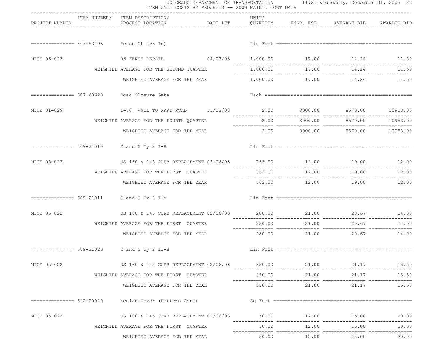|                | ITEM UNIT COSTS BY PROJECTS -- 2003 MAINT. COST DATA                  |                                |        |              | COLORADO DEPARTMENT OF TRANSPORTATION 11:21 Wednesday, December 31, 2003 23 |          |
|----------------|-----------------------------------------------------------------------|--------------------------------|--------|--------------|-----------------------------------------------------------------------------|----------|
| PROJECT NUMBER | ITEM NUMBER/ ITEM DESCRIPTION/<br>PROJECT LOCATION                    | ------------------------------ | UNIT/  |              | DATE LET    QUANTITY    ENGR. EST.    AVERAGE BID    AWARDED BID            |          |
|                | $=$ =============== 607-53196 Fence CL (96 In)                        |                                |        |              |                                                                             |          |
| MTCE 06-022    |                                                                       |                                |        |              |                                                                             |          |
|                | WEIGHTED AVERAGE FOR THE SECOND OUARTER                               |                                |        |              | 1,000.00 17.00 14.24                                                        | 11.50    |
|                | WEIGHTED AVERAGE FOR THE YEAR                                         |                                |        |              | 1,000.00 17.00 14.24 11.50                                                  |          |
|                | ============== 607-60620 Road Closure Gate                            |                                |        |              |                                                                             |          |
| MTCE 01-029    | I-70, VAIL TO WARD ROAD 11/13/03 2.00 8000.00 8570.00 10953.00        |                                |        |              |                                                                             |          |
|                | WEIGHTED AVERAGE FOR THE FOURTH QUARTER                               |                                | 2.00   |              | 8000.00 8570.00                                                             | 10953.00 |
|                | WEIGHTED AVERAGE FOR THE YEAR                                         |                                |        |              | $2.00$ $8000.00$ $8570.00$ $10953.00$                                       |          |
|                |                                                                       |                                |        |              |                                                                             |          |
| MTCE 05-022    | US 160 & 145 CURB REPLACEMENT 02/06/03 762.00 12.00 12.00 19.00 12.00 |                                |        |              |                                                                             |          |
|                | WEIGHTED AVERAGE FOR THE FIRST QUARTER                                |                                |        | 762.00 12.00 | 19.00                                                                       | 12.00    |
|                | WEIGHTED AVERAGE FOR THE YEAR                                         |                                |        |              | 762.00    12.00    19.00    19.00    12.00                                  |          |
|                | ============== 609-21011 C and G Ty 2 I-M                             |                                |        |              |                                                                             |          |
| MTCE 05-022    | US 160 & 145 CURB REPLACEMENT 02/06/03 280.00 21.00 21.00 20.67 14.00 |                                |        |              |                                                                             |          |
|                | WEIGHTED AVERAGE FOR THE FIRST QUARTER                                |                                | 280.00 | 21.00        | 20.67                                                                       | 14.00    |
|                | WEIGHTED AVERAGE FOR THE YEAR                                         |                                |        |              | $280.00$ $21.00$ $20.67$ $14.00$                                            |          |
|                | ============== 609-21020 C and G Ty 2 II-B                            |                                |        |              |                                                                             |          |
| MTCE 05-022    | US 160 & 145 CURB REPLACEMENT 02/06/03 350.00 21.00 21.17 15.50       |                                |        |              |                                                                             |          |
|                | WEIGHTED AVERAGE FOR THE FIRST OUARTER                                |                                | 350.00 | 21.00        | 21.17                                                                       | 15.50    |
|                | WEIGHTED AVERAGE FOR THE YEAR                                         |                                |        |              | 350.00 21.00 21.17                                                          | 15.50    |
|                | ============== 610-00020 Median Cover (Pattern Conc)                  |                                |        |              |                                                                             |          |
| MTCE 05-022    | US 160 & 145 CURB REPLACEMENT 02/06/03 50.00 12.00 12.00 15.00        |                                |        |              |                                                                             | 20.00    |
|                | WEIGHTED AVERAGE FOR THE FIRST QUARTER                                |                                | 50.00  | 12.00        | 15.00                                                                       | 20.00    |
|                | WEIGHTED AVERAGE FOR THE YEAR                                         |                                |        |              | 50.00 12.00 15.00                                                           | 20.00    |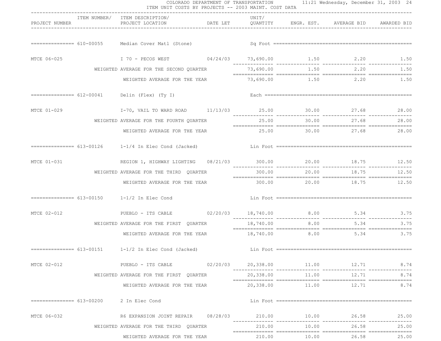|                | ITEM UNIT COSTS BY PROJECTS -- 2003 MAINT. COST DATA                                                           |                                |           |                 | COLORADO DEPARTMENT OF TRANSPORTATION 11:21 Wednesday, December 31, 2003 24 |             |
|----------------|----------------------------------------------------------------------------------------------------------------|--------------------------------|-----------|-----------------|-----------------------------------------------------------------------------|-------------|
| PROJECT NUMBER | ITEM NUMBER/ ITEM DESCRIPTION/<br>PROJECT LOCATION <b>DATE LET</b> QUANTITY ENGR. EST. AVERAGE BID AWARDED BID | ------------------------------ | UNIT/     |                 |                                                                             |             |
|                |                                                                                                                |                                |           |                 |                                                                             |             |
| MTCE 06-025    | I 70 - PECOS WEST 09/24/03 73,690.00 1.50 2.20 1.50                                                            |                                |           |                 |                                                                             |             |
|                | WEIGHTED AVERAGE FOR THE SECOND QUARTER                                                                        |                                |           |                 | 73,690.00 1.50 2.20                                                         | 1.50        |
|                | WEIGHTED AVERAGE FOR THE YEAR                                                                                  |                                |           |                 | $73,690.00$ $1.50$ $2.20$ $1.50$                                            |             |
|                | ============== 612-00041 Delin (Flex) (Ty I)                                                                   |                                |           |                 |                                                                             |             |
| MTCE 01-029    | 1-70, VAIL TO WARD ROAD 11/13/03 25.00 30.00 30.00 27.68 28.00                                                 |                                |           |                 |                                                                             |             |
|                | WEIGHTED AVERAGE FOR THE FOURTH QUARTER                                                                        |                                |           |                 | 25.00 30.00 27.68                                                           | 28.00       |
|                | WEIGHTED AVERAGE FOR THE YEAR                                                                                  |                                |           |                 | 25.00 30.00 27.68 28.00                                                     |             |
|                | $=$ $=$ $=$ $=$ $=$ $=$ $=$ $=$ $=$ $=$ $613-00126$ $1-1/4$ In Elec Cond (Jacked)                              |                                |           |                 |                                                                             |             |
| MTCE 01-031    | REGION 1, HIGHWAY LIGHTING  08/21/03  300.00  20.00  18.75  12.50                                              |                                |           |                 |                                                                             |             |
|                | WEIGHTED AVERAGE FOR THE THIRD QUARTER                                                                         |                                | 300.00    | 20.00 00        |                                                                             | 18.75 12.50 |
|                | WEIGHTED AVERAGE FOR THE YEAR                                                                                  |                                |           |                 | 300.00 20.00 18.75 12.50                                                    |             |
|                | $=========== 613-00150$ $1-1/2$ In Elec Cond                                                                   |                                |           |                 |                                                                             |             |
| MTCE 02-012    | PUEBLO - ITS CABLE 02/20/03 18,740.00 8.00 5.34 3.75                                                           |                                |           |                 |                                                                             |             |
|                | WEIGHTED AVERAGE FOR THE FIRST QUARTER                                                                         |                                | 18,740.00 | 8.00            | 5.34                                                                        | 3.75        |
|                | WEIGHTED AVERAGE FOR THE YEAR 18,740.00 8.00 5.34 3.75                                                         |                                |           |                 |                                                                             |             |
|                |                                                                                                                |                                |           |                 |                                                                             |             |
| MTCE 02-012    | 8.74 PUEBLO - ITS CABLE 02/20/03 02/20/03 00 11.00 12.71 8.74                                                  |                                |           |                 |                                                                             | 8.74        |
|                | WEIGHTED AVERAGE FOR THE FIRST QUARTER                                                                         |                                |           | 20,338.00 11.00 | 12.71                                                                       | 8.74        |
|                | WEIGHTED AVERAGE FOR THE YEAR                                                                                  |                                |           |                 | 20,338.00 11.00 12.71                                                       | 8.74        |
|                | $============ 613-00200$ 2 In Elec Cond                                                                        |                                |           |                 |                                                                             |             |
| MTCE 06-032    |                                                                                                                |                                |           |                 |                                                                             | 25.00       |
|                | WEIGHTED AVERAGE FOR THE THIRD QUARTER                                                                         |                                |           |                 | 210.00 10.00 26.58                                                          | 25.00       |
|                | WEIGHTED AVERAGE FOR THE YEAR                                                                                  |                                |           |                 |                                                                             | 25.00       |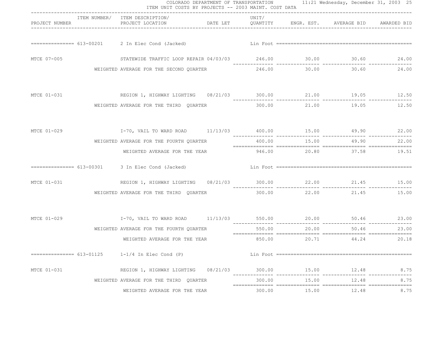|                |                                                                                      |          | COLORADO DEPARTMENT OF TRANSPORTATION 11:21 Wednesday, December 31, 2003 25<br>ITEM UNIT COSTS BY PROJECTS -- 2003 MAINT. COST DATA |              |                          |                |
|----------------|--------------------------------------------------------------------------------------|----------|-------------------------------------------------------------------------------------------------------------------------------------|--------------|--------------------------|----------------|
| PROJECT NUMBER | ITEM NUMBER/ ITEM DESCRIPTION/<br>PROJECT LOCATION                                   | DATE LET | UNIT/<br>QUANTITY                                                                                                                   |              | ENGR. EST. AVERAGE BID   | AWARDED BID    |
|                | ============== 613-00201 2 In Elec Cond (Jacked)                                     |          |                                                                                                                                     |              |                          |                |
| MTCE 07-005    | STATEWIDE TRAFFIC LOOP REPAIR 04/03/03 246.00 30.00 30.00 30.60                      |          |                                                                                                                                     |              |                          | 24.00          |
|                | WEIGHTED AVERAGE FOR THE SECOND QUARTER                                              |          | 246.00                                                                                                                              | 30.00        | 30.60                    | 24.00          |
| MTCE 01-031    | REGION 1, HIGHWAY LIGHTING 08/21/03 300.00 21.00 19.05 12.50                         |          |                                                                                                                                     |              |                          |                |
|                | WEIGHTED AVERAGE FOR THE THIRD QUARTER                                               |          |                                                                                                                                     | 300.00 21.00 | 19.05                    | 12.50          |
| MTCE 01-029    | I-70, VAIL TO WARD ROAD 11/13/03 400.00 15.00 49.90 49.90 22.00                      |          |                                                                                                                                     |              |                          |                |
|                | WEIGHTED AVERAGE FOR THE FOURTH QUARTER                                              |          |                                                                                                                                     | 400.00 15.00 |                          | 49.90<br>22.00 |
|                | WEIGHTED AVERAGE FOR THE YEAR                                                        |          |                                                                                                                                     |              | 946.00 20.80 37.58 19.51 |                |
|                | ============== 613-00301 3 In Elec Cond (Jacked)                                     |          |                                                                                                                                     |              |                          |                |
| MTCE 01-031    | REGION 1, HIGHWAY LIGHTING 08/21/03 300.00 22.00 21.45 15.00                         |          |                                                                                                                                     |              |                          |                |
|                | WEIGHTED AVERAGE FOR THE THIRD QUARTER                                               |          |                                                                                                                                     | 300.00 22.00 | 21.45                    | 15.00          |
| MTCE 01-029    | I-70, VAIL TO WARD ROAD     11/13/03      550.00       20.00       50.46       23.00 |          |                                                                                                                                     |              |                          |                |
|                | WEIGHTED AVERAGE FOR THE FOURTH OUARTER                                              |          | 550.00                                                                                                                              | 20.00        | 50.46                    | 23.00          |
|                | WEIGHTED AVERAGE FOR THE YEAR                                                        |          | 850.00                                                                                                                              | 20.71        | 44.24                    | 20.18          |
|                | $=$ $=$ $=$ $=$ $=$ $=$ $=$ $=$ $613-01125$ $1-1/4$ In Elec Cond (P)                 |          |                                                                                                                                     |              |                          |                |
| MTCE 01-031    | REGION 1, HIGHWAY LIGHTING $08/21/03$ 300.00 15.00 12.48 8.75                        |          |                                                                                                                                     |              |                          |                |
|                | WEIGHTED AVERAGE FOR THE THIRD QUARTER                                               |          | 300.00                                                                                                                              | 15.00        | 12.48                    | 8.75           |
|                | WEIGHTED AVERAGE FOR THE YEAR                                                        |          |                                                                                                                                     |              |                          | 8.75           |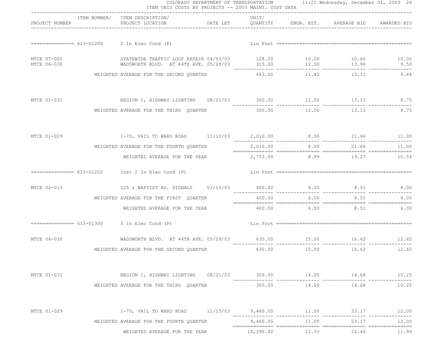|                            | ITEM NUMBER/ ITEM DESCRIPTION/                                                                                                                                                     | UNIT/       |                                  |                               |       |
|----------------------------|------------------------------------------------------------------------------------------------------------------------------------------------------------------------------------|-------------|----------------------------------|-------------------------------|-------|
| PROJECT NUMBER             | PROJECT LOCATION <b>DATE LET</b> QUANTITY ENGR. EST. AVERAGE BID AWARDED BID                                                                                                       |             |                                  |                               |       |
|                            |                                                                                                                                                                                    |             |                                  |                               |       |
| MTCE 07-005<br>MTCE 06-030 | STATEWIDE TRAFFIC LOOP REPAIR 04/03/03 128.00 10.00 10.00 10.60 10.00 10.00 NADSWORTH BLVD. AT 44TH AVE. 05/29/03 135.00 12.00 13.96 9.50<br>WADSWORTH BLVD. AT 44TH AVE. 05/29/03 |             |                                  |                               |       |
|                            | WEIGHTED AVERAGE FOR THE SECOND OUARTER                                                                                                                                            |             |                                  | 443.00 11.42 13.11            | 9.64  |
| MTCE 01-031                | REGION 1, HIGHWAY LIGHTING  08/21/03  300.00  12.00  13.13  8.75                                                                                                                   |             |                                  |                               |       |
|                            | WEIGHTED AVERAGE FOR THE THIRD QUARTER                                                                                                                                             | 300.00      | 12.00                            | 13.13                         | 8.75  |
|                            |                                                                                                                                                                                    |             |                                  |                               |       |
|                            | WEIGHTED AVERAGE FOR THE FOURTH QUARTER                                                                                                                                            |             |                                  | 2,010.00 8.00 21.66 11.00     |       |
|                            | WEIGHTED AVERAGE FOR THE YEAR                                                                                                                                                      |             |                                  | 2,753.00 8.99 19.27 10.54     |       |
|                            | =============== 613-01202 Inst 2 In Elec Cond (P)                                                                                                                                  |             |                                  |                               |       |
| MTCE 02-013                | 125 & BAPTIST RD. SIGNALS 03/13/03 400.00 6.00 6.00 8.51 6.00                                                                                                                      |             | -------------- --------------- - |                               |       |
|                            | WEIGHTED AVERAGE FOR THE FIRST QUARTER                                                                                                                                             | 400.00      | 6.00                             | 8.51                          | 6.00  |
|                            | WEIGHTED AVERAGE FOR THE YEAR                                                                                                                                                      |             |                                  | $400.00$ $6.00$ $8.51$ $6.00$ |       |
|                            | $=$ $=$ $=$ $=$ $=$ $=$ $=$ $=$ $613-01300$ 3 In Elec Cond (P)                                                                                                                     |             |                                  |                               |       |
| MTCE 06-030                | WADSWORTH BLVD. AT 44TH AVE. 05/29/03 630.00 15.00 16.62 12.65                                                                                                                     |             |                                  |                               |       |
|                            | WEIGHTED AVERAGE FOR THE SECOND QUARTER                                                                                                                                            |             |                                  | 630.00 15.00 16.62 12.65      |       |
| MTCE 01-031                | REGION 1, HIGHWAY LIGHTING 08/21/03 300.00 14.00 14.68 10.25                                                                                                                       |             |                                  |                               |       |
|                            | WEIGHTED AVERAGE FOR THE THIRD OUARTER                                                                                                                                             | 300.00      | 14.00                            | 14.68                         | 10.25 |
| MTCE 01-029                | $I-70$ , VAIL TO WARD ROAD $11/13/03$ $9,460.00$ $11.00$ $23.17$                                                                                                                   | ___________ |                                  |                               | 12.00 |
|                            | WEIGHTED AVERAGE FOR THE FOURTH QUARTER                                                                                                                                            | 9,460.00    | 11.00                            | 23.17                         | 12.00 |
|                            | WEIGHTED AVERAGE FOR THE YEAR                                                                                                                                                      | 10,390.00   | 11.33                            | 22.46                         | 11.99 |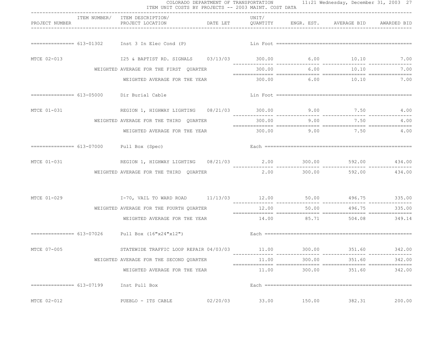|                | ITEM UNIT COSTS BY PROJECTS -- 2003 MAINT. COST DATA                                                                                                     | COLORADO DEPARTMENT OF TRANSPORTATION 11:21 Wednesday, December 31, 2003 27 |       |             |                                   |        |
|----------------|----------------------------------------------------------------------------------------------------------------------------------------------------------|-----------------------------------------------------------------------------|-------|-------------|-----------------------------------|--------|
| PROJECT NUMBER | ITEM NUMBER/ ITEM DESCRIPTION/<br>PROJECT LOCATION                       DATE LET          QUANTITY        ENGR. EST.       AVERAGE BID      AWARDED BID | ----------------------------------                                          | UNIT/ |             |                                   |        |
|                |                                                                                                                                                          |                                                                             |       |             |                                   |        |
| MTCE 02-013    | 125 & BAPTIST RD. SIGNALS 03/13/03 300.00 6.00 10.10 7.00                                                                                                |                                                                             |       |             |                                   |        |
|                | WEIGHTED AVERAGE FOR THE FIRST OUARTER                                                                                                                   |                                                                             |       |             | 300.00 6.00 10.10                 | 7.00   |
|                | WEIGHTED AVERAGE FOR THE YEAR                                                                                                                            |                                                                             |       |             | $300.00$ $6.00$ $10.10$ $7.00$    |        |
|                | =============== 613-05000 Dir Burial Cable                                                                                                               |                                                                             |       |             |                                   |        |
| MTCE 01-031    | REGION 1, HIGHWAY LIGHTING  08/21/03  300.00  9.00  7.50  4.00                                                                                           |                                                                             |       |             |                                   |        |
|                | WEIGHTED AVERAGE FOR THE THIRD QUARTER                                                                                                                   |                                                                             |       | 300.00 9.00 | 7.50                              | 4.00   |
|                | WEIGHTED AVERAGE FOR THE YEAR                                                                                                                            |                                                                             |       |             | $300.00$ 9.00 7.50 4.00           |        |
|                | $=$ ============== $613-07000$ Pull Box (Spec)                                                                                                           |                                                                             |       |             |                                   |        |
|                | MTCE 01-031 REGION 1, HIGHWAY LIGHTING $08/21/03$ 2.00 300.00 592.00 434.00                                                                              |                                                                             |       |             |                                   |        |
|                | WEIGHTED AVERAGE FOR THE THIRD QUARTER                                                                                                                   |                                                                             |       |             | $2.00$ $300.00$ $592.00$ $434.00$ |        |
|                |                                                                                                                                                          |                                                                             |       |             |                                   |        |
|                | WEIGHTED AVERAGE FOR THE FOURTH QUARTER                                                                                                                  |                                                                             |       |             | 12.00 50.00 496.75 335.00         |        |
|                | WEIGHTED AVERAGE FOR THE YEAR 14.00 85.71 504.08 349.14                                                                                                  |                                                                             |       |             |                                   |        |
|                |                                                                                                                                                          |                                                                             |       |             |                                   |        |
| MTCE 07-005    | STATEWIDE TRAFFIC LOOP REPAIR 04/03/03 11.00 300.00 351.60 351.60 342.00                                                                                 |                                                                             |       |             |                                   |        |
|                | WEIGHTED AVERAGE FOR THE SECOND QUARTER                                                                                                                  |                                                                             | 11.00 | 300.00      | 351.60                            | 342.00 |
|                | WEIGHTED AVERAGE FOR THE YEAR                                                                                                                            |                                                                             | 11.00 | 300.00      | 351.60                            | 342.00 |
|                | Inst Pull Box                                                                                                                                            |                                                                             |       |             |                                   |        |
| MTCE 02-012    | PUEBLO - ITS CABLE                                                                                                                                       | 02/20/03                                                                    | 33.00 | 150.00      | 382.31                            | 200.00 |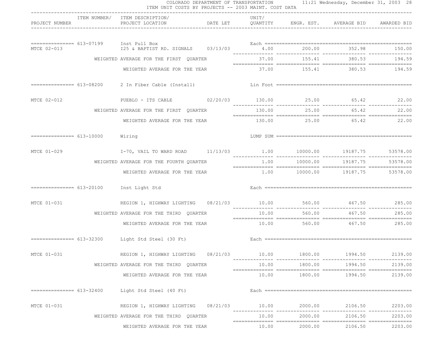|                            |                                 | ITEM UNIT COSTS BY PROJECTS -- 2003 MAINT. COST DATA             |        |         | COLORADO DEPARTMENT OF TRANSPORTATION 11:21 Wednesday, December 31, 2003 28 |                |
|----------------------------|---------------------------------|------------------------------------------------------------------|--------|---------|-----------------------------------------------------------------------------|----------------|
| PROJECT NUMBER             |                                 | ITEM NUMBER/ ITEM DESCRIPTION/<br>PROJECT LOCATION               | UNIT/  |         | DATE LET QUANTITY ENGR. EST. AVERAGE BID AWARDED BID                        |                |
|                            | $\frac{1}{2}$                   | 125 & BAPTIST RD. SIGNALS 03/13/03 4.00 200.00 352.98 150.00     |        |         |                                                                             |                |
| MTCE 02-013                |                                 |                                                                  |        |         |                                                                             |                |
|                            |                                 | WEIGHTED AVERAGE FOR THE FIRST QUARTER                           | 37.00  | 155.41  | 380.53                                                                      | 194.59         |
|                            |                                 | WEIGHTED AVERAGE FOR THE YEAR                                    |        |         | 37.00    155.41    380.53    194.59                                         |                |
|                            |                                 | =============== 613-08200  2 In Fiber Cable (Install)            |        |         |                                                                             |                |
| MTCE 02-012                |                                 | PUEBLO - ITS CABLE 02/20/03 130.00 25.00 65.42 22.00             |        |         |                                                                             | ______________ |
|                            |                                 | WEIGHTED AVERAGE FOR THE FIRST QUARTER                           | 130.00 | 25.00   | 65.42                                                                       | 22.00          |
|                            |                                 | WEIGHTED AVERAGE FOR THE YEAR 130.00 25.00 65.42 22.00           |        |         |                                                                             |                |
|                            | ============== 613-10000 Wiring |                                                                  |        |         |                                                                             |                |
| MTCE 01-029                |                                 | I-70, VAIL TO WARD ROAD 11/13/03 1.00 10000.00 19187.75 53578.00 |        |         |                                                                             |                |
|                            |                                 | WEIGHTED AVERAGE FOR THE FOURTH QUARTER                          |        |         | $1.00$ $10000.00$ $19187.75$ 53578.00                                       |                |
|                            |                                 | WEIGHTED AVERAGE FOR THE YEAR                                    |        |         | $1.00$ $10000.00$ $19187.75$                                                | 53578.00       |
|                            |                                 | $=$ $=$ $=$ $=$ $=$ $=$ $=$ $=$ $=$ $613-20100$ Inst Light Std   |        |         |                                                                             |                |
| MTCE 01-031                |                                 | REGION 1, HIGHWAY LIGHTING 08/21/03 10.00 560.00 467.50 285.00   |        |         |                                                                             |                |
|                            |                                 | WEIGHTED AVERAGE FOR THE THIRD QUARTER                           | 10.00  | 560.00  | 467.50                                                                      | 285.00         |
|                            |                                 | WEIGHTED AVERAGE FOR THE YEAR                                    |        |         | $10.00$ 560.00 $467.50$ 285.00                                              |                |
|                            |                                 | =============== 613-32300 Light Std Steel (30 Ft)                |        |         |                                                                             |                |
| MTCE 01-031                |                                 | REGION 1, HIGHWAY LIGHTING 08/21/03                              | 10.00  | 1800.00 | 1994.50                                                                     | 2139.00        |
|                            |                                 | WEIGHTED AVERAGE FOR THE THIRD QUARTER                           | 10.00  | 1800.00 | 1994.50                                                                     | 2139.00        |
|                            |                                 | WEIGHTED AVERAGE FOR THE YEAR                                    | 10.00  | 1800.00 | 1994.50                                                                     | 2139.00        |
| ================ 613-32400 |                                 | Light Std Steel (40 Ft)                                          |        |         |                                                                             |                |
| MTCE 01-031                |                                 | REGION 1, HIGHWAY LIGHTING 08/21/03 10.00                        |        | 2000.00 | 2106.50                                                                     | 2203.00        |
|                            |                                 | WEIGHTED AVERAGE FOR THE THIRD QUARTER                           | 10.00  | 2000.00 | 2106.50                                                                     | 2203.00        |
|                            |                                 | WEIGHTED AVERAGE FOR THE YEAR                                    | 10.00  | 2000.00 | 2106.50                                                                     | 2203.00        |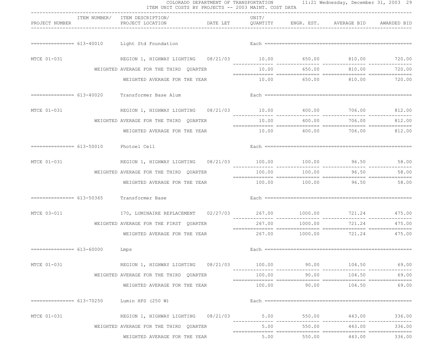|                                        | ------------------------------                                        |        |                |                                      |        |
|----------------------------------------|-----------------------------------------------------------------------|--------|----------------|--------------------------------------|--------|
| PROJECT NUMBER                         | ITEM NUMBER/ ITEM DESCRIPTION/<br>PROJECT LOCATION                    | UNIT/  |                |                                      |        |
|                                        | ============== 613-40010 Light Std Foundation                         |        |                |                                      |        |
| MTCE 01-031                            | REGION 1, HIGHWAY LIGHTING 08/21/03 10.00 650.00 810.00 810.00 720.00 |        |                |                                      |        |
|                                        | WEIGHTED AVERAGE FOR THE THIRD QUARTER                                |        | 10.00 650.00   | 810.00                               | 720.00 |
|                                        | WEIGHTED AVERAGE FOR THE YEAR                                         |        |                | $10.00$ 650.00 810.00 720.00         |        |
|                                        | Transformer Base Alum                                                 |        |                |                                      |        |
| MTCE 01-031                            | REGION 1, HIGHWAY LIGHTING 08/21/03 10.00 400.00 706.00 812.00        |        |                |                                      |        |
|                                        | WEIGHTED AVERAGE FOR THE THIRD QUARTER                                |        | 10.00 400.00   | 706.00                               | 812.00 |
|                                        | WEIGHTED AVERAGE FOR THE YEAR                                         |        |                | $10.00$ $400.00$ $706.00$ $812.00$   |        |
| =============== 613-50010 Photoel Cell |                                                                       |        |                |                                      |        |
| MTCE 01-031                            |                                                                       |        |                |                                      |        |
|                                        | WEIGHTED AVERAGE FOR THE THIRD QUARTER                                |        | 100.00 100.00  | 96.50                                | 58.00  |
|                                        | WEIGHTED AVERAGE FOR THE YEAR                                         |        |                | 100.00 100.00 96.50 58.00            |        |
|                                        | ============== 613-50365 Transformer Base                             |        |                |                                      |        |
| MTCE 03-011                            | I70, LUMINAIRE REPLACEMENT 02/27/03 267.00 1000.00 721.24 475.00      |        |                | _______________                      |        |
|                                        | WEIGHTED AVERAGE FOR THE FIRST QUARTER                                | 267.00 | 1000.00        | 721.24                               | 475.00 |
|                                        | WEIGHTED AVERAGE FOR THE YEAR                                         |        |                | $267.00$ $1000.00$ $721.24$ $475.00$ |        |
| =============== 613-60000 Lmps         |                                                                       |        |                |                                      |        |
| MTCE 01-031                            |                                                                       |        |                |                                      | 69.00  |
|                                        | WEIGHTED AVERAGE FOR THE THIRD QUARTER                                | 100.00 | 90.00          | 104.50                               | 69.00  |
|                                        | WEIGHTED AVERAGE FOR THE YEAR                                         |        | $100.00$ 90.00 | 104.50                               | 69.00  |
|                                        | ============== 613-70250 Lumin HPS (250 W)                            |        |                |                                      |        |
| MTCE 01-031                            | REGION 1, HIGHWAY LIGHTING  08/21/03  5.00  550.00  443.00  336.00    |        |                |                                      |        |
|                                        | WEIGHTED AVERAGE FOR THE THIRD QUARTER                                |        |                | 5.00 550.00 443.00                   | 336.00 |
|                                        | WEIGHTED AVERAGE FOR THE YEAR                                         |        |                | $5.00$ $550.00$ $443.00$             | 336.00 |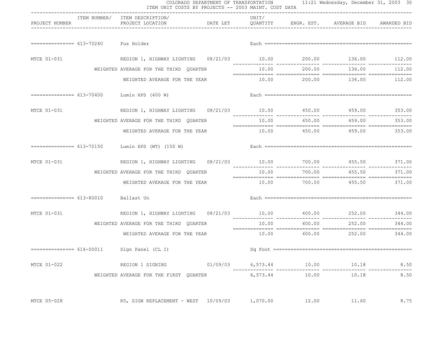|                                      | ITEM UNIT COSTS BY PROJECTS -- 2003 MAINT. COST DATA                |                                    |       |              | COLORADO DEPARTMENT OF TRANSPORTATION 11:21 Wednesday, December 31, 2003 30  |               |
|--------------------------------------|---------------------------------------------------------------------|------------------------------------|-------|--------------|------------------------------------------------------------------------------|---------------|
| PROJECT NUMBER                       | ITEM NUMBER/ ITEM DESCRIPTION/<br>PROJECT LOCATION                  | ---------------------------------- | UNIT/ |              | DATE LET         QUANTITY        ENGR. EST.      AVERAGE BID     AWARDED BID |               |
| ============== 613-70260 Fus Holder  |                                                                     |                                    |       |              |                                                                              |               |
| MTCE 01-031                          |                                                                     |                                    |       |              |                                                                              |               |
|                                      | WEIGHTED AVERAGE FOR THE THIRD QUARTER                              |                                    |       | 10.00 200.00 |                                                                              | 136.00 112.00 |
|                                      | WEIGHTED AVERAGE FOR THE YEAR                                       |                                    |       |              | 10.00  200.00  136.00  112.00                                                |               |
|                                      | $=========== 613-70400$ Lumin HPS (400 W)                           |                                    |       |              |                                                                              |               |
| MTCE 01-031                          | REGION 1, HIGHWAY LIGHTING 08/21/03 10.00 450.00 459.00 353.00      |                                    |       |              |                                                                              |               |
|                                      | WEIGHTED AVERAGE FOR THE THIRD QUARTER                              |                                    |       |              | 10.00  450.00  459.00                                                        | 353.00        |
|                                      | WEIGHTED AVERAGE FOR THE YEAR                                       |                                    |       |              | $10.00$ $450.00$ $459.00$ $353.00$                                           |               |
|                                      | $=$ = = = = = = = = = = = 613-72150 Lumin HPS (WT) (150 W)          |                                    |       |              |                                                                              |               |
| MTCE 01-031                          | REGION 1, HIGHWAY LIGHTING  08/21/03  10.00  700.00  455.50  371.00 |                                    |       |              |                                                                              |               |
|                                      | WEIGHTED AVERAGE FOR THE THIRD QUARTER                              |                                    | 10.00 | 700.00       |                                                                              | 455.50 371.00 |
|                                      | WEIGHTED AVERAGE FOR THE YEAR                                       |                                    |       |              | 10.00 700.00 455.50 371.00                                                   |               |
| =============== 613-80010 Ballast Un |                                                                     |                                    |       |              |                                                                              |               |
| MTCE 01-031                          | REGION 1, HIGHWAY LIGHTING  08/21/03  10.00  400.00  252.00  344.00 |                                    |       |              |                                                                              |               |
|                                      | WEIGHTED AVERAGE FOR THE THIRD QUARTER                              |                                    | 10.00 | 400.00       | 252.00                                                                       | 344.00        |
|                                      | WEIGHTED AVERAGE FOR THE YEAR                                       |                                    |       |              | $10.00$ $400.00$ $252.00$ $344.00$                                           |               |
|                                      | =============== 614-00011 Sign Panel (CL I)                         |                                    |       |              |                                                                              |               |
| MTCE 01-022                          | REGION 1 SIGNING $01/09/03$ 6,573.44 $10.00$ 10.18                  |                                    |       |              |                                                                              | 8.50          |
|                                      | WEIGHTED AVERAGE FOR THE FIRST QUARTER                              |                                    |       |              | 6,573.44 10.00 10.18                                                         | 8.50          |
| MTCE 05-028                          | R5, SIGN REPLACEMENT - WEST 10/09/03 1,070.00                       |                                    |       | 12.00        | 11.60                                                                        | 8.75          |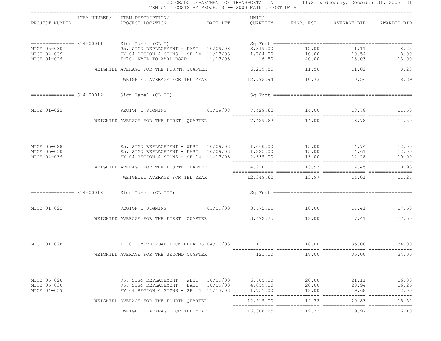|                            | ITEM NUMBER/ ITEM DESCRIPTION/                                                                                                                                                                               |          | UNIT/                |                |                             |                |
|----------------------------|--------------------------------------------------------------------------------------------------------------------------------------------------------------------------------------------------------------|----------|----------------------|----------------|-----------------------------|----------------|
|                            | PROJECT NUMBER THE PROJECT LOCATION DATE LET QUANTITY ENGR. EST. AVERAGE BID AWARDED BID                                                                                                                     |          |                      |                |                             |                |
|                            |                                                                                                                                                                                                              |          |                      |                |                             |                |
|                            |                                                                                                                                                                                                              |          |                      |                |                             |                |
|                            |                                                                                                                                                                                                              |          |                      |                |                             |                |
|                            |                                                                                                                                                                                                              |          |                      |                |                             |                |
|                            | 8.28 EDGETED AVERAGE FOR THE FOURTH QUARTER $6,219.50$ 11.50 $11.50$ 11.02 $8.28$                                                                                                                            |          |                      |                |                             |                |
|                            | WEIGHTED AVERAGE FOR THE YEAR 12,792.94 10.73 10.54 10.54 8.39                                                                                                                                               |          |                      |                |                             |                |
|                            | $=$ = = = = = = = = = = $614-00012$ Sign Panel (CL II)                                                                                                                                                       |          |                      |                |                             |                |
|                            |                                                                                                                                                                                                              |          |                      |                |                             |                |
| MTCE 01-022                | REGION 1 SIGNING $01/09/03$ 7,429.62 14.00 13.78 11.50 11.50                                                                                                                                                 |          |                      |                |                             |                |
|                            | WEIGHTED AVERAGE FOR THE FIRST QUARTER                                                                                                                                                                       |          |                      |                | 7,429.62 14.00 13.78        | 11.50          |
|                            |                                                                                                                                                                                                              |          |                      |                |                             |                |
| MTCE 05-028                |                                                                                                                                                                                                              |          |                      |                |                             |                |
| MTCE 05-030<br>MTCE 04-039 | R5, SIGN REPLACEMENT - WEST 10/09/03 1,060.00 15.00 14.74 12.00<br>R5, SIGN REPLACEMENT - EAST 10/09/03 1,225.00 15.00 15.00 14.61 12.00<br>FY 04 REGION 4 SIGNS - SH 14 11/13/03 2,635.00 13.00 14.28 10.00 |          |                      |                |                             |                |
|                            |                                                                                                                                                                                                              |          |                      |                |                             |                |
|                            | WEIGHTED AVERAGE FOR THE FOURTH QUARTER                                                                                                                                                                      |          |                      |                | 4,920.00 13.93 14.45        | 10.93          |
|                            | WEIGHTED AVERAGE FOR THE YEAR                                                                                                                                                                                |          |                      |                | 12,349.62 13.97 14.01 11.27 |                |
|                            | ============== 614-00013 Sign Panel (CL III)                                                                                                                                                                 |          |                      |                |                             |                |
|                            | MTCE 01-022 REGION 1 SIGNING 01/09/03 3,672.25 18.00 17.41 17.50                                                                                                                                             |          |                      |                |                             |                |
|                            | WEIGHTED AVERAGE FOR THE FIRST QUARTER $3,672.25$ 18.00 17.41 17.50                                                                                                                                          |          |                      |                |                             |                |
|                            |                                                                                                                                                                                                              |          |                      |                |                             |                |
|                            |                                                                                                                                                                                                              |          |                      |                |                             |                |
|                            | WEIGHTED AVERAGE FOR THE SECOND QUARTER                                                                                                                                                                      |          | 121.00               | 18.00          | 35.00                       | 34.00          |
|                            |                                                                                                                                                                                                              |          |                      |                |                             |                |
| MTCE 05-028                | R5, SIGN REPLACEMENT - WEST                                                                                                                                                                                  | 10/09/03 | 6,705.00             | 20.00          | 21.11                       | 16.00          |
| MTCE 05-030<br>MTCE 04-039 | R5, SIGN REPLACEMENT - EAST<br>FY 04 REGION 4 SIGNS - SH 14 11/13/03                                                                                                                                         | 10/09/03 | 4,059.00<br>1,751.00 | 20.00<br>18.00 | 20.94<br>19.68              | 16.25<br>12.00 |
|                            |                                                                                                                                                                                                              |          |                      |                |                             |                |
|                            | WEIGHTED AVERAGE FOR THE FOURTH QUARTER                                                                                                                                                                      |          | 12,515.00            | 19.72          | 20.83                       | 15.52          |
|                            | WEIGHTED AVERAGE FOR THE YEAR                                                                                                                                                                                |          | 16,308.25            | 19.32          | 19.97                       | 16.10          |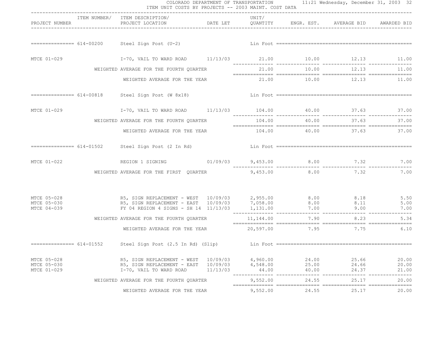| PROJECT NUMBER                            |                           | ITEM NUMBER/ ITEM DESCRIPTION/<br>PROJECT LOCATION DATE LET QUANTITY                                                                                                                               |  | UNIT/       |                                                          | ENGR. EST. AVERAGE BID   | AWARDED BID    |
|-------------------------------------------|---------------------------|----------------------------------------------------------------------------------------------------------------------------------------------------------------------------------------------------|--|-------------|----------------------------------------------------------|--------------------------|----------------|
|                                           |                           |                                                                                                                                                                                                    |  |             |                                                          |                          |                |
|                                           |                           |                                                                                                                                                                                                    |  |             |                                                          |                          |                |
| MTCE 01-029                               |                           | $I-70$ , VAIL TO WARD ROAD $11/13/03$ $21.00$ $10.00$ $12.13$ $11.00$                                                                                                                              |  |             |                                                          |                          |                |
|                                           |                           | WEIGHTED AVERAGE FOR THE FOURTH QUARTER                                                                                                                                                            |  | 21.00 10.00 | 12.13<br>$21.00$ $10.00$ $12.13$ $11.00$ $12.13$ $11.00$ |                          |                |
|                                           |                           | WEIGHTED AVERAGE FOR THE YEAR 21.00 10.00 12.13 11.00                                                                                                                                              |  |             |                                                          |                          |                |
|                                           |                           | ============== 614-00818 Steel Sign Post (W 8x18)                                                                                                                                                  |  |             |                                                          |                          |                |
|                                           |                           | 17.00 11/13/03 104.00 10.00 37.63 37.00 17.00 17.00 17.00 17.00 17.00 17.00 17.00 17.00 17.00 17.00 17.00 17.00                                                                                    |  |             |                                                          |                          |                |
|                                           |                           | WEIGHTED AVERAGE FOR THE FOURTH QUARTER                                                                                                                                                            |  |             | 104.00 40.00                                             | 37.63                    | 37.00          |
|                                           |                           | WEIGHTED AVERAGE FOR THE YEAR 104.00 40.00 40.00 37.63 37.00                                                                                                                                       |  |             |                                                          |                          |                |
|                                           |                           | ============== 614-01502 Steel Sign Post (2 In Rd)                                                                                                                                                 |  |             |                                                          |                          |                |
| MTCE 01-022                               |                           | REGION 1 SIGNING $01/09/03$ 9,453.00 8.00 7.32 7.00                                                                                                                                                |  |             |                                                          |                          |                |
|                                           |                           | WEIGHTED AVERAGE FOR THE FIRST QUARTER                                                                                                                                                             |  | 9,453.00    |                                                          | 8.00 7.32                | 7.00           |
| MTCE 05-028                               |                           |                                                                                                                                                                                                    |  |             |                                                          |                          |                |
| MTCE 05-030<br>MTCE 04-039                |                           | R5, SIGN REPLACEMENT - WEST 10/09/03 2,955.00 8.00 8.18 5.50<br>R5, SIGN REPLACEMENT - EAST 10/09/03 7,058.00 8.00 8.11 5.00<br>FY 04 REGION 4 SIGNS - SH 14 11/13/03 1,131.00 7.00 9.00 9.00 7.00 |  |             |                                                          |                          |                |
|                                           |                           | WEIGHTED AVERAGE FOR THE FOURTH QUARTER                                                                                                                                                            |  |             |                                                          | $11, 144.00$ 7.90 8.23   | 5.34           |
|                                           |                           | WEIGHTED AVERAGE FOR THE YEAR                                                                                                                                                                      |  |             |                                                          | 20,597.00 7.95 7.75 6.10 |                |
|                                           | =============== 614-01552 |                                                                                                                                                                                                    |  |             |                                                          |                          |                |
| MTCE 05-028<br>MTCE 05-030<br>MTCE 01-029 |                           |                                                                                                                                                                                                    |  |             |                                                          |                          |                |
|                                           |                           | WEIGHTED AVERAGE FOR THE FOURTH QUARTER                                                                                                                                                            |  | 9,552.00    | 24.55                                                    | 25.17                    | 20.00          |
|                                           |                           | WEIGHTED AVERAGE FOR THE YEAR                                                                                                                                                                      |  |             | 9,552.00 24.55                                           |                          | 25.17<br>20.00 |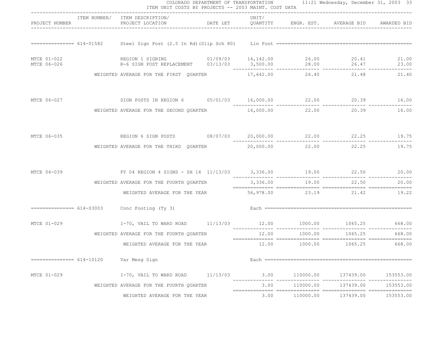|                            | ITEM UNIT COSTS BY PROJECTS -- 2003 MAINT. COST DATA                                                                                                     |          |       |           | COLORADO DEPARTMENT OF TRANSPORTATION 11:21 Wednesday, December 31, 2003 33 |           |
|----------------------------|----------------------------------------------------------------------------------------------------------------------------------------------------------|----------|-------|-----------|-----------------------------------------------------------------------------|-----------|
| PROJECT NUMBER             | ITEM NUMBER/ ITEM DESCRIPTION/<br>PROJECT LOCATION                       DATE LET          QUANTITY        ENGR. EST.       AVERAGE BID      AWARDED BID |          | UNIT/ |           |                                                                             |           |
|                            |                                                                                                                                                          |          |       |           |                                                                             |           |
| MTCE 01-022<br>MTCE 06-026 | REGION 1 SIGNING 01/09/03 14, 142.00 26.00 20.41 21.00<br>R-6 SIGN POST REPLACEMENT 03/13/03 3,500.00 28.00 26.47 23.00                                  |          |       |           |                                                                             | 23.00     |
|                            | WEIGHTED AVERAGE FOR THE FIRST OUARTER                                                                                                                   |          |       |           | 17,642.00 26.40 21.48                                                       | 21.40     |
| MTCE 06-027                | SIGN POSTS IN REGION 6  05/01/03  16,000.00  22.00  20.39  16.00                                                                                         |          |       |           | -------------                                                               |           |
|                            | WEIGHTED AVERAGE FOR THE SECOND QUARTER                                                                                                                  |          |       |           | 16,000.00 22.00 20.39                                                       | 16.00     |
|                            | MTCE 06-035 6 22.25 REGION 6 SIGN POSTS 08/07/03 20,000.00 22.00 22.25 19.75                                                                             |          |       |           |                                                                             |           |
|                            | WEIGHTED AVERAGE FOR THE THIRD QUARTER $20,000.00$ $22.00$ $22.25$                                                                                       |          |       |           |                                                                             | 19.75     |
|                            | MTCE 04-039 6 EY 04 REGION 4 SIGNS - SH 14 11/13/03 3,336.00 19.00 22.50 20.00                                                                           |          |       |           |                                                                             |           |
|                            | WEIGHTED AVERAGE FOR THE FOURTH QUARTER                                                                                                                  |          |       |           | 3,336.00 19.00 22.50 20.00                                                  |           |
|                            | WEIGHTED AVERAGE FOR THE YEAR                                                                                                                            |          |       |           | 56,978.00 23.19 21.42                                                       | 19.22     |
|                            | ============== 614-03003 Conc Footing (Ty 3)                                                                                                             |          |       |           |                                                                             |           |
|                            |                                                                                                                                                          |          |       |           |                                                                             |           |
|                            | WEIGHTED AVERAGE FOR THE FOURTH QUARTER                                                                                                                  |          | 12.00 | 1000.00   | 1065.25                                                                     | 668,00    |
|                            | WEIGHTED AVERAGE FOR THE YEAR                                                                                                                            |          |       |           | 12.00    1000.00    1065.25    668.00                                       |           |
|                            | Var Mesg Sign                                                                                                                                            |          |       |           |                                                                             |           |
| MTCE 01-029                | I-70, VAIL TO WARD ROAD                                                                                                                                  | 11/13/03 | 3.00  | 110000.00 | 137439.00                                                                   | 153553.00 |
|                            | WEIGHTED AVERAGE FOR THE FOURTH QUARTER                                                                                                                  |          | 3.00  | 110000.00 | 137439.00                                                                   | 153553.00 |
|                            | WEIGHTED AVERAGE FOR THE YEAR                                                                                                                            |          | 3.00  | 110000.00 | 137439.00                                                                   | 153553.00 |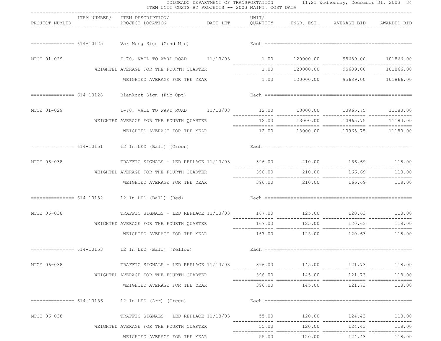|                | ITEM NUMBER/ ITEM DESCRIPTION/                                            | ------------------------------ | UNIT/                           |              |                                                      |               |
|----------------|---------------------------------------------------------------------------|--------------------------------|---------------------------------|--------------|------------------------------------------------------|---------------|
| PROJECT NUMBER | PROJECT LOCATION                                                          |                                |                                 |              | DATE LET QUANTITY ENGR. EST. AVERAGE BID AWARDED BID |               |
|                |                                                                           |                                |                                 |              |                                                      |               |
| MTCE 01-029    | I-70, VAIL TO WARD ROAD 11/13/03 1.00 120000.00 95689.00 101866.00        |                                |                                 |              |                                                      |               |
|                | WEIGHTED AVERAGE FOR THE FOURTH QUARTER                                   |                                |                                 |              | $1.00$ $120000.00$ $95689.00$ $101866.00$            |               |
|                | WEIGHTED AVERAGE FOR THE YEAR                                             |                                |                                 |              | $1.00$ $120000.00$ $95689.00$ $101866.00$            |               |
|                | ============== 614-10128 Blankout Sign (Fib Opt)                          |                                |                                 |              |                                                      |               |
| MTCE 01-029    | I-70, VAIL TO WARD ROAD 11/13/03 12.00 13000.00 10965.75 11180.00         |                                |                                 |              |                                                      |               |
|                | WEIGHTED AVERAGE FOR THE FOURTH OUARTER                                   |                                | 12.00                           | 13000.00     | 10965.75                                             | 11180.00      |
|                | WEIGHTED AVERAGE FOR THE YEAR                                             |                                |                                 |              | 12.00   13000.00   10965.75   11180.00               |               |
|                | $=========== 614-10151$ 12 In LED (Ball) (Green)                          |                                |                                 |              |                                                      |               |
| MTCE 06-038    | TRAFFIC SIGNALS - LED REPLACE 11/13/03 396.00 210.00 166.69 118.00        |                                |                                 |              |                                                      |               |
|                | WEIGHTED AVERAGE FOR THE FOURTH QUARTER                                   |                                |                                 |              | 396.00 210.00 166.69 118.00                          |               |
|                | WEIGHTED AVERAGE FOR THE YEAR                                             |                                |                                 |              | 396.00 210.00 166.69 118.00                          |               |
|                | $========== == 614-10152$ 12 In LED (Ball) (Red)                          |                                |                                 |              |                                                      |               |
| MTCE 06-038    | TRAFFIC SIGNALS - LED REPLACE 11/13/03 167.00 125.00 125.00 120.63 118.00 |                                | --------------- --------------- |              |                                                      |               |
|                | WEIGHTED AVERAGE FOR THE FOURTH QUARTER                                   |                                | 167.00                          | 125.00       | 120.63                                               | 118.00        |
|                | WEIGHTED AVERAGE FOR THE YEAR                                             |                                |                                 |              | $167.00$ $125.00$ $120.63$ $118.00$                  |               |
|                |                                                                           |                                |                                 |              |                                                      |               |
| MTCE 06-038    | TRAFFIC SIGNALS - LED REPLACE 11/13/03 396.00 145.00 121.73 118.00        |                                |                                 |              |                                                      |               |
|                | WEIGHTED AVERAGE FOR THE FOURTH QUARTER                                   |                                | 396.00                          | 145.00       |                                                      | 121.73 118.00 |
|                | WEIGHTED AVERAGE FOR THE YEAR                                             |                                |                                 |              | $396.00$ 145.00 121.73 118.00                        |               |
|                | $=$ $=$ $=$ $=$ $=$ $=$ $=$ $=$ $=$ $614-10156$ 12 In LED (Arr) (Green)   |                                |                                 |              |                                                      |               |
| MTCE 06-038    | TRAFFIC SIGNALS - LED REPLACE 11/13/03 55.00 120.00 124.43 118.00         |                                |                                 |              |                                                      |               |
|                | WEIGHTED AVERAGE FOR THE FOURTH QUARTER                                   |                                |                                 | 55.00 120.00 | 124.43                                               | 118.00        |
|                | WEIGHTED AVERAGE FOR THE YEAR                                             |                                |                                 |              |                                                      |               |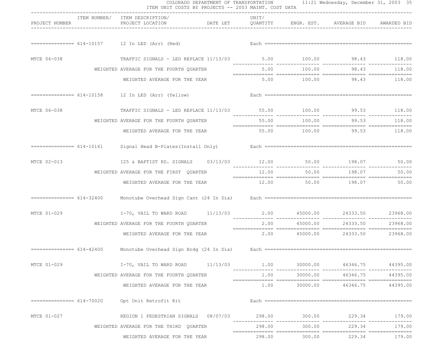|                             | ITEM UNIT COSTS BY PROJECTS -- 2003 MAINT. COST DATA                                                           | --------------------------------- |       |               |                                  |          |
|-----------------------------|----------------------------------------------------------------------------------------------------------------|-----------------------------------|-------|---------------|----------------------------------|----------|
| PROJECT NUMBER              | ITEM NUMBER/ ITEM DESCRIPTION/<br>PROJECT LOCATION <b>DATE LET</b> QUANTITY ENGR. EST. AVERAGE BID AWARDED BID |                                   | UNIT/ |               |                                  |          |
|                             | ============== 614-10157   12 In LED (Arr) (Red)                                                               |                                   |       |               |                                  |          |
| MTCE 06-038                 | TRAFFIC SIGNALS - LED REPLACE 11/13/03 5.00 100.00 98.43 118.00                                                |                                   |       |               |                                  |          |
|                             | WEIGHTED AVERAGE FOR THE FOURTH QUARTER                                                                        |                                   |       |               | $5.00$ $100.00$ $98.43$ $118.00$ |          |
|                             | WEIGHTED AVERAGE FOR THE YEAR                                                                                  |                                   |       |               | $5.00$ $100.00$ $98.43$ $118.00$ |          |
|                             | $=========== 614-10158$ 12 In LED (Arr) (Yellow)                                                               |                                   |       |               |                                  |          |
| MTCE 06-038                 | TRAFFIC SIGNALS - LED REPLACE 11/13/03 55.00 100.00 99.53 118.00                                               |                                   |       |               |                                  |          |
|                             | WEIGHTED AVERAGE FOR THE FOURTH QUARTER                                                                        |                                   |       |               |                                  |          |
|                             | WEIGHTED AVERAGE FOR THE YEAR 55.00 100.00 99.53 118.00                                                        |                                   |       |               |                                  |          |
|                             | Signal Head B-Plates (Install Only)                                                                            |                                   |       |               |                                  |          |
| MTCE 02-013                 | 125 & BAPTIST RD. SIGNALS 03/13/03 12.00 50.00 198.07 50.00                                                    |                                   |       |               |                                  |          |
|                             | WEIGHTED AVERAGE FOR THE FIRST QUARTER                                                                         |                                   | 12.00 |               |                                  | 50.00    |
|                             | WEIGHTED AVERAGE FOR THE YEAR                                                                                  |                                   |       |               | 12.00 50.00 198.07 50.00         |          |
| =============== $614-32400$ |                                                                                                                |                                   |       |               |                                  |          |
| MTCE 01-029                 | I-70, VAIL TO WARD ROAD 11/13/03 2.00 45000.00 24333.50 23968.00                                               |                                   |       |               |                                  |          |
|                             | WEIGHTED AVERAGE FOR THE FOURTH QUARTER                                                                        |                                   | 2.00  | 45000.00      | 24333.50                         | 23968.00 |
|                             | WEIGHTED AVERAGE FOR THE YEAR                                                                                  |                                   |       |               | 2.00 45000.00 24333.50           | 23968.00 |
|                             |                                                                                                                |                                   |       |               |                                  |          |
| MTCE 01-029                 | $I-70$ , VAIL TO WARD ROAD $11/13/03$ $1.00$ $30$                                                              |                                   |       |               | 30000.00 46346.75                | 44395.00 |
|                             | WEIGHTED AVERAGE FOR THE FOURTH QUARTER                                                                        |                                   | 1.00  | 30000.00      | 46346.75                         | 44395.00 |
|                             | WEIGHTED AVERAGE FOR THE YEAR                                                                                  |                                   | 1.00  |               | 30000.00 46346.75                | 44395.00 |
|                             |                                                                                                                |                                   |       |               |                                  |          |
| MTCE 01-027                 | REGION 1 PEDESTRIAN SIGNALS 08/07/03 298.00 300.00 229.34 179.00                                               |                                   |       |               |                                  |          |
|                             | WEIGHTED AVERAGE FOR THE THIRD QUARTER                                                                         |                                   |       | 298.00 300.00 | 229.34                           | 179.00   |
|                             | WEIGHTED AVERAGE FOR THE YEAR                                                                                  |                                   |       |               | 298.00 300.00 229.34 179.00      |          |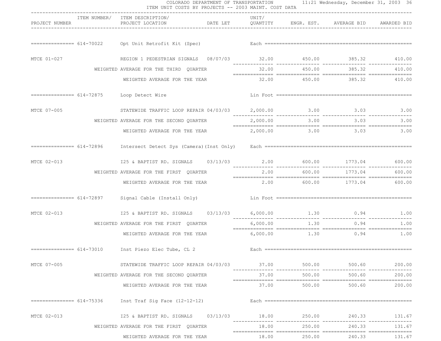|                |                           | ITEM UNIT COSTS BY PROJECTS -- 2003 MAINT. COST DATA<br>------------------------------                                                                                                                                         | COLORADO DEPARTMENT OF TRANSPORTATION 11:21 Wednesday, December 31, 2003 36 |                               |               |                 |
|----------------|---------------------------|--------------------------------------------------------------------------------------------------------------------------------------------------------------------------------------------------------------------------------|-----------------------------------------------------------------------------|-------------------------------|---------------|-----------------|
| PROJECT NUMBER |                           | ITEM NUMBER/ ITEM DESCRIPTION/<br>PROJECT LOCATION                                                                                                                                                                             | UNIT/<br>DATE LET QUANTITY ENGR. EST. AVERAGE BID AWARDED BID               |                               |               |                 |
|                |                           | Each discussed and the set of the Minimum Section of the Minimum Section of the Minimum Section of the Minimum Section of the Minimum Section of the Minimum Section of the Minimum Section of the Minimum Section of the Mini |                                                                             |                               |               |                 |
| MTCE 01-027    |                           | REGION 1 PEDESTRIAN SIGNALS 08/07/03 32.00 450.00 385.32 410.00                                                                                                                                                                |                                                                             |                               |               |                 |
|                |                           | WEIGHTED AVERAGE FOR THE THIRD QUARTER                                                                                                                                                                                         |                                                                             | 32.00 450.00                  |               | 385.32 410.00   |
|                |                           | WEIGHTED AVERAGE FOR THE YEAR                                                                                                                                                                                                  |                                                                             | 32.00  450.00  385.32  410.00 |               |                 |
|                |                           | ============== 614-72875 Loop Detect Wire                                                                                                                                                                                      |                                                                             |                               |               |                 |
| MTCE 07-005    |                           | STATEWIDE TRAFFIC LOOP REPAIR 04/03/03  2,000.00  3.00  3.00  3.03  3.00                                                                                                                                                       |                                                                             |                               |               | --------------- |
|                |                           | WEIGHTED AVERAGE FOR THE SECOND QUARTER                                                                                                                                                                                        | 2,000.00                                                                    |                               | $3.00$ $3.03$ | 3.00            |
|                |                           | WEIGHTED AVERAGE FOR THE YEAR                                                                                                                                                                                                  |                                                                             | 2,000.00 3.00 3.03 3.00       |               |                 |
|                |                           |                                                                                                                                                                                                                                |                                                                             |                               |               |                 |
| MTCE 02-013    |                           | 125 & BAPTIST RD. SIGNALS 03/13/03 2.00 600.00 1773.04 600.00                                                                                                                                                                  |                                                                             |                               |               |                 |
|                |                           | WEIGHTED AVERAGE FOR THE FIRST QUARTER                                                                                                                                                                                         | 2.00                                                                        | 600.00                        |               | 1773.04 600.00  |
|                |                           | WEIGHTED AVERAGE FOR THE YEAR                                                                                                                                                                                                  | $2.00$ 600.00 $1773.04$ 600.00                                              |                               |               |                 |
|                | =============== 614-72897 | Signal Cable (Install Only)                                                                                                                                                                                                    |                                                                             |                               |               |                 |
| MTCE 02-013    |                           | 125 & BAPTIST RD. SIGNALS 03/13/03 6,000.00 1.30 0.94 1.00                                                                                                                                                                     |                                                                             |                               |               |                 |
|                |                           | WEIGHTED AVERAGE FOR THE FIRST QUARTER                                                                                                                                                                                         | 6,000.00                                                                    | 1.30                          | 0.94          | 1.00            |
|                |                           | WEIGHTED AVERAGE FOR THE YEAR 6,000.00 1.30 0.94 1.00                                                                                                                                                                          |                                                                             |                               |               |                 |
|                |                           |                                                                                                                                                                                                                                |                                                                             |                               |               |                 |
| MTCE 07-005    |                           | 500.00 500.60 500.00 500.00 500.00 500.00 500.00 STATEWIDE TRAFFIC LOOP REPAIR 04/03/03                                                                                                                                        |                                                                             |                               |               |                 |
|                |                           | WEIGHTED AVERAGE FOR THE SECOND QUARTER                                                                                                                                                                                        | 37.00                                                                       | 500.00                        | 500.60        | 200.00          |
|                |                           | WEIGHTED AVERAGE FOR THE YEAR                                                                                                                                                                                                  |                                                                             | $37.00$ 500.00 500.60         |               | 200.00          |
|                |                           |                                                                                                                                                                                                                                |                                                                             |                               |               |                 |
| MTCE 02-013    |                           | 125 & BAPTIST RD. SIGNALS 03/13/03 18.00 250.00 240.33 131.67                                                                                                                                                                  |                                                                             |                               |               |                 |
|                |                           | WEIGHTED AVERAGE FOR THE FIRST QUARTER                                                                                                                                                                                         | 18.00                                                                       | 250.00                        | 240.33        | 131.67          |
|                |                           | WEIGHTED AVERAGE FOR THE YEAR                                                                                                                                                                                                  | 18.00                                                                       | 250.00                        |               | 240.33 131.67   |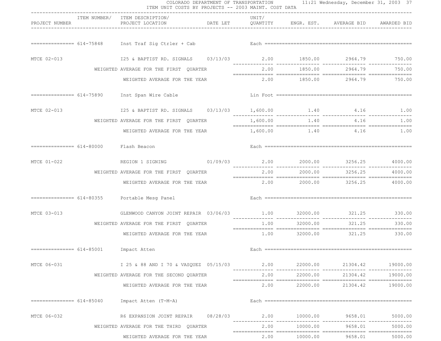|                                       | ITEM UNIT COSTS BY PROJECTS -- 2003 MAINT. COST DATA                  | ------------------------------ |                               |              |                                                                  |                |
|---------------------------------------|-----------------------------------------------------------------------|--------------------------------|-------------------------------|--------------|------------------------------------------------------------------|----------------|
| PROJECT NUMBER                        | ITEM NUMBER/ ITEM DESCRIPTION/<br>PROJECT LOCATION                    |                                | UNIT/                         |              | DATE LET    QUANTITY    ENGR. EST.    AVERAGE BID    AWARDED BID |                |
|                                       |                                                                       |                                |                               |              |                                                                  |                |
| MTCE 02-013                           | 125 & BAPTIST RD. SIGNALS  03/13/03  2.00  1850.00  2964.79  750.00   |                                |                               |              |                                                                  |                |
|                                       | WEIGHTED AVERAGE FOR THE FIRST QUARTER                                |                                |                               | 2.00 1850.00 |                                                                  | 2964.79 750.00 |
|                                       | WEIGHTED AVERAGE FOR THE YEAR                                         |                                |                               |              | 2.00 1850.00 2964.79 750.00                                      |                |
|                                       | ============== 614-75890 Inst Span Wire Cable                         |                                |                               |              |                                                                  |                |
| MTCE 02-013                           | 125 & BAPTIST RD. SIGNALS 03/13/03 1,600.00 1.40 4.16 1.00            |                                |                               |              |                                                                  |                |
|                                       | WEIGHTED AVERAGE FOR THE FIRST QUARTER                                |                                | 1,600.00                      |              | $1.40$ $4.16$                                                    | 1.00           |
|                                       | WEIGHTED AVERAGE FOR THE YEAR                                         |                                |                               |              | $1,600.00$ $1.40$ $4.16$ $1.00$                                  |                |
| ============== 614-80000 Flash Beacon |                                                                       |                                |                               |              |                                                                  |                |
| MTCE 01-022                           | REGION 1 SIGNING 01/09/03 2.00 2000.00 3256.25 4000.00                |                                |                               |              |                                                                  |                |
|                                       | WEIGHTED AVERAGE FOR THE FIRST QUARTER                                |                                | 2.00                          | 2000.00      | 3256.25                                                          | 4000.00        |
|                                       | WEIGHTED AVERAGE FOR THE YEAR                                         |                                |                               |              | $2.00$ $2000.00$ $3256.25$ $4000.00$                             |                |
|                                       | ============== 614-80355 Portable Mesg Panel                          |                                |                               |              |                                                                  |                |
| MTCE 03-013                           | GLENWOOD CANYON JOINT REPAIR 03/06/03 1.00 32000.00 321.25 330.00     |                                | --------------- ------------- |              |                                                                  |                |
|                                       | WEIGHTED AVERAGE FOR THE FIRST QUARTER                                |                                | 1.00                          | 32000.00     | 321.25                                                           | 330.00         |
|                                       | WEIGHTED AVERAGE FOR THE YEAR                                         |                                |                               |              | $1.00$ $32000.00$ $321.25$ $330.00$                              |                |
|                                       | ============== 614-85001 Impact Atten                                 |                                |                               |              |                                                                  |                |
| MTCE 06-031                           | 1 25 & 88 AND I 70 & VASQUEZ 05/15/03 2.00 22000.00 21304.42 19000.00 |                                |                               |              |                                                                  |                |
|                                       | WEIGHTED AVERAGE FOR THE SECOND OUARTER                               |                                | 2.00                          | 22000.00     | 21304.42                                                         | 19000.00       |
|                                       | WEIGHTED AVERAGE FOR THE YEAR                                         |                                | 2.00                          |              | 22000.00 21304.42                                                | 19000.00       |
|                                       | $=$ ============== $614-85040$ Impact Atten (T-M-A)                   |                                |                               |              |                                                                  |                |
| MTCE 06-032                           | R6 EXPANSION JOINT REPAIR 08/28/03 2.00 10000.00 9658.01              |                                |                               |              |                                                                  | 5000.00        |
|                                       | WEIGHTED AVERAGE FOR THE THIRD QUARTER                                |                                | 2.00                          | 10000.00     | 9658.01                                                          | 5000.00        |
|                                       | WEIGHTED AVERAGE FOR THE YEAR                                         |                                | 2.00                          |              | 10000.00 9658.01                                                 | 5000.00        |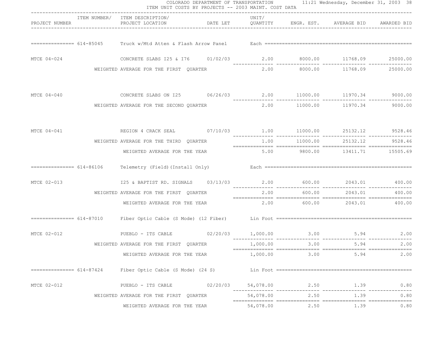| PROJECT NUMBER            | ITEM NUMBER/ ITEM DESCRIPTION/                                                    |          |           |             |                                        |                |
|---------------------------|-----------------------------------------------------------------------------------|----------|-----------|-------------|----------------------------------------|----------------|
|                           |                                                                                   |          |           |             |                                        |                |
|                           |                                                                                   |          |           |             |                                        |                |
| MTCE 04-024               | CONCRETE SLABS I25 & I76 01/02/03 2.00 8000.00 11768.09 25000.00                  |          |           |             |                                        |                |
|                           | WEIGHTED AVERAGE FOR THE FIRST QUARTER                                            |          |           |             | $2.00$ $8000.00$ $11768.09$ $25000.00$ |                |
|                           | MTCE 04-040 CONCRETE SLABS ON I25 06/26/03 2.00 11000.00 11970.34 9000.00         |          |           |             |                                        |                |
|                           | WEIGHTED AVERAGE FOR THE SECOND QUARTER $2.00$ 11000.00 11970.34 9000.00          |          |           |             |                                        |                |
|                           | MTCE 04-041 6528.46                                                               |          |           |             |                                        |                |
|                           | WEIGHTED AVERAGE FOR THE THIRD QUARTER                                            |          |           |             | $1.00$ $11000.00$ $25132.12$ $9528.46$ |                |
|                           | WEIGHTED AVERAGE FOR THE YEAR 69 00000 5.00 9800.00 13411.71 15505.69             |          |           |             |                                        |                |
|                           |                                                                                   |          |           |             |                                        |                |
| MTCE 02-013               | 125 & BAPTIST RD. SIGNALS 03/13/03 2.00 600.00 2043.01 400.00                     |          |           |             |                                        |                |
|                           | WEIGHTED AVERAGE FOR THE FIRST QUARTER                                            |          |           | 2.00 600.00 |                                        | 2043.01 400.00 |
|                           | WEIGHTED AVERAGE FOR THE YEAR                                                     |          |           |             | $2.00$ 600.00 $2043.01$ 400.00         |                |
|                           |                                                                                   |          |           |             |                                        |                |
|                           | MTCE 02-012 602/2000 9100000 1000000 92/20000 1000000 92/2000 92/2000 93.000 5.94 |          |           |             |                                        |                |
|                           | WEIGHTED AVERAGE FOR THE FIRST QUARTER                                            |          | 1,000.00  | 3.00        | 5.94                                   | 2.00           |
|                           | WEIGHTED AVERAGE FOR THE YEAR                                                     |          | 1,000.00  | 3.00        | 5.94                                   | 2.00           |
| =============== 614-87424 | Fiber Optic Cable (S Mode) (24 S)                                                 |          |           |             |                                        |                |
| MTCE 02-012               | PUEBLO - ITS CABLE                                                                | 02/20/03 | 54,078.00 | 2.50        | 1.39                                   | 0.80           |
|                           | WEIGHTED AVERAGE FOR THE FIRST QUARTER                                            |          | 54,078.00 | 2.50        | 1.39                                   | 0.80           |
|                           | WEIGHTED AVERAGE FOR THE YEAR                                                     |          | 54,078.00 | 2.50        | 1.39                                   | 0.80           |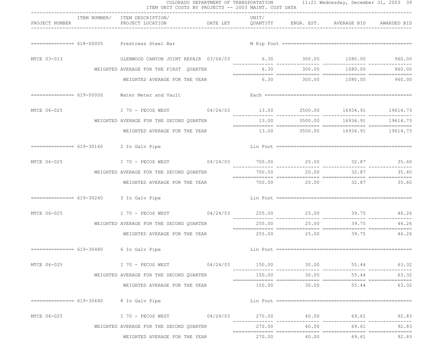|                | ITEM UNIT COSTS BY PROJECTS -- 2003 MAINT. COST DATA                                                                                                                                                                           | ---------------------------------- |        |       |                                         |       |
|----------------|--------------------------------------------------------------------------------------------------------------------------------------------------------------------------------------------------------------------------------|------------------------------------|--------|-------|-----------------------------------------|-------|
| PROJECT NUMBER | ITEM NUMBER/ ITEM DESCRIPTION/<br>PROJECT LOCATION                        DATE LET           QUANTITY         ENGR. EST.       AVERAGE BID      AWARDED BID                                                                    |                                    | UNIT/  |       |                                         |       |
|                | ============== 618-00005 Prestress Steel Bar                                                                                                                                                                                   |                                    |        |       |                                         |       |
| MTCE 03-013    | GLENWOOD CANYON JOINT REPAIR 03/06/03 6.30 6.30 300.00 1080.00 960.00                                                                                                                                                          |                                    |        |       |                                         |       |
|                | WEIGHTED AVERAGE FOR THE FIRST QUARTER                                                                                                                                                                                         |                                    |        |       | $6.30$ $300.00$ $1080.00$ $960.00$      |       |
|                | WEIGHTED AVERAGE FOR THE YEAR                                                                                                                                                                                                  |                                    |        |       | $6.30$ $300.00$ $1080.00$ $960.00$      |       |
|                | ============== 619-00000 Water Meter and Vault                                                                                                                                                                                 |                                    |        |       |                                         |       |
|                | MTCE 06-025 170 - PECOS WEST 04/24/03 13.00 3500.00 16934.91 19614.73                                                                                                                                                          |                                    |        |       |                                         |       |
|                | WEIGHTED AVERAGE FOR THE SECOND QUARTER                                                                                                                                                                                        |                                    |        |       | $13.00$ $3500.00$ $16934.91$ $19614.73$ |       |
|                | WEIGHTED AVERAGE FOR THE YEAR                                                                                                                                                                                                  |                                    |        |       | 13.00 3500.00 16934.91 19614.73         |       |
|                | ============== 619-30160 2 In Galv Pipe                                                                                                                                                                                        |                                    |        |       |                                         |       |
|                | MTCE 06-025 170 - PECOS WEST 04/24/03 700.00 20.00 32.87 35.60                                                                                                                                                                 |                                    |        |       |                                         |       |
|                | WEIGHTED AVERAGE FOR THE SECOND QUARTER                                                                                                                                                                                        |                                    | 700.00 |       | 20.00 32.87                             | 35.60 |
|                | WEIGHTED AVERAGE FOR THE YEAR                                                                                                                                                                                                  |                                    |        |       | 700.00 20.00 32.87 35.60                |       |
|                | $============ 619-30240$ 3 In Galv Pipe                                                                                                                                                                                        |                                    |        |       |                                         |       |
| MTCE 06-025    | I 70 - PECOS WEST 694/24/03 255.00 25.00 25.00 39.75 46.26                                                                                                                                                                     |                                    |        |       |                                         |       |
|                | WEIGHTED AVERAGE FOR THE SECOND QUARTER                                                                                                                                                                                        |                                    | 255.00 | 25.00 | 39.75                                   | 46.26 |
|                | WEIGHTED AVERAGE FOR THE YEAR $255.00$ $25.00$ $39.75$ $46.26$                                                                                                                                                                 |                                    |        |       |                                         |       |
|                | ============== 619-30480 6 In Galv Pipe                                                                                                                                                                                        |                                    |        |       |                                         |       |
| MTCE 06-025    | . 53 . 1 70 - PECOS WEST 04/24/03 150.00 30.00 55.44 50.00 55.44 50.00 55.44 50.00 55.44 50.00 55.44 50.00 55.44 50.00 55.44 50.00 55.44 50.00 55.44 50.00 55.44 50.00 55.44 50.00 50.00 50.00 55.44 50.00 50.00 50.00 50.00 5 |                                    |        |       |                                         | 63.32 |
|                | WEIGHTED AVERAGE FOR THE SECOND QUARTER                                                                                                                                                                                        |                                    | 150.00 | 30.00 | 55.44                                   | 63.32 |
|                | WEIGHTED AVERAGE FOR THE YEAR                                                                                                                                                                                                  |                                    |        |       | 150.00 30.00 55.44                      | 63.32 |
|                | $=$ ============== $619-30640$ 8 In Galv Pipe                                                                                                                                                                                  |                                    |        |       |                                         |       |
| MTCE 06-025    |                                                                                                                                                                                                                                |                                    |        |       |                                         | 92.83 |
|                | WEIGHTED AVERAGE FOR THE SECOND QUARTER                                                                                                                                                                                        |                                    |        |       | 270.00 40.00 69.61                      | 92.83 |
|                | WEIGHTED AVERAGE FOR THE YEAR                                                                                                                                                                                                  |                                    |        |       | 270.00 40.00 69.61                      | 92.83 |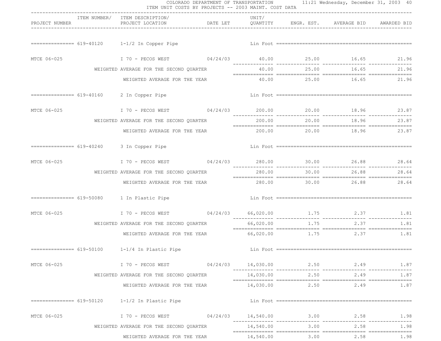|                |                                                                                                                | COLORADO DEPARTMENT OF TRANSPORTATION 11:21 Wednesday, December 31, 2003 40<br>ITEM UNIT COSTS BY PROJECTS -- 2003 MAINT. COST DATA |           |      |                          |       |
|----------------|----------------------------------------------------------------------------------------------------------------|-------------------------------------------------------------------------------------------------------------------------------------|-----------|------|--------------------------|-------|
| PROJECT NUMBER | ITEM NUMBER/ ITEM DESCRIPTION/<br>PROJECT LOCATION <b>DATE LET</b> QUANTITY ENGR. EST. AVERAGE BID AWARDED BID | -----------------------------------                                                                                                 | UNIT/     |      |                          |       |
|                | $=========== 619-40120$ $1-1/2$ In Copper Pipe                                                                 |                                                                                                                                     |           |      |                          |       |
| MTCE 06-025    | I 70 - PECOS WEST 09/24/03 40.00 25.00 16.65 21.96                                                             |                                                                                                                                     |           |      |                          |       |
|                | WEIGHTED AVERAGE FOR THE SECOND QUARTER                                                                        |                                                                                                                                     |           |      | 40.00 25.00 16.65 21.96  |       |
|                | WEIGHTED AVERAGE FOR THE YEAR                                                                                  |                                                                                                                                     |           |      | 40.00 25.00 16.65 21.96  |       |
|                | ============== 619-40160 2 In Copper Pipe                                                                      |                                                                                                                                     |           |      |                          |       |
|                | MTCE 06-025 170 - PECOS WEST 04/24/03 200.00 20.00 18.96 23.87                                                 |                                                                                                                                     |           |      |                          |       |
|                | WEIGHTED AVERAGE FOR THE SECOND QUARTER                                                                        |                                                                                                                                     | 200.00    |      | 20.00 18.96              | 23.87 |
|                | WEIGHTED AVERAGE FOR THE YEAR $200.00$ $20.00$ $18.96$ $23.87$                                                 |                                                                                                                                     |           |      |                          |       |
|                | ============== 619-40240 3 In Copper Pipe                                                                      |                                                                                                                                     |           |      |                          |       |
|                | MTCE 06-025 170 - PECOS WEST 04/24/03 280.00 30.00 26.88 28.64                                                 |                                                                                                                                     |           |      |                          |       |
|                | WEIGHTED AVERAGE FOR THE SECOND QUARTER                                                                        |                                                                                                                                     | 280.00    |      | 30.00 26.88              | 28.64 |
|                | WEIGHTED AVERAGE FOR THE YEAR                                                                                  |                                                                                                                                     |           |      | 280.00 30.00 26.88 28.64 |       |
|                | ============== 619-50080    1 In Plastic Pipe                                                                  |                                                                                                                                     |           |      |                          |       |
| MTCE 06-025    | I 70 - PECOS WEST 04/24/03 66,020.00 1.75 2.37 1.81                                                            |                                                                                                                                     |           |      |                          |       |
|                | WEIGHTED AVERAGE FOR THE SECOND QUARTER                                                                        |                                                                                                                                     | 66,020.00 | 1.75 | 2.37                     | 1.81  |
|                | WEIGHTED AVERAGE FOR THE YEAR 66,020.00 1.75 2.37 1.81                                                         |                                                                                                                                     |           |      |                          |       |
|                |                                                                                                                |                                                                                                                                     |           |      |                          |       |
| MTCE 06-025    |                                                                                                                |                                                                                                                                     |           |      |                          |       |
|                | WEIGHTED AVERAGE FOR THE SECOND QUARTER                                                                        |                                                                                                                                     |           |      | 14,030.00 2.50 2.49      | 1.87  |
|                | WEIGHTED AVERAGE FOR THE YEAR                                                                                  |                                                                                                                                     |           |      | 14,030.00 2.50 2.49      | 1.87  |
|                | $1 - 1/2$ In Plastic Pipe                                                                                      |                                                                                                                                     |           |      |                          |       |
| MTCE 06-025    | I 70 - PECOS WEST 09/24/03 14,540.00 3.00 2.58 1.98                                                            |                                                                                                                                     |           |      |                          |       |
|                | WEIGHTED AVERAGE FOR THE SECOND QUARTER                                                                        |                                                                                                                                     | 14,540.00 |      | $3.00$ 2.58              | 1.98  |
|                | WEIGHTED AVERAGE FOR THE YEAR                                                                                  |                                                                                                                                     | 14,540.00 | 3.00 | 2.58                     | 1.98  |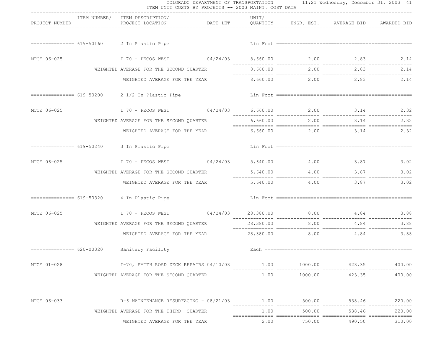|                |                                                                                                                | COLORADO DEPARTMENT OF TRANSPORTATION 11:21 Wednesday, December 31, 2003 41<br>ITEM UNIT COSTS BY PROJECTS -- 2003 MAINT. COST DATA |           |           |                                 |        |
|----------------|----------------------------------------------------------------------------------------------------------------|-------------------------------------------------------------------------------------------------------------------------------------|-----------|-----------|---------------------------------|--------|
| PROJECT NUMBER | ITEM NUMBER/ ITEM DESCRIPTION/<br>PROJECT LOCATION <b>DATE LET</b> QUANTITY ENGR. EST. AVERAGE BID AWARDED BID | --------------------------------                                                                                                    | UNIT/     |           |                                 |        |
|                | ============== 619-50160 2 In Plastic Pipe                                                                     |                                                                                                                                     |           |           |                                 |        |
| MTCE 06-025    | 1 70 - PECOS WEST 09/24/03 8,660.00 2.00 2.83 2.14                                                             |                                                                                                                                     |           |           |                                 |        |
|                | WEIGHTED AVERAGE FOR THE SECOND QUARTER                                                                        |                                                                                                                                     |           |           | $8,660.00$ 2.00 2.83            | 2.14   |
|                | WEIGHTED AVERAGE FOR THE YEAR                                                                                  |                                                                                                                                     |           |           | $8,660.00$ 2.00 2.83 2.14       |        |
|                | ============== 619-50200  2-1/2 In Plastic Pipe                                                                |                                                                                                                                     |           |           |                                 |        |
|                | MTCE 06-025 170 - PECOS WEST 04/24/03 6,660.00 2.00 3.14 2.32                                                  |                                                                                                                                     |           |           |                                 |        |
|                | WEIGHTED AVERAGE FOR THE SECOND QUARTER                                                                        |                                                                                                                                     |           |           | 6,660.00 2.00 3.14              | 2.32   |
|                | WEIGHTED AVERAGE FOR THE YEAR 6,660.00 2.00 3.14 2.32                                                          |                                                                                                                                     |           |           |                                 |        |
|                | ============== 619-50240 3 In Plastic Pipe                                                                     |                                                                                                                                     |           |           |                                 |        |
|                | MTCE 06-025 170 - PECOS WEST 04/24/03 5,640.00 4.00 3.87 3.02                                                  |                                                                                                                                     |           |           |                                 |        |
|                | WEIGHTED AVERAGE FOR THE SECOND QUARTER                                                                        | 5,640.00                                                                                                                            |           | 4.00 3.87 | 3.02                            |        |
|                | WEIGHTED AVERAGE FOR THE YEAR                                                                                  |                                                                                                                                     |           |           | $5,640.00$ $4.00$ $3.87$ $3.02$ |        |
|                | ============== 619-50320 4 In Plastic Pipe                                                                     |                                                                                                                                     |           |           |                                 |        |
| MTCE 06-025    | 1 70 - PECOS WEST 04/24/03 28,380.00 8.00 4.84 3.88                                                            |                                                                                                                                     |           |           |                                 |        |
|                | WEIGHTED AVERAGE FOR THE SECOND QUARTER                                                                        |                                                                                                                                     | 28,380.00 | 8.00      | 4.84                            | 3.88   |
|                | WEIGHTED AVERAGE FOR THE YEAR $28,380.00$ 8.00 $4.84$                                                          |                                                                                                                                     |           |           |                                 |        |
|                | =============== 620-00020 Sanitary Facility                                                                    |                                                                                                                                     |           |           |                                 |        |
| MTCE 01-028    |                                                                                                                |                                                                                                                                     |           |           |                                 |        |
|                | WEIGHTED AVERAGE FOR THE SECOND QUARTER                                                                        |                                                                                                                                     | 1.00      |           | 1000.00 423.35                  | 400.00 |
| MTCE 06-033    | R-6 MAINTENANCE RESURFACING - 08/21/03 1.00 500.00 538.46 220.00                                               |                                                                                                                                     |           |           |                                 |        |
|                | WEIGHTED AVERAGE FOR THE THIRD OUARTER                                                                         |                                                                                                                                     | 1.00      | 500.00    | 538.46                          | 220.00 |
|                | WEIGHTED AVERAGE FOR THE YEAR                                                                                  |                                                                                                                                     | 2.00      | 750.00    | 490.50                          | 310.00 |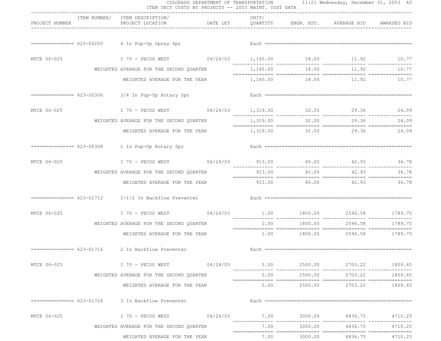|                | ITEM UNIT COSTS BY PROJECTS -- 2003 MAINT. COST DATA                                                                            | -------------------------------- |       |         |                                      |         |
|----------------|---------------------------------------------------------------------------------------------------------------------------------|----------------------------------|-------|---------|--------------------------------------|---------|
| PROJECT NUMBER | ITEM NUMBER/ ITEM DESCRIPTION/<br>PROJECT LOCATION <b>DATE LET</b> QUANTITY ENGR. EST. AVERAGE BID AWARDED BID                  |                                  | UNIT/ |         |                                      |         |
|                | ============== 623-00205 4 In Pop-Up Spray Spr                                                                                  |                                  |       |         |                                      |         |
| MTCE 06-025    | I 70 - PECOS WEST 09/24/03 1,145.00 18.00 11.92 10.77                                                                           |                                  |       |         |                                      |         |
|                | WEIGHTED AVERAGE FOR THE SECOND OUARTER                                                                                         |                                  |       |         | 1,145.00 18.00 11.92                 | 10.77   |
|                | WEIGHTED AVERAGE FOR THE YEAR                                                                                                   |                                  |       |         | 1, 145.00    18.00    11.92    10.77 |         |
|                | ============== 623-00306 3/4 In Pop-Up Rotary Spr                                                                               |                                  |       |         |                                      |         |
|                | MTCE 06-025 170 - PECOS WEST 04/24/03 1,319.00 32.00 29.36 24.09                                                                |                                  |       |         |                                      |         |
|                | WEIGHTED AVERAGE FOR THE SECOND QUARTER                                                                                         |                                  |       |         | 1,319.00 32.00 29.36                 | 24.09   |
|                | WEIGHTED AVERAGE FOR THE YEAR 1,319.00 32.00 29.36 24.09                                                                        |                                  |       |         |                                      |         |
|                | ============== 623-00308 1 In Pop-Up Rotary Spr                                                                                 |                                  |       |         |                                      |         |
|                | MTCE 06-025 170 - PECOS WEST 04/24/03 913.00 40.00 42.93 36.78                                                                  |                                  |       |         |                                      |         |
|                | WEIGHTED AVERAGE FOR THE SECOND QUARTER                                                                                         |                                  |       |         | 913.00 40.00 42.93 36.78             |         |
|                | WEIGHTED AVERAGE FOR THE YEAR                                                                                                   |                                  |       |         |                                      |         |
|                | $=========== 623-01712$ $1-1/2$ In Backflow Preventer                                                                           |                                  |       |         |                                      |         |
| MTCE 06-025    | I 70 - PECOS WEST $04/24/03$ 1.00 1800.00 2596.58 1789.75                                                                       |                                  |       |         | ____________                         |         |
|                | WEIGHTED AVERAGE FOR THE SECOND QUARTER                                                                                         |                                  | 1.00  | 1800.00 | 2596.58                              | 1789.75 |
|                | WEIGHTED AVERAGE FOR THE YEAR                                                                                                   |                                  |       |         | $1.00$ 1800.00 2596.58 1789.75       |         |
|                | =============== 623-01716 2 In Backflow Preventer                                                                               |                                  |       |         |                                      |         |
| MTCE 06-025    | 1809.65 1 2703.22 1809.65 1 2500.00 2703.22 1809.65 1 2600.00 PECOS WEST                                                        |                                  |       |         |                                      |         |
|                | WEIGHTED AVERAGE FOR THE SECOND QUARTER                                                                                         |                                  | 5.00  | 2500.00 | 2703.22                              | 1809.65 |
|                | WEIGHTED AVERAGE FOR THE YEAR                                                                                                   |                                  |       |         | 5.00 2500.00 2703.22 1809.65         |         |
|                | ============== 623-01724 3 In Backflow Preventer                                                                                |                                  |       |         |                                      |         |
| MTCE 06-025    | I 70 - PECOS WEST                         04/24/03               7.00             3000.00             4836.75           4710.25 |                                  |       |         |                                      |         |
|                | WEIGHTED AVERAGE FOR THE SECOND QUARTER                                                                                         |                                  | 7.00  |         | 3000.00 4836.75                      | 4710.25 |
|                | WEIGHTED AVERAGE FOR THE YEAR                                                                                                   |                                  |       |         | 7.00 3000.00 4836.75 4710.25         |         |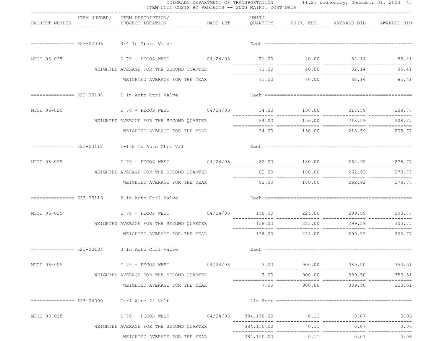|                |                                                                                                                | COLORADO DEPARTMENT OF TRANSPORTATION 11:21 Wednesday, December 31, 2003 43<br>ITEM UNIT COSTS BY PROJECTS -- 2003 MAINT. COST DATA |                 |                            |                                    |               |
|----------------|----------------------------------------------------------------------------------------------------------------|-------------------------------------------------------------------------------------------------------------------------------------|-----------------|----------------------------|------------------------------------|---------------|
| PROJECT NUMBER | ITEM NUMBER/ ITEM DESCRIPTION/<br>PROJECT LOCATION <b>DATE LET</b> QUANTITY ENGR. EST. AVERAGE BID AWARDED BID | ----------------------------------                                                                                                  | UNIT/           |                            |                                    |               |
|                | $=$ ============== 623-02006 3/4 In Drain Valve                                                                |                                                                                                                                     |                 |                            |                                    |               |
| MTCE 06-025    | I 70 - PECOS WEST 09/24/03 71.00 40.00 82.14 85.41                                                             |                                                                                                                                     |                 |                            |                                    |               |
|                | WEIGHTED AVERAGE FOR THE SECOND QUARTER                                                                        |                                                                                                                                     |                 |                            | 71.00 40.00 82.14                  | 85.41         |
|                | WEIGHTED AVERAGE FOR THE YEAR                                                                                  |                                                                                                                                     |                 |                            | 71.00  40.00  82.14  85.41         |               |
|                | ============== 623-03108    1 In Auto Ctrl Valve                                                               |                                                                                                                                     |                 |                            |                                    |               |
|                | MTCE 06-025 170 - PECOS WEST 04/24/03 34.00 150.00 218.59 208.77                                               |                                                                                                                                     |                 |                            |                                    |               |
|                | WEIGHTED AVERAGE FOR THE SECOND QUARTER                                                                        |                                                                                                                                     |                 |                            | $34.00$ $150.00$ $218.59$ $208.77$ |               |
|                | WEIGHTED AVERAGE FOR THE YEAR                                                                                  |                                                                                                                                     |                 |                            | $34.00$ $150.00$ $218.59$ $208.77$ |               |
|                |                                                                                                                |                                                                                                                                     |                 |                            |                                    |               |
| MTCE 06-025    | I 70 - PECOS WEST 694/24/03 82.00 180.00 262.92 278.77                                                         |                                                                                                                                     |                 |                            |                                    |               |
|                | WEIGHTED AVERAGE FOR THE SECOND QUARTER                                                                        |                                                                                                                                     |                 |                            | 82.00 180.00 262.92                | 278.77        |
|                | WEIGHTED AVERAGE FOR THE YEAR                                                                                  |                                                                                                                                     |                 | 82.00 180.00 262.92 278.77 |                                    |               |
|                | ============== 623-03116 2 In Auto Ctrl Valve                                                                  |                                                                                                                                     |                 |                            |                                    |               |
| MTCE 06-025    | I 70 - PECOS WEST 04/24/03 158.00 225.00 299.59 303.77                                                         |                                                                                                                                     |                 |                            |                                    |               |
|                | WEIGHTED AVERAGE FOR THE SECOND QUARTER                                                                        |                                                                                                                                     | 158.00          | 225.00                     | 299.59                             | 303.77        |
|                | WEIGHTED AVERAGE FOR THE YEAR                                                                                  |                                                                                                                                     |                 |                            | 158.00 225.00 299.59 303.77        |               |
|                | ============== 623-03124 3 In Auto Ctrl Valve                                                                  |                                                                                                                                     |                 |                            |                                    |               |
| MTCE 06-025    |                                                                                                                |                                                                                                                                     |                 |                            |                                    |               |
|                | WEIGHTED AVERAGE FOR THE SECOND QUARTER                                                                        |                                                                                                                                     | 7.00            | 900.00                     |                                    | 389.50 353.51 |
|                | WEIGHTED AVERAGE FOR THE YEAR                                                                                  |                                                                                                                                     |                 |                            | $7.00$ $900.00$ $389.50$ $353.51$  |               |
|                | =============== 623-04000 Ctrl Wire 24 Volt                                                                    |                                                                                                                                     |                 |                            |                                    |               |
| MTCE 06-025    | I 70 - PECOS WEST 04/24/03                                                                                     |                                                                                                                                     |                 |                            | 384,150.00 0.11 0.07               | 0.06          |
|                | WEIGHTED AVERAGE FOR THE SECOND QUARTER                                                                        |                                                                                                                                     | 384,150.00 0.11 |                            | 0.07                               | 0.06          |
|                | WEIGHTED AVERAGE FOR THE YEAR                                                                                  |                                                                                                                                     |                 |                            | 384,150.00 0.11 0.07               | 0.06          |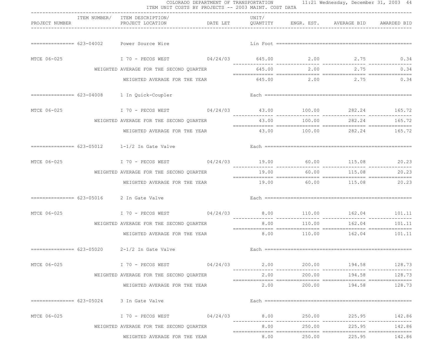|                | ITEM NUMBER/ ITEM DESCRIPTION/                                               | --------------------------------- | UNIT/ |                            |                                   |               |
|----------------|------------------------------------------------------------------------------|-----------------------------------|-------|----------------------------|-----------------------------------|---------------|
| PROJECT NUMBER | PROJECT LOCATION <b>DATE LET</b> QUANTITY ENGR. EST. AVERAGE BID AWARDED BID |                                   |       |                            |                                   |               |
|                | ============== 623-04002 Power Source Wire                                   |                                   |       |                            |                                   |               |
| MTCE 06-025    | I 70 - PECOS WEST 69/24/03 645.00 2.00 2.75 0.34                             |                                   |       |                            |                                   |               |
|                | WEIGHTED AVERAGE FOR THE SECOND QUARTER                                      |                                   |       |                            | 645.00 2.00 2.75                  | 0.34          |
|                | WEIGHTED AVERAGE FOR THE YEAR                                                |                                   |       |                            | $645.00$ 2.00 2.75 0.34           |               |
|                | ============== 623-04008  1 In Quick-Coupler                                 |                                   |       |                            |                                   |               |
|                | MTCE 06-025 170 - PECOS WEST 04/24/03 43.00 100.00 282.24 165.72             |                                   |       |                            |                                   |               |
|                | WEIGHTED AVERAGE FOR THE SECOND OUARTER                                      |                                   |       |                            | 43.00 100.00 282.24 165.72        |               |
|                | WEIGHTED AVERAGE FOR THE YEAR                                                |                                   |       | 43.00 100.00 282.24 165.72 |                                   |               |
|                | $============ 623-05012$ 1-1/2 In Gate Valve                                 |                                   |       |                            |                                   |               |
|                | MTCE 06-025 1 70 - PECOS WEST 04/24/03 19.00 60.00 115.08 20.23              |                                   |       |                            |                                   |               |
|                | WEIGHTED AVERAGE FOR THE SECOND QUARTER                                      |                                   |       |                            | $19.00$ 60.00 $115.08$ 20.23      |               |
|                | WEIGHTED AVERAGE FOR THE YEAR                                                |                                   |       | 19.00 60.00 115.08 20.23   |                                   |               |
|                | ============== 623-05016 2 In Gate Valve                                     |                                   |       |                            |                                   |               |
| MTCE 06-025    | I 70 - PECOS WEST 09/24/03 8.00 110.00 162.04 101.11                         |                                   |       |                            | ______________                    |               |
|                | WEIGHTED AVERAGE FOR THE SECOND QUARTER                                      |                                   | 8.00  | 110.00                     | 162.04                            | 101.11        |
|                | WEIGHTED AVERAGE FOR THE YEAR                                                |                                   |       |                            | $8.00$ $110.00$ $162.04$ $101.11$ |               |
|                | $=$ ============== $623-05020$ 2-1/2 In Gate Valve                           |                                   |       |                            |                                   |               |
| MTCE 06-025    | $170$ – PECOS WEST $04/24/03$ $2.00$ $200.00$ $194.58$ $128.73$              |                                   |       |                            |                                   |               |
|                | WEIGHTED AVERAGE FOR THE SECOND QUARTER                                      |                                   | 2.00  | 200.00                     |                                   | 194.58 128.73 |
|                | WEIGHTED AVERAGE FOR THE YEAR                                                |                                   |       |                            | $2.00$ $200.00$ $194.58$ $128.73$ |               |
|                | ============== 623-05024 3 In Gate Valve                                     |                                   |       |                            |                                   |               |
| MTCE 06-025    |                                                                              |                                   |       |                            |                                   |               |
|                | WEIGHTED AVERAGE FOR THE SECOND QUARTER                                      |                                   |       |                            | 8.00 250.00 225.95                | 142.86        |
|                | WEIGHTED AVERAGE FOR THE YEAR                                                |                                   | 8.00  |                            | 250.00 225.95 142.86              |               |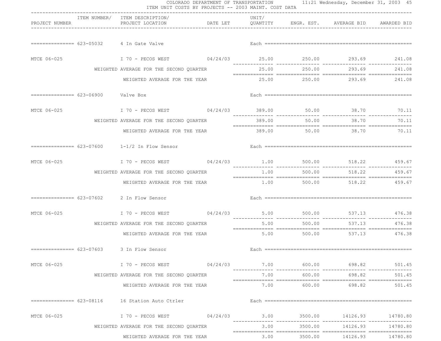|                                    |                                                                                                                                | COLORADO DEPARTMENT OF TRANSPORTATION 11:21 Wednesday, December 31, 2003 45<br>ITEM UNIT COSTS BY PROJECTS -- 2003 MAINT. COST DATA |        |               |                                   |               |
|------------------------------------|--------------------------------------------------------------------------------------------------------------------------------|-------------------------------------------------------------------------------------------------------------------------------------|--------|---------------|-----------------------------------|---------------|
| PROJECT NUMBER                     | ITEM NUMBER/ ITEM DESCRIPTION/<br>PROJECT LOCATION <b>DATE LET</b> QUANTITY ENGR. EST. AVERAGE BID AWARDED BID                 | ----------------------------------                                                                                                  | UNIT/  |               |                                   |               |
|                                    | ============== 623-05032 4 In Gate Valve                                                                                       |                                                                                                                                     |        |               |                                   |               |
| MTCE 06-025                        | I 70 - PECOS WEST 69/24/03 25.00 250.00 293.69 241.08                                                                          |                                                                                                                                     |        |               |                                   |               |
|                                    | WEIGHTED AVERAGE FOR THE SECOND QUARTER                                                                                        |                                                                                                                                     |        |               | 25.00 250.00 293.69 241.08        |               |
|                                    | WEIGHTED AVERAGE FOR THE YEAR                                                                                                  |                                                                                                                                     |        |               | 25.00 250.00 293.69 241.08        |               |
| ============== 623-06900 Valve Box |                                                                                                                                |                                                                                                                                     |        |               |                                   |               |
|                                    | MTCE 06-025 170 - PECOS WEST 04/24/03 389.00 50.00 38.70 70.11                                                                 |                                                                                                                                     |        |               |                                   |               |
|                                    | WEIGHTED AVERAGE FOR THE SECOND QUARTER                                                                                        |                                                                                                                                     | 389.00 |               | 50.00 38.70                       | 70.11         |
|                                    |                                                                                                                                | WEIGHTED AVERAGE FOR THE YEAR 600 389.00 50.00 38.70 70.11                                                                          |        |               |                                   |               |
|                                    | $=$ ============== $623-07600$ 1-1/2 In Flow Sensor                                                                            |                                                                                                                                     |        |               |                                   |               |
| MTCE 06-025                        | I 70 - PECOS WEST 64/24/03 1.00 500.00 518.22 459.67                                                                           |                                                                                                                                     |        |               |                                   |               |
|                                    | WEIGHTED AVERAGE FOR THE SECOND QUARTER                                                                                        |                                                                                                                                     |        | $1.00$ 500.00 |                                   | 518.22 459.67 |
|                                    | WEIGHTED AVERAGE FOR THE YEAR                                                                                                  |                                                                                                                                     |        |               | 1.00 500.00 518.22 459.67         |               |
|                                    | $=$ ============== 623-07602 2 In Flow Sensor                                                                                  |                                                                                                                                     |        |               |                                   |               |
| MTCE 06-025                        | I 70 - PECOS WEST 69/24/03 5.00 500.00 537.13 476.38                                                                           |                                                                                                                                     |        | _____________ | ______________                    |               |
|                                    | WEIGHTED AVERAGE FOR THE SECOND QUARTER                                                                                        |                                                                                                                                     | 5.00   | 500.00        | 537.13                            | 476.38        |
|                                    | WEIGHTED AVERAGE FOR THE YEAR                                                                                                  |                                                                                                                                     |        |               | $5.00$ $500.00$ $537.13$ $476.38$ |               |
|                                    |                                                                                                                                |                                                                                                                                     |        |               |                                   |               |
| MTCE 06-025                        | 501.45 600.00 698.82 501.45 600.00 698.82 501.45 600.00 ECOS WEST                                                              |                                                                                                                                     |        |               |                                   |               |
|                                    | WEIGHTED AVERAGE FOR THE SECOND QUARTER                                                                                        |                                                                                                                                     | 7.00   | 600.00        | 698.82                            | 501.45        |
|                                    | WEIGHTED AVERAGE FOR THE YEAR                                                                                                  |                                                                                                                                     |        |               | 7.00 600.00 698.82                | 501.45        |
|                                    | =============== 623-08116    16 Station Auto Ctrler                                                                            |                                                                                                                                     |        |               |                                   |               |
| MTCE 06-025                        | I 70 - PECOS WEST                        04/24/03               3.00              3500.00           14126.93          14780.80 |                                                                                                                                     |        |               |                                   |               |
|                                    | WEIGHTED AVERAGE FOR THE SECOND QUARTER                                                                                        |                                                                                                                                     |        |               | $3.00$ $3500.00$ $14126.93$       | 14780.80      |
|                                    | WEIGHTED AVERAGE FOR THE YEAR                                                                                                  |                                                                                                                                     |        |               | 3.00 3500.00 14126.93 14780.80    |               |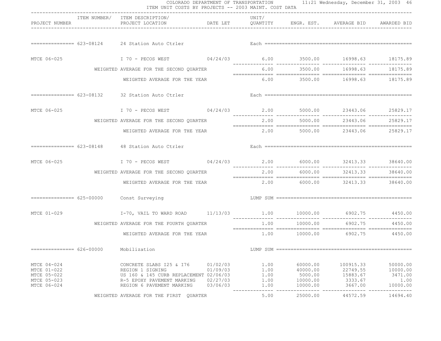|                                                                         | ITEM UNIT COSTS BY PROJECTS -- 2003 MAINT. COST DATA                                                                                                                                                                           |                                              |                                      |                                                         | COLORADO DEPARTMENT OF TRANSPORTATION 11:21 Wednesday, December 31, 2003 46 |                                                     |
|-------------------------------------------------------------------------|--------------------------------------------------------------------------------------------------------------------------------------------------------------------------------------------------------------------------------|----------------------------------------------|--------------------------------------|---------------------------------------------------------|-----------------------------------------------------------------------------|-----------------------------------------------------|
| PROJECT NUMBER                                                          | ITEM NUMBER/ ITEM DESCRIPTION/<br>PROJECT LOCATION <b>The CONSTRUCTER SET ARE CONSTRUCTED AT ALL ANE</b> AND AN ANARDED BID                                                                                                    |                                              | UNIT/                                |                                                         |                                                                             |                                                     |
|                                                                         |                                                                                                                                                                                                                                |                                              |                                      |                                                         |                                                                             |                                                     |
|                                                                         | MTCE 06-025 18175.89 18175.89 18175.89 18175.89 18175.89 18175.89 18175.89 - T 70 - PECOS WEST 18424/03                                                                                                                        |                                              |                                      |                                                         |                                                                             |                                                     |
|                                                                         | WEIGHTED AVERAGE FOR THE SECOND QUARTER                                                                                                                                                                                        |                                              |                                      |                                                         | 6.00 3500.00 16998.63 18175.89                                              |                                                     |
|                                                                         | WEIGHTED AVERAGE FOR THE YEAR                                                                                                                                                                                                  |                                              |                                      |                                                         | $6.00$ $3500.00$ $16998.63$ $18175.89$                                      |                                                     |
|                                                                         |                                                                                                                                                                                                                                |                                              |                                      |                                                         |                                                                             |                                                     |
| MTCE 06-025                                                             | I 70 - PECOS WEST 64/24/03 2.00 5000.00 23443.06 25829.17                                                                                                                                                                      |                                              |                                      |                                                         |                                                                             |                                                     |
|                                                                         | WEIGHTED AVERAGE FOR THE SECOND QUARTER                                                                                                                                                                                        |                                              |                                      |                                                         | 2.00 5000.00 23443.06 25829.17                                              |                                                     |
|                                                                         | WEIGHTED AVERAGE FOR THE YEAR                                                                                                                                                                                                  |                                              |                                      |                                                         | $2.00$ 5000.00 $23443.06$ 25829.17                                          |                                                     |
|                                                                         | Each and the continuum continuum of the contract of the contract of the contract of the contract of the contract of the contract of the contract of the contract of the contract of the contract of the contract of the contra |                                              |                                      |                                                         |                                                                             |                                                     |
|                                                                         |                                                                                                                                                                                                                                |                                              |                                      |                                                         |                                                                             |                                                     |
|                                                                         | WEIGHTED AVERAGE FOR THE SECOND QUARTER                                                                                                                                                                                        |                                              |                                      | 2.00 6000.00                                            | 32413.33 38640.00                                                           |                                                     |
|                                                                         | WEIGHTED AVERAGE FOR THE YEAR                                                                                                                                                                                                  |                                              |                                      |                                                         | $2.00$ 6000.00 32413.33 38640.00                                            |                                                     |
|                                                                         |                                                                                                                                                                                                                                |                                              |                                      |                                                         |                                                                             |                                                     |
|                                                                         |                                                                                                                                                                                                                                |                                              |                                      |                                                         |                                                                             |                                                     |
|                                                                         | WEIGHTED AVERAGE FOR THE FOURTH QUARTER                                                                                                                                                                                        |                                              |                                      |                                                         | 1.00    10000.00    6902.75    4450.00                                      |                                                     |
|                                                                         | WEIGHTED AVERAGE FOR THE YEAR                                                                                                                                                                                                  |                                              |                                      |                                                         | 1.00    10000.00    6902.75    4450.00                                      |                                                     |
| ============== 626-00000 Mobilization                                   |                                                                                                                                                                                                                                |                                              |                                      |                                                         |                                                                             |                                                     |
| MTCE 04-024<br>MTCE 01-022<br>MTCE 05-022<br>MTCE 05-023<br>MTCE 06-024 | CONCRETE SLABS 125 & 176<br>REGION 1 SIGNING<br>US 160 & 145 CURB REPLACEMENT 02/06/03<br>R-5 EPOXY PAVEMENT MARKING<br>REGION 6 PAVEMENT MARKING                                                                              | 01/02/03<br>01/09/03<br>02/27/03<br>03/06/03 | 1.00<br>1.00<br>1.00<br>1.00<br>1.00 | 60000.00<br>40000.00<br>5000.00<br>10000.00<br>10000.00 | 100915.33<br>22749.55<br>15883.67<br>3333.67<br>3667.00                     | 50000.00<br>10000.00<br>3471.00<br>1.00<br>10000.00 |
|                                                                         | WEIGHTED AVERAGE FOR THE FIRST QUARTER                                                                                                                                                                                         |                                              | 5.00                                 | 25000.00                                                | 44572.59                                                                    | 14694.40                                            |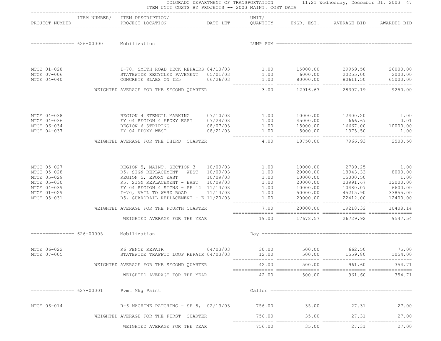|                            |                                        | ITEM NUMBER/ ITEM DESCRIPTION/                                                                                                                                                                                                                 | UNIT/  |          |                                                                     |                  |
|----------------------------|----------------------------------------|------------------------------------------------------------------------------------------------------------------------------------------------------------------------------------------------------------------------------------------------|--------|----------|---------------------------------------------------------------------|------------------|
|                            |                                        |                                                                                                                                                                                                                                                |        |          |                                                                     |                  |
|                            | =============== 626-00000 Mobilization |                                                                                                                                                                                                                                                |        |          |                                                                     |                  |
|                            |                                        |                                                                                                                                                                                                                                                |        |          |                                                                     |                  |
| MTCE 01-028<br>MTCE 07-006 |                                        |                                                                                                                                                                                                                                                |        |          |                                                                     |                  |
| MTCE 04-040                |                                        | 1-70, SMITH ROAD DECK REPAIRS 04/10/03<br>STATEWIDE RECYCLED PAVEMENT 05/01/03<br>CONCRETE SLABS ON I25<br>CONCRETE SLABS ON I25<br>CONCRETE SLABS ON I25<br>CONCRETE SLABS ON I25<br>CONCRETE SLABS ON I25<br>CONCRETE SLABS ON I25<br>CONCRE |        |          |                                                                     |                  |
|                            |                                        | WEIGHTED AVERAGE FOR THE SECOND QUARTER                                                                                                                                                                                                        |        |          | 3.00 12916.67 28307.19 9250.00                                      |                  |
| MTCE 04-038                |                                        |                                                                                                                                                                                                                                                |        |          |                                                                     |                  |
| MTCE 04-036                |                                        | REGION 4 STENCIL MARKING 07/10/03 1.00 10000.00 12400.20 1.00<br>FY 04 REGION 4 EPOXY EAST 07/24/03 1.00 45000.00 666.67 0.01                                                                                                                  |        |          |                                                                     |                  |
| MTCE 06-034<br>MTCE 04-037 |                                        | REGION 6 STRIPING<br>REGION 6 STRIPING<br>FY 04 EPOXY WEST 08/21/03<br>TY 04 EPOXY WEST 08/21/03<br>TY 04 EPOXY WEST 08/21/03<br>TY 04 EPOXY WEST 08/21/03<br>THE CONFIDENT CONFIDENT 1.00<br>THE CONFIDENT OR THE CONFIDENT OF THE CONFIDEN   |        |          |                                                                     |                  |
|                            |                                        | WEIGHTED AVERAGE FOR THE THIRD QUARTER                                                                                                                                                                                                         |        |          | 4.00 18750.00 7966.93 2500.50                                       |                  |
| MTCE 05-027                |                                        | REGION 5, MAINT. SECTION 3  10/09/03  1.00                                                                                                                                                                                                     |        |          | 10000.00 2789.25 1.00                                               |                  |
| MTCE 05-028                |                                        | R5, SIGN REPLACEMENT - WEST 10/09/03 1.00<br>REGION 5, EPOXY EAST 10/09/03 1.00                                                                                                                                                                |        |          | $20000.00$ $18943.33$ $8000.00$<br>$10000.00$ $15000.50$ $1.00$     |                  |
| MTCE 05-029<br>MTCE 05-030 |                                        |                                                                                                                                                                                                                                                |        |          |                                                                     |                  |
| MTCE 04-039                |                                        | R5, SIGN REPLACEMENT - EAST 10/09/03 1.00<br>FY 04 REGION 4 SIGNS - SH 14 11/13/03 1.00                                                                                                                                                        |        |          | $20000.00$ $23991.67$ $12000.00$<br>$10000.00$ $10480.07$ $6600.00$ |                  |
| MTCE 01-029<br>MTCE 05-031 |                                        | 1-70, VAIL TO WARD ROAD 11/13/03 1.00 50000.00<br>R5, GUARDRAIL REPLACEMENT - E 11/20/03 1.00 20000.00                                                                                                                                         |        | 50000.00 | 45215.90 33855.00<br>22412.00 12400.00                              |                  |
|                            |                                        | WEIGHTED AVERAGE FOR THE FOURTH QUARTER                                                                                                                                                                                                        | 7.00   |          | 20000.00 19218.32                                                   | 10408.14         |
|                            |                                        | WEIGHTED AVERAGE FOR THE YEAR 19.00 17678.57 26729.92 9547.54                                                                                                                                                                                  |        |          |                                                                     |                  |
|                            | ============== 626-00005 Mobilization  |                                                                                                                                                                                                                                                |        |          |                                                                     |                  |
| MTCE 06-022<br>MTCE 07-005 |                                        | R6 FENCE REPAIR 04/03/03 30.00<br>STATEWIDE TRAFFIC LOOP REPAIR 04/03/03                                                                                                                                                                       | 12.00  | 500.00   | 500.00 662.50<br>1559.80                                            | 75.00<br>1054.00 |
|                            |                                        | WEIGHTED AVERAGE FOR THE SECOND QUARTER                                                                                                                                                                                                        | 42.00  | 500.00   | 961.60                                                              | 354.71           |
|                            |                                        | WEIGHTED AVERAGE FOR THE YEAR                                                                                                                                                                                                                  | 42.00  | 500.00   | 961.60                                                              | 354.71           |
| $============= 627-00001$  |                                        | Pvmt Mkg Paint                                                                                                                                                                                                                                 |        |          |                                                                     |                  |
| MTCE 06-014                |                                        | R-6 MACHINE PATCHING - SH 8, 02/13/03 756.00                                                                                                                                                                                                   |        | 35.00    | 27.31                                                               | 27.00            |
|                            |                                        | WEIGHTED AVERAGE FOR THE FIRST QUARTER                                                                                                                                                                                                         | 756.00 | 35.00    | 27.31                                                               | 27.00            |
|                            |                                        | WEIGHTED AVERAGE FOR THE YEAR                                                                                                                                                                                                                  | 756.00 | 35.00    | 27.31                                                               | 27.00            |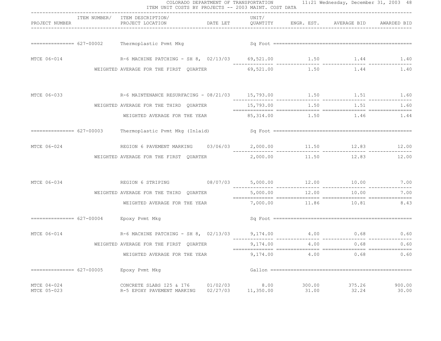|                             |                           | ITEM UNIT COSTS BY PROJECTS -- 2003 MAINT. COST DATA                                                           |                                |                   |                 | COLORADO DEPARTMENT OF TRANSPORTATION 11:21 Wednesday, December 31, 2003 48 |                           |
|-----------------------------|---------------------------|----------------------------------------------------------------------------------------------------------------|--------------------------------|-------------------|-----------------|-----------------------------------------------------------------------------|---------------------------|
| PROJECT NUMBER              |                           | ITEM NUMBER/ ITEM DESCRIPTION/<br>PROJECT LOCATION <b>DATE LET</b> QUANTITY ENGR. EST. AVERAGE BID AWARDED BID | ------------------------------ | UNIT/             |                 |                                                                             |                           |
|                             |                           | ============== 627-00002 Thermoplastic Pvmt Mkg                                                                |                                |                   |                 |                                                                             |                           |
| MTCE 06-014                 |                           | R-6 MACHINE PATCHING - SH 8, 02/13/03 69,521.00 1.50 1.44 1.40                                                 |                                |                   |                 |                                                                             | . <b>--------------</b> - |
|                             |                           | WEIGHTED AVERAGE FOR THE FIRST QUARTER 69,521.00 1.50 1.44                                                     |                                |                   |                 |                                                                             | 1.40                      |
| MTCE 06-033                 |                           | R-6 MAINTENANCE RESURFACING - 08/21/03 15,793.00 1.50 1.51 1.60                                                |                                |                   |                 |                                                                             |                           |
|                             |                           | WEIGHTED AVERAGE FOR THE THIRD QUARTER                                                                         |                                |                   |                 | $1.50$ $1.51$ $1.60$                                                        |                           |
|                             |                           | WEIGHTED AVERAGE FOR THE YEAR 65,314.00 1.50 1.44                                                              |                                |                   |                 |                                                                             |                           |
|                             | =============== 627-00003 |                                                                                                                |                                |                   |                 |                                                                             |                           |
| MTCE 06-024                 |                           | REGION 6 PAVEMENT MARKING  03/06/03  2,000.00  11.50  12.83                                                    |                                | $\frac{1}{2}$     | ______________  |                                                                             | 12.00                     |
|                             |                           | WEIGHTED AVERAGE FOR THE FIRST OUARTER                                                                         |                                | 2,000.00          |                 | --------------<br>11.50 12.83                                               | 12.00                     |
| MTCE 06-034                 |                           | REGION 6 STRIPING 08/07/03 5,000.00 12.00 10.00 7.00                                                           |                                |                   |                 |                                                                             |                           |
|                             |                           | WEIGHTED AVERAGE FOR THE THIRD QUARTER                                                                         |                                |                   |                 | 5,000.00 12.00 10.00                                                        | 7.00                      |
|                             |                           | WEIGHTED AVERAGE FOR THE YEAR                                                                                  |                                |                   |                 | 7,000.00 11.86 10.81 8.43                                                   |                           |
|                             |                           | =============== 627-00004 Epoxy Pvmt Mkg                                                                       |                                |                   |                 |                                                                             |                           |
| MTCE 06-014                 |                           | R-6 MACHINE PATCHING - SH 8, 02/13/03 9,174.00 4.00 0.68 0.60                                                  |                                | ------------      | ____________    | --------------                                                              | ___________               |
|                             |                           | WEIGHTED AVERAGE FOR THE FIRST QUARTER                                                                         |                                | 9,174.00          | 4.00            | 0.68                                                                        | 0.60                      |
|                             |                           | WEIGHTED AVERAGE FOR THE YEAR                                                                                  |                                | 9,174.00          | 4.00            | 0.68                                                                        | 0.60                      |
| $=============== 627-00005$ |                           | Epoxy Pvmt Mkg                                                                                                 |                                |                   |                 |                                                                             |                           |
| MTCE 04-024<br>MTCE 05-023  |                           | CONCRETE SLABS I25 & I76<br>R-5 EPOXY PAVEMENT MARKING                                                         | 01/02/03<br>02/27/03           | 8.00<br>11,350.00 | 300.00<br>31.00 | 375.26<br>32.24                                                             | 900.00<br>30.00           |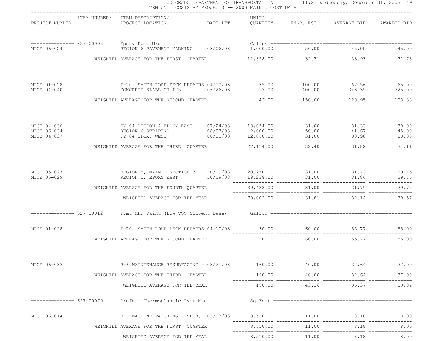|                                           | ITEM UNIT COSTS BY PROJECTS -- 2003 MAINT. COST DATA                                                                         |           |                         | COLORADO DEPARTMENT OF TRANSPORTATION 11:21 Wednesday, December 31, 2003 49 |       |
|-------------------------------------------|------------------------------------------------------------------------------------------------------------------------------|-----------|-------------------------|-----------------------------------------------------------------------------|-------|
| PROJECT NUMBER                            | ---------------------------------<br>ITEM NUMBER/ ITEM DESCRIPTION/                                                          | UNIT/     |                         |                                                                             |       |
|                                           |                                                                                                                              |           |                         |                                                                             |       |
|                                           | WEIGHTED AVERAGE FOR THE FIRST QUARTER 12,358.00 32.71 33.93 31.78                                                           |           |                         |                                                                             |       |
| MTCE 01-028<br>MTCE 04-040                | 1-70, SMITH ROAD DECK REPAIRS 04/10/03<br>CONCRETE SLABS ON 125  06/26/03  7.00  400.00  343.39  325.00                      |           |                         |                                                                             |       |
|                                           | WEIGHTED AVERAGE FOR THE SECOND QUARTER                                                                                      |           |                         | 42.00   150.00   120.95   108.33                                            |       |
| MTCE 04-036<br>MTCE 06-034<br>MTCE 04-037 |                                                                                                                              |           |                         |                                                                             |       |
|                                           | WEIGHTED AVERAGE FOR THE THIRD QUARTER                                                                                       | 27,114.00 |                         | 32.40 31.82                                                                 | 31.11 |
| MTCE 05-027<br>MTCE 05-029                | REGION 5, MAINT. SECTION 3 10/09/03 20,250.00 31.00 31.73 29.75<br>REGION 5, EPOXY EAST 10/09/03 19,238.00 31.00 31.86 29.75 |           |                         |                                                                             |       |
|                                           | WEIGHTED AVERAGE FOR THE FOURTH QUARTER                                                                                      |           |                         | 39,488.00 31.00 31.79                                                       | 29.75 |
|                                           | WEIGHTED AVERAGE FOR THE YEAR                                                                                                |           |                         | 79,002.00 31.81 32.14 30.57                                                 |       |
|                                           |                                                                                                                              |           |                         |                                                                             |       |
| MTCE 01-028                               | 55.00 55.77 55.00 55.77 55.00 55.77 1-70, SMITH ROAD DECK REPAIRS $04/10/03$                                                 |           |                         |                                                                             |       |
|                                           | WEIGHTED AVERAGE FOR THE SECOND QUARTER                                                                                      | 30.00     |                         | 60.00 55.77                                                                 | 55.00 |
| MTCE 06-033                               | R-6 MAINTENANCE RESURFACING - 08/21/03                                                                                       | 160.00    | 40.00<br>-- ----------- | 32.64<br>. <u>_ _ _</u> _ _ _ _ _ _ _ _ _ _ _ _ _ _                         | 37.00 |
|                                           | WEIGHTED AVERAGE FOR THE THIRD QUARTER                                                                                       | 160.00    | 40.00                   | 32.64                                                                       | 37.00 |
|                                           | WEIGHTED AVERAGE FOR THE YEAR                                                                                                | 190.00    | 43.16                   | 35.37                                                                       | 39.84 |
| $============ == 627-00070$               | Preform Thermoplastic Pvmt Mkg                                                                                               |           |                         |                                                                             |       |
| MTCE 06-014                               | R-6 MACHINE PATCHING - SH 8, 02/13/03 8,510.00 11.00 8.18                                                                    |           |                         |                                                                             | 8.00  |
|                                           | WEIGHTED AVERAGE FOR THE FIRST QUARTER                                                                                       | 8,510.00  | 11.00                   | 8.18                                                                        | 8.00  |
|                                           | WEIGHTED AVERAGE FOR THE YEAR                                                                                                | 8,510.00  | 11.00                   | 8.18                                                                        | 8.00  |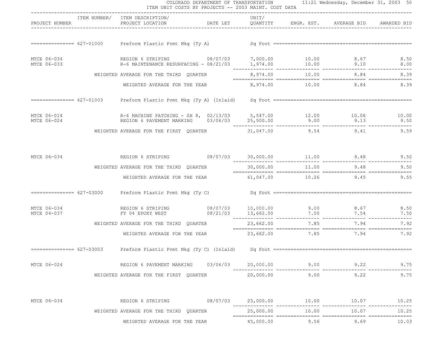| PROJECT NUMBER             |                           | ITEM NUMBER/ ITEM DESCRIPTION/<br>PROJECT LOCATION DATE LET QUANTITY ENGR. EST. AVERAGE BID                                                                                                                                                                                                | UNIT/     |       |                            | AWARDED BID |
|----------------------------|---------------------------|--------------------------------------------------------------------------------------------------------------------------------------------------------------------------------------------------------------------------------------------------------------------------------------------|-----------|-------|----------------------------|-------------|
|                            |                           |                                                                                                                                                                                                                                                                                            |           |       |                            |             |
| MTCE 06-034<br>MTCE 06-033 |                           | REGION 6 STRIPING 08/07/03 7,000.00 10.00 8.67 8.50<br>R-6 MAINTENANCE RESURFACING - 08/21/03 1,974.00 10.00 9.10 9.10 8.00                                                                                                                                                                |           |       |                            |             |
|                            |                           | WEIGHTED AVERAGE FOR THE THIRD QUARTER                                                                                                                                                                                                                                                     |           |       | 8,974.00 10.00 8.84        | 8.39        |
|                            |                           | WEIGHTED AVERAGE FOR THE YEAR 8,974.00 10.00 8.84 8.39                                                                                                                                                                                                                                     |           |       |                            |             |
|                            |                           |                                                                                                                                                                                                                                                                                            |           |       |                            |             |
| MTCE 06-014<br>MTCE 06-024 |                           |                                                                                                                                                                                                                                                                                            |           |       |                            |             |
|                            |                           | WEIGHTED AVERAGE FOR THE FIRST OUARTER                                                                                                                                                                                                                                                     |           |       | 31,047.00 9.54 9.41        | 9.59        |
| MTCE 06-034                |                           | REGION 6 STRIPING 08/07/03 30,000.00 11.00 9.48 9.50                                                                                                                                                                                                                                       |           |       |                            |             |
|                            |                           | WEIGHTED AVERAGE FOR THE THIRD QUARTER                                                                                                                                                                                                                                                     |           |       | $30,000.00$ $11.00$ $9.48$ | 9.50        |
|                            |                           | WEIGHTED AVERAGE FOR THE YEAR                                                                                                                                                                                                                                                              |           |       | 61,047.00 10.26 9.45 9.55  |             |
|                            |                           |                                                                                                                                                                                                                                                                                            |           |       |                            |             |
| MTCE 06-034<br>MTCE 04-037 |                           | REGION 6 STRIPING $08/07/03$ 10,000.00 9.00 8.67 8.50<br>FOR THE CONTROL CONSULTER CONSULTER SUPERIOR CONSUMING THE CONSUMING CONSUMING TRANSPORT CONSUMING TO A CONSUMI<br>The CONSUMING CONSUMING THE CONSUMING THE CONSUMING THE CONSUMING THE CONSUMING TO A CONSUMING THE CONSUMING T |           |       |                            |             |
|                            |                           | WEIGHTED AVERAGE FOR THE THIRD QUARTER                                                                                                                                                                                                                                                     |           |       | 23,662.00 7.85 7.94        | 7.92        |
|                            |                           | WEIGHTED AVERAGE FOR THE YEAR 23,662.00 7.85 7.94 7.92                                                                                                                                                                                                                                     |           |       |                            |             |
|                            | =============== 627-03003 |                                                                                                                                                                                                                                                                                            |           |       |                            |             |
| MTCE 06-024                |                           | REGION 6 PAVEMENT MARKING 03/06/03                                                                                                                                                                                                                                                         |           |       | 20,000.00 9.00 9.22        | 9.75        |
|                            |                           | WEIGHTED AVERAGE FOR THE FIRST QUARTER                                                                                                                                                                                                                                                     | 20,000.00 | 9.00  | 9.22                       | 9.75        |
| MTCE 06-034                |                           | REGION 6 STRIPING $08/07/03$ 25,000.00 10.00 10.07 10.07                                                                                                                                                                                                                                   |           |       |                            | 10.25       |
|                            |                           | WEIGHTED AVERAGE FOR THE THIRD QUARTER                                                                                                                                                                                                                                                     | 25,000.00 | 10.00 | 10.07                      | 10.25       |
|                            |                           | WEIGHTED AVERAGE FOR THE YEAR                                                                                                                                                                                                                                                              | 45,000.00 | 9.56  | 9.69                       | 10.03       |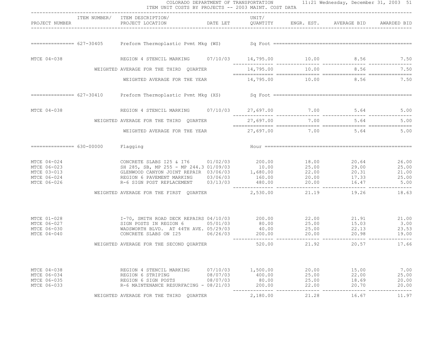|                                                                         | ITEM UNIT COSTS BY PROJECTS -- 2003 MAINT. COST DATA                                                                                                                                                                                                                              |                                  |                                       |                                  | COLORADO DEPARTMENT OF TRANSPORTATION 11:21 Wednesday, December 31, 2003 51 |                                          |
|-------------------------------------------------------------------------|-----------------------------------------------------------------------------------------------------------------------------------------------------------------------------------------------------------------------------------------------------------------------------------|----------------------------------|---------------------------------------|----------------------------------|-----------------------------------------------------------------------------|------------------------------------------|
| PROJECT NUMBER                                                          | ITEM NUMBER/ ITEM DESCRIPTION/<br>PROJECT LOCATION <b>DATE LET</b> QUANTITY ENGR. EST. AVERAGE BID AWARDED BID                                                                                                                                                                    |                                  | UNIT/                                 |                                  |                                                                             |                                          |
|                                                                         |                                                                                                                                                                                                                                                                                   |                                  |                                       |                                  |                                                                             |                                          |
| MTCE 04-038                                                             | REGION 4 STENCIL MARKING $07/10/03$ 14,795.00 10.00 8.56 7.50                                                                                                                                                                                                                     |                                  |                                       |                                  |                                                                             |                                          |
|                                                                         | WEIGHTED AVERAGE FOR THE THIRD QUARTER                                                                                                                                                                                                                                            |                                  |                                       |                                  | $14,795.00$ $10.00$ $8.56$ $7.50$                                           |                                          |
|                                                                         | WEIGHTED AVERAGE FOR THE YEAR $14,795.00$ $10.00$ 8.56 $7.50$                                                                                                                                                                                                                     |                                  |                                       |                                  |                                                                             |                                          |
|                                                                         |                                                                                                                                                                                                                                                                                   |                                  |                                       |                                  |                                                                             |                                          |
| MTCE 04-038                                                             | REGION 4 STENCIL MARKING 07/10/03 27,697.00 7.00 5.64 5.00                                                                                                                                                                                                                        |                                  |                                       |                                  |                                                                             |                                          |
|                                                                         | WEIGHTED AVERAGE FOR THE THIRD OUARTER                                                                                                                                                                                                                                            |                                  | 27,697.00                             |                                  | 7.00 5.64                                                                   | 5.00                                     |
|                                                                         | WEIGHTED AVERAGE FOR THE YEAR $27,697.00$ $7.00$ $5.64$ 5.00                                                                                                                                                                                                                      |                                  |                                       |                                  |                                                                             |                                          |
|                                                                         | Flagging                                                                                                                                                                                                                                                                          |                                  |                                       |                                  |                                                                             |                                          |
| MTCE 04-024<br>MTCE 06-023<br>MTCE 03-013<br>MTCE 06-024<br>MTCE 06-026 | CONCRETE SLABS 125 & 176 01/02/03 200.00 18.00 20.64<br>SH 285, SB, MP 255 - MP 244.3 01/09/03 10.00 25.00 29.00<br>GLENWOOD CANYON JOINT REPAIR 03/06/03 1,680.00 22.00 20.31<br>REGION 6 PAVEMENT MARKING 03/06/03 160.00 20.00 17<br>R-6 SIGN POST REPLACEMENT 03/13/03 480.00 |                                  |                                       |                                  | 20.00 16.47                                                                 | 26.00<br>25.00<br>21.00<br>25.00<br>5.00 |
|                                                                         | WEIGHTED AVERAGE FOR THE FIRST QUARTER $2,530.00$ 21.19 19.26                                                                                                                                                                                                                     |                                  |                                       |                                  |                                                                             | 18.63                                    |
| MTCE 01-028<br>MTCE 06-027<br>MTCE 06-030<br>MTCE 04-040                | I-70, SMITH ROAD DECK REPAIRS 04/10/03  200.00  22.00  21.91<br>SIGN POSTS IN REGION 6  05/01/03  80.00  25.00  15.03                                                                                                                                                             |                                  |                                       |                                  |                                                                             | 21.91 21.00<br>3.00<br>23.53<br>19.00    |
|                                                                         | WEIGHTED AVERAGE FOR THE SECOND QUARTER                                                                                                                                                                                                                                           |                                  | 520.00                                |                                  | 21.92 20.57                                                                 | 17.66                                    |
| MTCE 04-038<br>MTCE 06-034<br>MTCE 06-035<br>MTCE 06-033                | REGION 4 STENCIL MARKING<br>REGION 6 STRIPING<br>REGION 6 SIGN POSTS<br>R-6 MAINTENANCE RESURFACING - 08/21/03                                                                                                                                                                    | 07/10/03<br>08/07/03<br>08/07/03 | 1,500.00<br>400.00<br>80.00<br>200.00 | 20.00<br>25.00<br>25.00<br>22.00 | 15.00<br>22.00<br>18.69<br>20.70                                            | 7.00<br>25.00<br>20.00<br>20.00          |
|                                                                         | WEIGHTED AVERAGE FOR THE THIRD QUARTER                                                                                                                                                                                                                                            |                                  | 2,180.00                              | 21.28                            | 16.67                                                                       | 11.97                                    |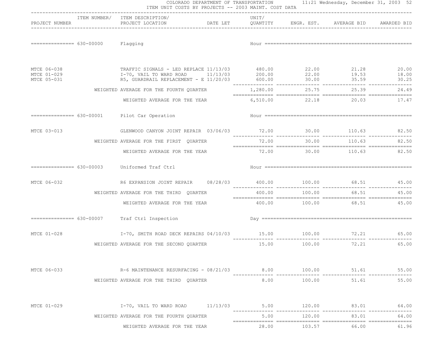|                            | ITEM NUMBER/ ITEM DESCRIPTION/                                                                         | UNIT/                             |                |                          |                |
|----------------------------|--------------------------------------------------------------------------------------------------------|-----------------------------------|----------------|--------------------------|----------------|
| PROJECT NUMBER             | PROJECT LOCATION                                                                                       | DATE LET<br>QUANTITY              | ENGR. EST.     | AVERAGE BID AWARDED BID  |                |
| $============== 630-00000$ | Flagging                                                                                               |                                   |                |                          |                |
| MTCE 06-038<br>MTCE 01-029 | TRAFFIC SIGNALS - LED REPLACE 11/13/03 480.00 22.00 21.28                                              |                                   |                | 19.53                    | 20.00<br>18.00 |
| MTCE 05-031                | I-70, VAIL TO WARD ROAD $11/13/03$ 200.00 22.00<br>R5, GUARDRAIL REPLACEMENT - E 11/20/03 600.00 30.00 |                                   |                | 35.59                    | 30.25          |
|                            | WEIGHTED AVERAGE FOR THE FOURTH QUARTER $1,280.00$ 25.75                                               |                                   |                | 25.39                    | 24.49          |
|                            | WEIGHTED AVERAGE FOR THE YEAR                                                                          |                                   | 6,510.00 22.18 | 20.03 17.47              |                |
|                            | ============== 630-00001 Pilot Car Operation                                                           |                                   |                |                          |                |
| MTCE 03-013                | GLENWOOD CANYON JOINT REPAIR 03/06/03 72.00 30.00 110.63 82.50                                         |                                   |                |                          |                |
|                            | WEIGHTED AVERAGE FOR THE FIRST QUARTER                                                                 | 72.00                             | 30.00          | 110.63                   | 82.50          |
|                            | WEIGHTED AVERAGE FOR THE YEAR                                                                          |                                   |                | 72.00 30.00 110.63 82.50 |                |
|                            | ============== 630-00003 Uniformed Traf Ctrl                                                           |                                   |                |                          |                |
| MTCE 06-032                |                                                                                                        |                                   |                |                          |                |
|                            | WEIGHTED AVERAGE FOR THE THIRD QUARTER                                                                 | 400.00                            | 100.00         | 68.51                    | 45.00          |
|                            | WEIGHTED AVERAGE FOR THE YEAR                                                                          | $400.00$ $100.00$ $68.51$ $45.00$ |                |                          |                |
|                            | ============== 630-00007 Traf Ctrl Inspection                                                          |                                   |                |                          |                |
| MTCE 01-028                | I-70, SMITH ROAD DECK REPAIRS 04/10/03 15.00 100.00 100.00 72.21                                       | _______________                   |                | ---------------          | 65.00          |
|                            | WEIGHTED AVERAGE FOR THE SECOND OUARTER                                                                | 15.00                             | 100.00         | 72.21                    | 65.00          |
| MTCE 06-033                | R-6 MAINTENANCE RESURFACING - 08/21/03                                                                 |                                   | 8.00    100.00 | 51.61                    | 55.00          |
|                            | WEIGHTED AVERAGE FOR THE THIRD OUARTER                                                                 |                                   |                | 8.00 100.00 51.61        | 55.00          |
|                            |                                                                                                        |                                   |                |                          |                |
| MTCE 01-029                | $I-70$ , VAIL TO WARD ROAD $11/13/03$ 5.00 $120.00$                                                    |                                   |                | 83.01                    | 64.00          |
|                            | WEIGHTED AVERAGE FOR THE FOURTH QUARTER                                                                | 5.00                              | 120.00         | 83.01                    | 64.00          |
|                            | WEIGHTED AVERAGE FOR THE YEAR                                                                          | 28.00                             | 103.57         | 66.00                    | 61.96          |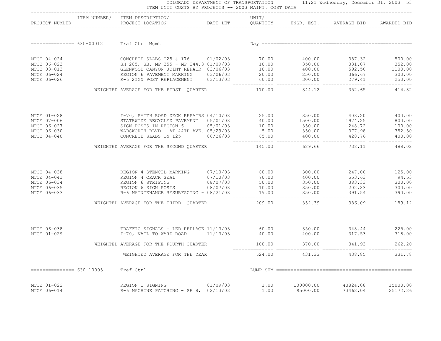|                                                                         |                | COLORADO DEPARTMENT OF TRANSPORTATION 11:21 Wednesday, December 31, 2003 53<br>ITEM UNIT COSTS BY PROJECTS -- 2003 MAINT. COST DATA                                                                                                                                                                    |          |              |                       |                             |                      |
|-------------------------------------------------------------------------|----------------|--------------------------------------------------------------------------------------------------------------------------------------------------------------------------------------------------------------------------------------------------------------------------------------------------------|----------|--------------|-----------------------|-----------------------------|----------------------|
|                                                                         | PROJECT NUMBER | ITEM NUMBER/ ITEM DESCRIPTION/                                                                                                                                                                                                                                                                         |          | UNIT/        |                       |                             |                      |
|                                                                         |                | ============== 630-00012 Traf Ctrl Mgmt                                                                                                                                                                                                                                                                |          |              |                       |                             |                      |
| MTCE 04-024<br>MTCE 06-023<br>MTCE 03-013<br>MTCE 06-024<br>MTCE 06-026 |                | CONCRETE SLABS 125 & 176 01/02/03 70.00 400.00 387.32 500.00<br>SH 285, SB, MP 255 - MP 244.3 01/09/03<br>CLENWOOD CANYON JOINT REPAIR 03/06/03<br>REGION 6 PAVEMENT MARKING 03/06/03 20.00 250.00 331.07 352.00<br>REGION 6 PAVEMENT MARKING 03/06/03 20.00 250.00 366.67 300.00<br>R-6 SIGN POST REP |          |              |                       |                             |                      |
|                                                                         |                | WEIGHTED AVERAGE FOR THE FIRST OUARTER                                                                                                                                                                                                                                                                 |          |              |                       | 170.00 344.12 352.65 414.82 |                      |
| MTCE 01-028<br>MTCE 07-006<br>MTCE 06-027<br>MTCE 06-030<br>MTCE 04-040 |                | 1-70, SMITH ROAD DECK REPAIRS 04/10/03<br>STATEWIDE RECYCLED PAVEMENT 05/01/03<br>SIGN POSTS IN REGION 6<br>WADSWORTH BLVD. AT 44TH AVE. 05/29/03<br>CONCRETE SLABS ON 125<br>CONCRETE SLABS ON 125<br>CONCRETE SLABS ON 125<br>CONCRETE SLA                                                           |          |              |                       |                             |                      |
|                                                                         |                | WEIGHTED AVERAGE FOR THE SECOND QUARTER                                                                                                                                                                                                                                                                |          | 145.00       |                       | 689.66 738.11               | 488.02               |
| MTCE 04-038<br>MTCE 04-041<br>MTCE 06-034<br>MTCE 06-035<br>MTCE 06-033 |                | REGION 4 STENCIL MARKING $07/10/03$<br>REGION 4 CRACK SEAL $07/10/03$<br>REGION 6 STRIPING $08/07/03$<br>REGION 6 STRIPING $08/07/03$<br>REGION 6 SIGN POSTS $08/07/03$<br>REGION 6 SIGN POSTS $08/07/03$<br>REGION 6 SIGN POSTS $08/07/03$                                                            |          |              |                       |                             |                      |
|                                                                         |                | WEIGHTED AVERAGE FOR THE THIRD QUARTER                                                                                                                                                                                                                                                                 |          |              |                       | 209.00 352.39 386.09        | 189.12               |
| MTCE 06-038<br>MTCE 01-029                                              |                | TRAFFIC SIGNALS - LED REPLACE 11/13/03 60.00 350.00 348.44 225.00<br>18.00 1-70, VAIL TO WARD ROAD 11/13/03 40.00 40.00 400.00 317.53 318.00                                                                                                                                                           |          |              |                       |                             |                      |
|                                                                         |                | WEIGHTED AVERAGE FOR THE FOURTH QUARTER                                                                                                                                                                                                                                                                |          | 100.00       |                       | 370.00 341.93               | 262.20               |
|                                                                         |                | WEIGHTED AVERAGE FOR THE YEAR                                                                                                                                                                                                                                                                          |          | 624.00       | 431.33                | 438.85                      | 331.78               |
| =============== 630-10005                                               |                | Traf Ctrl                                                                                                                                                                                                                                                                                              |          |              |                       |                             |                      |
| MTCE 01-022<br>MTCE 06-014                                              |                | REGION 1 SIGNING<br>R-6 MACHINE PATCHING - SH $8, 02/13/03$                                                                                                                                                                                                                                            | 01/09/03 | 1.00<br>1.00 | 100000.00<br>95000.00 | 43824.08<br>73462.04        | 15000.00<br>25172.26 |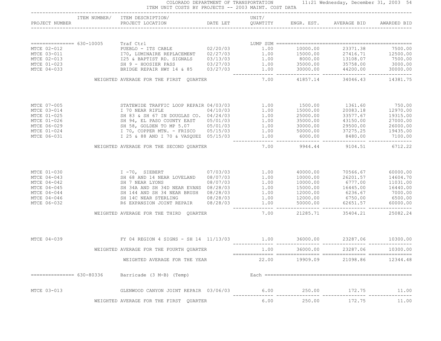|                           | ITEM NUMBER/ ITEM DESCRIPTION/                                                                                                                                                                                                                                                                                         | UNIT/ |          |                                 |          |
|---------------------------|------------------------------------------------------------------------------------------------------------------------------------------------------------------------------------------------------------------------------------------------------------------------------------------------------------------------|-------|----------|---------------------------------|----------|
|                           |                                                                                                                                                                                                                                                                                                                        |       |          |                                 |          |
|                           | === 630-10005<br>PUEBLO - ITS CABLE<br>PUEBLO - ITS CABLE<br>T70, LUMINAIRE REPLACEMENT<br>Σ5 & BAPTIST RD. SIGNALS<br>Σ5 & BAPTIST RD. SIGNALS<br>SHIPSE REPARE PASS<br>SHIPSE REPAIR HWY 14 & 85<br>2371.38<br>2371.38<br>2371.38<br>1.00<br>100 1                                                                   |       |          |                                 |          |
| MTCE 02-012               |                                                                                                                                                                                                                                                                                                                        |       |          |                                 |          |
| MTCE 03-011               |                                                                                                                                                                                                                                                                                                                        |       |          |                                 |          |
| MTCE 02-013               |                                                                                                                                                                                                                                                                                                                        |       |          |                                 |          |
| MTCE 01-023               |                                                                                                                                                                                                                                                                                                                        |       |          |                                 |          |
| MTCE 04-033               |                                                                                                                                                                                                                                                                                                                        |       |          |                                 |          |
|                           | WEIGHTED AVERAGE FOR THE FIRST QUARTER                                                                                                                                                                                                                                                                                 |       |          | 7.00 41857.14 34046.43 14381.75 |          |
| MTCE 07-005               | 3TATEWIDE TRAFFIC LOOP REPAIR 04/03/03<br>1 70 NEAR RIFLE 04/10/03<br>SH 83 & SH 67 IN DOUGLAS CO. 04/24/03<br>SH 94, EL PASO COUNTY EAST 05/01/03<br>SH 94, EL PASO COUNTY EAST 05/01/03<br>1.00 25000.00 33577.67 19315.00<br>33577.67 1                                                                             |       |          |                                 |          |
| MTCE 03-014               |                                                                                                                                                                                                                                                                                                                        |       |          |                                 |          |
| MTCE 01-025               |                                                                                                                                                                                                                                                                                                                        |       |          |                                 |          |
| MTCE 01-026               |                                                                                                                                                                                                                                                                                                                        |       |          |                                 |          |
| MTCE 06-029               |                                                                                                                                                                                                                                                                                                                        |       |          |                                 |          |
| MTCE 01-024               |                                                                                                                                                                                                                                                                                                                        |       |          |                                 |          |
| MTCE 06-031               |                                                                                                                                                                                                                                                                                                                        |       |          |                                 |          |
|                           | WEIGHTED AVERAGE FOR THE SECOND QUARTER                                                                                                                                                                                                                                                                                | 7.00  |          | 9944.44 9104.51 6712.22         |          |
| MTCE 01-030               |                                                                                                                                                                                                                                                                                                                        |       |          |                                 |          |
| MTCE 04-043               |                                                                                                                                                                                                                                                                                                                        |       |          |                                 |          |
| MTCE 04-042               |                                                                                                                                                                                                                                                                                                                        |       |          |                                 |          |
| MTCE 04-045               |                                                                                                                                                                                                                                                                                                                        |       |          |                                 |          |
| MTCE 04-044               |                                                                                                                                                                                                                                                                                                                        |       |          |                                 |          |
| MTCE 04-046               |                                                                                                                                                                                                                                                                                                                        |       |          |                                 |          |
| MTCE 06-032               | $\begin{tabular}{cccccccc} I & -70, & SIEBERT & 07/03/03 & 1.00 & 40000.00 & 70566.67 & 60000.00 \\ SR & 68 AND 14 NEAR LOVELAND & 08/07/03 & 1.00 & 10000.00 & 26201.57 & 14604.70 \\ SR & 7 NEAR LYONS & 08/07/03 & 1.00 & 10000.00 & 6777.00 & 11031.00 \\ SR & 34A AND SH 34D NEAR EVANS & 08/28/03 & 1.00 & 1500$ |       |          |                                 |          |
|                           | WEIGHTED AVERAGE FOR THE THIRD QUARTER                                                                                                                                                                                                                                                                                 | 7.00  |          | 21285.71 35404.21 25082.24      |          |
|                           | MTCE 04-039 6 EY 04 REGION 4 SIGNS - SH 14 11/13/03 1.00 36000.00 23287.06 10300.00                                                                                                                                                                                                                                    |       |          |                                 |          |
|                           |                                                                                                                                                                                                                                                                                                                        | 1.00  | 36000.00 | 23287.06                        |          |
|                           | WEIGHTED AVERAGE FOR THE FOURTH QUARTER                                                                                                                                                                                                                                                                                |       |          |                                 | 10300.00 |
|                           | WEIGHTED AVERAGE FOR THE YEAR                                                                                                                                                                                                                                                                                          | 22.00 | 19909.09 | 21098.86                        | 12344.48 |
| $============= 630-80336$ | Barricade (3 M-B) (Temp)                                                                                                                                                                                                                                                                                               |       |          |                                 |          |
| MTCE 03-013               | GLENWOOD CANYON JOINT REPAIR 03/06/03                                                                                                                                                                                                                                                                                  | 6.00  | 250.00   | 172.75                          | 11.00    |
|                           | WEIGHTED AVERAGE FOR THE FIRST QUARTER                                                                                                                                                                                                                                                                                 | 6.00  | 250.00   | 172.75                          | 11.00    |

COLORADO DEPARTMENT OF TRANSPORTATION 11:21 Wednesday, December 31, 2003 54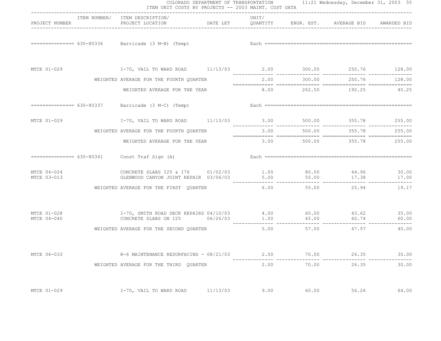|                            | ITEM UNIT COSTS BY PROJECTS -- 2003 MAINT. COST DATA                                              |          |       |                             |                                                                              |                          |
|----------------------------|---------------------------------------------------------------------------------------------------|----------|-------|-----------------------------|------------------------------------------------------------------------------|--------------------------|
| PROJECT NUMBER             | ITEM NUMBER/ ITEM DESCRIPTION/<br>PROJECT LOCATION                                                |          | UNIT/ |                             | DATE LET         QUANTITY        ENGR. EST.      AVERAGE BID     AWARDED BID |                          |
|                            |                                                                                                   |          |       |                             |                                                                              |                          |
|                            |                                                                                                   |          |       |                             |                                                                              |                          |
|                            | WEIGHTED AVERAGE FOR THE FOURTH QUARTER                                                           |          |       | 2.00 300.00                 | 250.76                                                                       | 128.00                   |
|                            | WEIGHTED AVERAGE FOR THE YEAR                                                                     |          |       |                             | 8.00 262.50 192.25 40.25                                                     |                          |
|                            | $=$ ============== $630-80337$ Barricade (3 M-C) (Temp)                                           |          |       |                             |                                                                              |                          |
| MTCE 01-029                | 1-70, VAIL TO WARD ROAD 11/13/03 3.00 500.00 355.78 255.00                                        |          |       |                             |                                                                              |                          |
|                            | WEIGHTED AVERAGE FOR THE FOURTH QUARTER                                                           |          | 3.00  | 500.00                      | 355.78                                                                       | 255.00                   |
|                            | WEIGHTED AVERAGE FOR THE YEAR                                                                     |          |       |                             | $3.00$ 500.00 $355.78$ 255.00                                                |                          |
|                            | ============== 630-80341 Const Traf Sign (A)                                                      |          |       |                             |                                                                              |                          |
| MTCE 04-024<br>MTCE 03-013 | CONCRETE SLABS 125 & 176 01/02/03 1.00 80.00 44.96 30.00<br>GLENWOOD CANYON JOINT REPAIR 03/06/03 |          | 5.00  | 50.00<br>------------------ | 17.38<br>________________                                                    | 17.00<br>--------------- |
|                            | WEIGHTED AVERAGE FOR THE FIRST QUARTER                                                            |          | 6.00  | 55.00                       | 25.94                                                                        | 19.17                    |
| MTCE 01-028<br>MTCE 04-040 | CONCRETE SLABS ON I25 $06/26/03$ 1.00 $45.00$ 60.74 $60.74$                                       |          |       |                             |                                                                              |                          |
|                            | WEIGHTED AVERAGE FOR THE SECOND OUARTER                                                           |          |       |                             | 5.00 57.00 47.57 40.00                                                       |                          |
| MTCE 06-033                | R-6 MAINTENANCE RESURFACING - 08/21/03                                                            |          | 2.00  | 70.00                       | 26.35                                                                        | 30.00                    |
|                            | WEIGHTED AVERAGE FOR THE THIRD OUARTER                                                            |          | 2.00  | 70.00                       | 26.35                                                                        | 30.00                    |
| MTCE 01-029                | I-70, VAIL TO WARD ROAD                                                                           | 11/13/03 | 9.00  | 60.00                       | 56.26                                                                        | 64.00                    |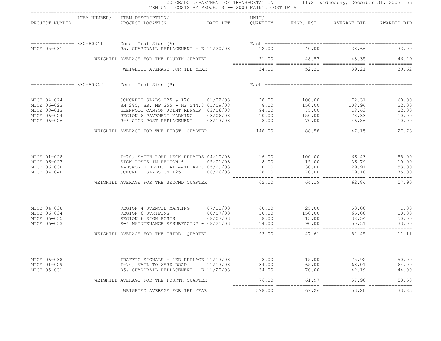|                                                                                        | ITEM NUMBER/ ITEM DESCRIPTION/ UNIT/ UNIT/<br>PROJECT NUMBER PROJECT LOCATION DATE LET QUANTITY ENGR. EST. AVERAGE BID AWARDED BID                                                                                                   |        |       |                                 |                                 |
|----------------------------------------------------------------------------------------|--------------------------------------------------------------------------------------------------------------------------------------------------------------------------------------------------------------------------------------|--------|-------|---------------------------------|---------------------------------|
|                                                                                        |                                                                                                                                                                                                                                      |        |       |                                 |                                 |
|                                                                                        |                                                                                                                                                                                                                                      |        |       |                                 |                                 |
|                                                                                        |                                                                                                                                                                                                                                      |        |       |                                 |                                 |
|                                                                                        | WEIGHTED AVERAGE FOR THE FOURTH QUARTER                                                                                                                                                                                              |        |       | 21.00 48.57 43.35 46.29         |                                 |
|                                                                                        | WEIGHTED AVERAGE FOR THE YEAR                                                                                                                                                                                                        |        |       | $34.00$ $52.21$ $39.21$ $39.62$ |                                 |
|                                                                                        | $=$ = = = = = = = = = = $630 - 80342$ Const Traf Sign (B)                                                                                                                                                                            |        |       |                                 |                                 |
| MTCE 04-024<br>MTCE 06-023<br>MTCE 06-023<br>MTCE 03-013<br>MTCE 06-024<br>MTCE 06-026 | CONCRETE SLABS 125 & 176 01/02/03 28.00 100.00 72.31 60.00<br>SH 285, SB, MP 255 - MP 244.3 01/09/03 8.00 150.00 108.96 22.00<br>GLENWOOD CANYON JOINT REPAIR 03/06/03 94.00 75.00 18.63 22.00<br>REGION 6 PAVEMENT MARKING 03/06/03 |        |       |                                 |                                 |
|                                                                                        | WEIGHTED AVERAGE FOR THE FIRST QUARTER 148.00 88.58 47.15                                                                                                                                                                            |        |       |                                 | 27.73                           |
|                                                                                        | MTCE 01-028 1-70, SMITH ROAD DECK REPAIRS 04/10/03 16.00 100.00 66.43 55.00<br>MTCE 06-027 SIGN POSTS IN REGION 6 05/01/03 8.00 15.00 36.79 10.00<br>MTCE 06-030 MADSWORTH BLVD. AT 44TH AVE. 05/29/03 10.00 30.00 29.91 53.00<br>MT |        |       | $66.43$<br>36.79                |                                 |
|                                                                                        | WEIGHTED AVERAGE FOR THE SECOND QUARTER                                                                                                                                                                                              | 62.00  |       | 64.19 62.84                     | 57.90                           |
| MTCE 04-038<br>MTCE 06-034<br>MTCE 06-035<br>MTCE 06-033                               | REGION 4 STENCIL MARKING $07/10/03$ 60.00 25.00 53.00<br>REGION 6 STRIPING 08/07/03 10.00 150.00 65.00<br>REGION 6 SIGN POSTS 08/07/03 8.00 15.00 38.54<br>R-6 MAINTENANCE RESURFACING - 08/21/03 14.00 90.00 50.31                  |        |       |                                 | 1.00<br>10.00<br>50.00<br>33.00 |
|                                                                                        | WEIGHTED AVERAGE FOR THE THIRD QUARTER                                                                                                                                                                                               | 92.00  | 47.61 | 52.45                           | 11.11                           |
| MTCE 06-038<br>MTCE 01-029<br>MTCE 05-031                                              | TRAFFIC SIGNALS - LED REPLACE 11/13/03 $1/13/03$<br>1-70, VAIL TO WARD ROAD $11/13/03$ $34.00$ $65.00$ $63.01$ $64.00$<br>R5, GUARDRAIL REPLACEMENT - E 11/20/03 $34.00$ $70.00$ $42.19$ $44.00$                                     |        |       |                                 |                                 |
|                                                                                        | WEIGHTED AVERAGE FOR THE FOURTH QUARTER                                                                                                                                                                                              |        |       | 76.00 61.97 57.90               | 53.58                           |
|                                                                                        | WEIGHTED AVERAGE FOR THE YEAR                                                                                                                                                                                                        | 378.00 |       | 69.26 53.20                     | 33.83                           |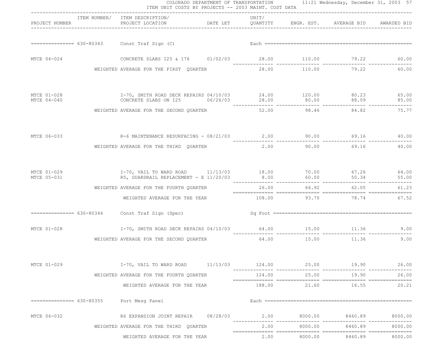| COLORADO DEPARTMENT OF TRANSPORTATION 11:21 Wednesday, December 31, 2003 57<br>ITEM UNIT COSTS BY PROJECTS -- 2003 MAINT. COST DATA<br>---------------------------------- |             |                                                                                                                                 |  |        |         |                          |                           |
|---------------------------------------------------------------------------------------------------------------------------------------------------------------------------|-------------|---------------------------------------------------------------------------------------------------------------------------------|--|--------|---------|--------------------------|---------------------------|
| PROJECT NUMBER                                                                                                                                                            |             | ITEM NUMBER/ ITEM DESCRIPTION/<br>PROJECT LOCATION <b>DATE LET</b> QUANTITY ENGR. EST. AVERAGE BID AWARDED BID                  |  | UNIT/  |         |                          |                           |
|                                                                                                                                                                           |             |                                                                                                                                 |  |        |         |                          |                           |
| MTCE 04-024                                                                                                                                                               |             | CONCRETE SLABS 125 & 176 01/02/03 28.00 110.00 79.22                                                                            |  |        |         |                          | 60.00                     |
|                                                                                                                                                                           |             | WEIGHTED AVERAGE FOR THE FIRST QUARTER                                                                                          |  |        |         | 28.00 110.00 79.22 60.00 |                           |
| MTCE 01-028<br>MTCE 04-040                                                                                                                                                |             | I-70, SMITH ROAD DECK REPAIRS 04/10/03 24.00 120.00 80.23 65.00<br>CONCRETE SLABS ON I25 $06/26/03$ 28.00 80.00 88.09 88.09     |  |        |         |                          | 85.00                     |
|                                                                                                                                                                           |             | WEIGHTED AVERAGE FOR THE SECOND QUARTER                                                                                         |  |        |         | 52.00 98.46 84.82        | ________________<br>75.77 |
|                                                                                                                                                                           |             | MTCE 06-033 69.16 R-6 MAINTENANCE RESURFACING - 08/21/03 2.00 90.00 69.16 69.16 40.00                                           |  |        |         |                          |                           |
|                                                                                                                                                                           |             | WEIGHTED AVERAGE FOR THE THIRD QUARTER                                                                                          |  | 2.00   |         | 90.00 69.16              | 40.00                     |
| MTCE 01-029<br>MTCE 05-031                                                                                                                                                |             | I-70, VAIL TO WARD ROAD 11/13/03 18.00 70.00 67.26 64.00<br>R5, GUARDRAIL REPLACEMENT - E 11/20/03 8.00 60.00 50.34 55.00 50.34 |  |        |         |                          | 55.00                     |
|                                                                                                                                                                           |             | WEIGHTED AVERAGE FOR THE FOURTH QUARTER                                                                                         |  |        |         | 26.00 66.92 62.05        | 61.23                     |
|                                                                                                                                                                           |             | WEIGHTED AVERAGE FOR THE YEAR 108.00 93.70 78.74                                                                                |  |        |         |                          | 67.52                     |
|                                                                                                                                                                           |             |                                                                                                                                 |  |        |         |                          |                           |
|                                                                                                                                                                           | MTCE 01-028 | 1-70, SMITH ROAD DECK REPAIRS 04/10/03 64.00 15.00 11.36 9.00                                                                   |  |        |         |                          |                           |
|                                                                                                                                                                           |             | WEIGHTED AVERAGE FOR THE SECOND OUARTER                                                                                         |  |        |         | 64.00 15.00 11.36        | 9.00                      |
| MTCE 01-029                                                                                                                                                               |             | $I-70$ , VAIL TO WARD ROAD $11/13/03$ $124.00$                                                                                  |  |        |         | 25.00 19.90              | 26.00                     |
|                                                                                                                                                                           |             | WEIGHTED AVERAGE FOR THE FOURTH QUARTER                                                                                         |  | 124.00 | 25.00   | 19.90                    | 26.00                     |
|                                                                                                                                                                           |             | WEIGHTED AVERAGE FOR THE YEAR                                                                                                   |  | 188.00 |         | 21.60 16.55              | 20.21                     |
|                                                                                                                                                                           |             | ============== 630-80355 Port Mesq Panel                                                                                        |  |        |         |                          |                           |
| MTCE 06-032                                                                                                                                                               |             |                                                                                                                                 |  |        |         | 8460.89                  | 8000.00                   |
|                                                                                                                                                                           |             | WEIGHTED AVERAGE FOR THE THIRD QUARTER                                                                                          |  | 2.00   | 8000.00 | 8460.89                  | 8000.00                   |
|                                                                                                                                                                           |             | WEIGHTED AVERAGE FOR THE YEAR                                                                                                   |  | 2.00   | 8000.00 | 8460.89                  | 8000.00                   |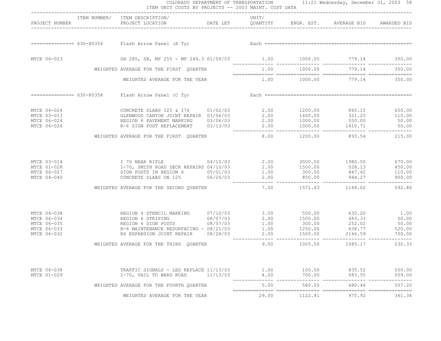|                                                                         |                | ITEM UNIT COSTS BY PROJECTS -- 2003 MAINT. COST DATA                                                                                                                                                                                                                                          |                                        |              |                                    | COLORADO DEPARTMENT OF TRANSPORTATION 11:21 Wednesday, December 31, 2003 58 |                  |
|-------------------------------------------------------------------------|----------------|-----------------------------------------------------------------------------------------------------------------------------------------------------------------------------------------------------------------------------------------------------------------------------------------------|----------------------------------------|--------------|------------------------------------|-----------------------------------------------------------------------------|------------------|
|                                                                         | PROJECT NUMBER | ITEM NUMBER/ ITEM DESCRIPTION/<br>PROJECT LOCATION <b>The CONSTRUCTER CONSTRUCT OUR SET AVERAGE BID</b> AWARDED BID                                                                                                                                                                           |                                        | UNIT/        |                                    |                                                                             |                  |
|                                                                         |                |                                                                                                                                                                                                                                                                                               |                                        |              |                                    |                                                                             |                  |
| MTCE 06-023                                                             |                | SH 285, SB, MP 255 - MP 244.3 01/09/03 1.00 1000.00 779.14 350.00                                                                                                                                                                                                                             |                                        |              |                                    |                                                                             |                  |
|                                                                         |                |                                                                                                                                                                                                                                                                                               | WEIGHTED AVERAGE FOR THE FIRST QUARTER |              |                                    | $1.00$ $1000.00$ $779.14$ $350.00$                                          |                  |
|                                                                         |                | WEIGHTED AVERAGE FOR THE YEAR                                                                                                                                                                                                                                                                 |                                        |              | $1.00$ $1000.00$ $779.14$ $350.00$ |                                                                             |                  |
|                                                                         |                | ============== 630-80358 Flash Arrow Panel (C Ty)                                                                                                                                                                                                                                             |                                        |              |                                    |                                                                             |                  |
| MTCE 04-024<br>MTCE 03-013<br>MTCE 06-024<br>MTCE 06-026                |                | CONCRETE SLABS 125 & 176 01/02/03<br>GLENWOOD CANYON JOINT REPAIR 03/06/03 2.00 1600.00 321.25 110.00<br>REGION 6 PAVEMENT MARKING 03/06/03 2.00 1000.00 550.00 50.00<br>---- 03/13/03 2.00 1000.00 550.00 50.00<br>2.00 1000.00 1000.00 1410.71 50.00<br>80.00 1410.71 1000.00 1410.71 50.00 |                                        |              |                                    |                                                                             |                  |
| WEIGHTED AVERAGE FOR THE FIRST QUARTER                                  |                |                                                                                                                                                                                                                                                                                               |                                        |              |                                    | 8.00 1200.00 893.54                                                         | 215.00           |
| MTCE 03-014<br>MTCE 01-028<br>MTCE 06-027<br>MTCE 04-040                |                | 1 70 NEAR RIFLE $04/10/03$<br>1-70, SMITH ROAD DECK REPAIRS 04/10/03 2.00 1500.00 1980.50 670.00<br>SIGN POSTS IN REGION 6 05/01/03 1.00 300.00 847.62 110.00<br>CONCRETE SLABS ON 125 06/26/03 2.00 850.00 944.27 900.00                                                                     |                                        |              |                                    |                                                                             |                  |
|                                                                         |                | WEIGHTED AVERAGE FOR THE SECOND OUARTER                                                                                                                                                                                                                                                       |                                        | 7.00         |                                    |                                                                             | 592.86           |
| MTCE 04-038<br>MTCE 06-034<br>MTCE 06-035<br>MTCE 06-033<br>MTCE 06-032 |                | R-6 MAINTENANCE RESURFACING - 08/21/03 1.00 1250.00 638.77<br>R6 EXPANSION JOINT REPAIR 08/28/03 2.00 1500.00 2146.59                                                                                                                                                                         |                                        |              |                                    |                                                                             | 520.00<br>700.00 |
|                                                                         |                | WEIGHTED AVERAGE FOR THE THIRD OUARTER                                                                                                                                                                                                                                                        |                                        |              |                                    | 9.00 1005.56 1085.17                                                        | 230.33           |
| MTCE 06-038<br>MTCE 01-029                                              |                | TRAFFIC SIGNALS - LED REPLACE 11/13/03<br>I-70, VAIL TO WARD ROAD                                                                                                                                                                                                                             | 11/13/03                               | 1.00<br>4.00 | 100.00<br>700.00                   | 835.52<br>583.55                                                            | 500.00<br>509.00 |
|                                                                         |                | WEIGHTED AVERAGE FOR THE FOURTH QUARTER                                                                                                                                                                                                                                                       |                                        | 5.00         | 580.00                             | 680.46                                                                      | 507.20           |
|                                                                         |                | WEIGHTED AVERAGE FOR THE YEAR                                                                                                                                                                                                                                                                 |                                        | 29.00        | 1122.41                            | 975.92                                                                      | 361.34           |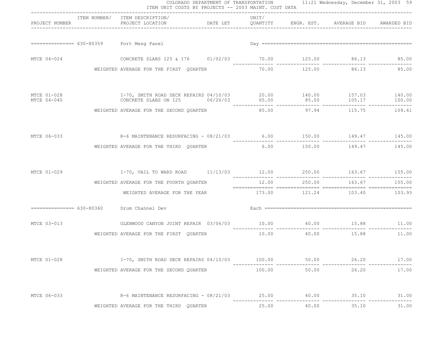| ITEM UNIT COSTS BY PROJECTS -- 2003 MAINT. COST DATA<br>---------------------------------- |  |                                                                                                     |  |        |              |                             |               |  |
|--------------------------------------------------------------------------------------------|--|-----------------------------------------------------------------------------------------------------|--|--------|--------------|-----------------------------|---------------|--|
| PROJECT NUMBER                                                                             |  | ITEM NUMBER/ ITEM DESCRIPTION/                                                                      |  | UNIT/  |              |                             |               |  |
|                                                                                            |  | =============== 630-80359 Port Mesq Panel                                                           |  |        |              |                             |               |  |
| MTCE 04-024                                                                                |  | CONCRETE SLABS 125 & 176 01/02/03 70.00 125.00 86.13 85.00                                          |  |        |              |                             |               |  |
|                                                                                            |  | WEIGHTED AVERAGE FOR THE FIRST QUARTER                                                              |  | 70.00  |              | 125.00 86.13 85.00          |               |  |
| MTCE 01-028<br>MTCE 04-040                                                                 |  | I-70, SMITH ROAD DECK REPAIRS 04/10/03 20.00 140.00 157.03 140.00<br>CONCRETE SLABS ON 125 06/26/03 |  |        |              |                             | 100.00        |  |
|                                                                                            |  | WEIGHTED AVERAGE FOR THE SECOND QUARTER                                                             |  |        |              | 85.00 97.94 115.75 109.41   |               |  |
|                                                                                            |  | MTCE 06-033 6.00 149.47 145.00                                                                      |  |        |              |                             |               |  |
|                                                                                            |  | WEIGHTED AVERAGE FOR THE THIRD QUARTER                                                              |  | 6.00   | 150.00       | 149.47                      | 145.00        |  |
| MTCE 01-029                                                                                |  | I-70, VAIL TO WARD ROAD $11/13/03$ $12.00$ $250.00$ $163.67$ $155.00$                               |  |        |              |                             |               |  |
|                                                                                            |  | WEIGHTED AVERAGE FOR THE FOURTH QUARTER                                                             |  |        | 12.00 250.00 |                             | 163.67 155.00 |  |
|                                                                                            |  | WEIGHTED AVERAGE FOR THE YEAR                                                                       |  |        |              | 173.00 121.24 103.40 103.93 |               |  |
|                                                                                            |  | =============== 630-80360 Drum Channel Dev                                                          |  |        |              |                             |               |  |
| MTCE 03-013                                                                                |  | GLENWOOD CANYON JOINT REPAIR 03/06/03 10.00 40.00 15.88 11.00                                       |  |        |              |                             |               |  |
|                                                                                            |  | WEIGHTED AVERAGE FOR THE FIRST QUARTER                                                              |  | 10.00  |              | 40.00 15.88                 | 11.00         |  |
| MTCE 01-028                                                                                |  | I-70, SMITH ROAD DECK REPAIRS 04/10/03                                                              |  | 100.00 | 50.00        | 26.20                       | 17.00         |  |
|                                                                                            |  | WEIGHTED AVERAGE FOR THE SECOND QUARTER                                                             |  | 100.00 | 50.00        | 26.20                       | 17.00         |  |
| MTCE 06-033                                                                                |  | R-6 MAINTENANCE RESURFACING - 08/21/03 25.00                                                        |  |        | 40.00        | 35.10                       | 31.00         |  |
|                                                                                            |  | WEIGHTED AVERAGE FOR THE THIRD QUARTER                                                              |  | 25.00  | 40.00        | 35.10                       | 31.00         |  |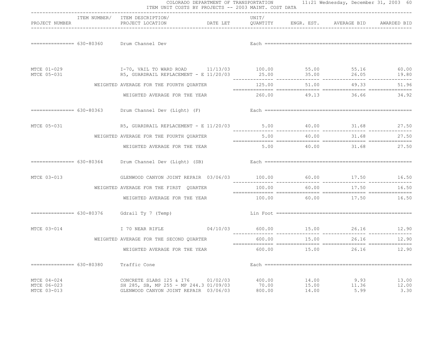|                                           | ITEM UNIT COSTS BY PROJECTS -- 2003 MAINT. COST DATA                                                           |          |                           |                         | COLORADO DEPARTMENT OF TRANSPORTATION 11:21 Wednesday, December 31, 2003 60 |                        |
|-------------------------------------------|----------------------------------------------------------------------------------------------------------------|----------|---------------------------|-------------------------|-----------------------------------------------------------------------------|------------------------|
| PROJECT NUMBER                            | ITEM NUMBER/ ITEM DESCRIPTION/<br>PROJECT LOCATION <b>DATE LET</b> QUANTITY ENGR. EST. AVERAGE BID AWARDED BID |          | UNIT/                     |                         |                                                                             |                        |
|                                           | ============== 630-80360 Drum Channel Dev                                                                      |          |                           |                         |                                                                             |                        |
| MTCE 01-029<br>MTCE 05-031                | I-70, VAIL TO WARD ROAD 11/13/03 100.00 55.00 55.16 60.00<br>R5, GUARDRAIL REPLACEMENT - E 11/20/03            |          |                           | 25.00 35.00             | 26.05                                                                       | 19.80                  |
|                                           | WEIGHTED AVERAGE FOR THE FOURTH QUARTER                                                                        | 125.00   | 51.00                     | 49.33                   | 51.96                                                                       |                        |
|                                           | WEIGHTED AVERAGE FOR THE YEAR                                                                                  |          |                           |                         | 260.00 49.13 36.66 34.92                                                    |                        |
|                                           |                                                                                                                |          |                           |                         |                                                                             |                        |
| MTCE 05-031                               | R5, GUARDRAIL REPLACEMENT - E 11/20/03 5.00 40.00 31.68                                                        |          |                           |                         |                                                                             | 27.50                  |
|                                           | WEIGHTED AVERAGE FOR THE FOURTH QUARTER                                                                        |          |                           |                         | 5.00 40.00 31.68                                                            | 27.50                  |
|                                           | WEIGHTED AVERAGE FOR THE YEAR                                                                                  |          |                           |                         | $5.00$ $40.00$ $31.68$ $27.50$                                              |                        |
| $============= 630-80364$                 | Drum Channel Dev (Light) (SB)                                                                                  |          |                           |                         |                                                                             |                        |
| MTCE 03-013                               | GLENWOOD CANYON JOINT REPAIR 03/06/03 100.00 60.00 17.50 16.50                                                 |          |                           |                         |                                                                             |                        |
|                                           | WEIGHTED AVERAGE FOR THE FIRST QUARTER                                                                         |          | 100.00                    | 60.00                   | 17.50                                                                       | 16.50                  |
|                                           | WEIGHTED AVERAGE FOR THE YEAR                                                                                  |          |                           |                         | $100.00$ 60.00 $17.50$ 16.50                                                |                        |
| $============= 630-80376$                 | Gdrail Ty 7 (Temp)                                                                                             |          |                           |                         |                                                                             |                        |
| MTCE 03-014                               | I 70 NEAR RIFLE                                                                                                |          |                           |                         | $04/10/03$ 600.00 15.00 26.16 12.90                                         |                        |
|                                           | WEIGHTED AVERAGE FOR THE SECOND QUARTER                                                                        |          | 600.00                    | 15.00                   | 26.16                                                                       | 12.90                  |
|                                           | WEIGHTED AVERAGE FOR THE YEAR                                                                                  |          |                           |                         | 600.00 15.00 26.16                                                          | 12.90                  |
| $============== 630-80380$                | Traffic Cone                                                                                                   |          |                           |                         |                                                                             |                        |
| MTCE 04-024<br>MTCE 06-023<br>MTCE 03-013 | CONCRETE SLABS 125 & 176<br>SH 285, SB, MP 255 - MP 244.3 01/09/03<br>GLENWOOD CANYON JOINT REPAIR 03/06/03    | 01/02/03 | 400.00<br>70.00<br>800.00 | 14.00<br>15.00<br>14.00 | 9.93<br>11.36<br>5.99                                                       | 13.00<br>12.00<br>3.30 |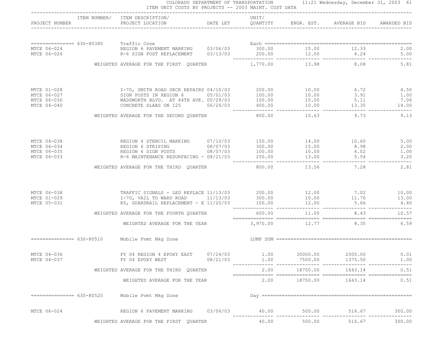|                            | ITEM NUMBER/ ITEM DESCRIPTION/                                                                                                                                                                                                       |          | UNIT/ |                            |                     |                             |
|----------------------------|--------------------------------------------------------------------------------------------------------------------------------------------------------------------------------------------------------------------------------------|----------|-------|----------------------------|---------------------|-----------------------------|
|                            |                                                                                                                                                                                                                                      |          |       |                            |                     |                             |
|                            |                                                                                                                                                                                                                                      |          |       |                            |                     |                             |
|                            |                                                                                                                                                                                                                                      |          |       |                            |                     |                             |
|                            | WEIGHTED AVERAGE FOR THE FIRST QUARTER                                                                                                                                                                                               |          |       |                            | 1,770.00 13.98 8.08 | 5.81                        |
| MTCE 01-028                |                                                                                                                                                                                                                                      |          |       |                            |                     |                             |
| MTCE 06-027                |                                                                                                                                                                                                                                      |          |       |                            |                     |                             |
| MTCE 06-030<br>MTCE 04-040 | 1-70, SMITH ROAD DECK REPAIRS 04/10/03 200.00 10.00 6.72 4.50<br>SIGN POSTS IN REGION 6 05/01/03 100.00 10.00 3.91 1.00<br>WADSWORTH BLVD. AT 44TH AVE. 05/29/03 100.00 15.00 5.11 7.06<br>CONCRETE SLABS ON 125 06/26/03 400.00 10. |          |       |                            |                     |                             |
|                            | WEIGHTED AVERAGE FOR THE SECOND QUARTER 600.00 10.63 9.73 9.13                                                                                                                                                                       |          |       |                            |                     |                             |
|                            |                                                                                                                                                                                                                                      |          |       |                            |                     |                             |
|                            |                                                                                                                                                                                                                                      |          |       |                            |                     |                             |
|                            | MTCE 04-038 REGION 4 STENCIL MARKING 07/10/03 150.00 14.00 10.60 5.00<br>MTCE 06-034 REGION 6 STRIPING 08/07/03 300.00 15.00 8.98 2.00<br>MTCE 06-035 REGION 6 SIGN POSTS 08/07/03 100.00 10.00 4.02 1.00<br>MTCE 06-033 R-6 MAINTEN |          |       |                            |                     |                             |
|                            | WEIGHTED AVERAGE FOR THE THIRD QUARTER                                                                                                                                                                                               |          |       |                            | 800.00 13.56 7.28   | 2.81                        |
| MTCE 06-038                |                                                                                                                                                                                                                                      |          |       |                            |                     |                             |
| MTCE 01-029<br>MTCE 05-031 |                                                                                                                                                                                                                                      |          |       |                            |                     |                             |
|                            | WEIGHTED AVERAGE FOR THE FOURTH QUARTER                                                                                                                                                                                              |          |       |                            | 600.00 11.00 8.43   | 10.57                       |
|                            | WEIGHTED AVERAGE FOR THE YEAR 3,970.00 12.77 8.35 6.59                                                                                                                                                                               |          |       |                            |                     |                             |
|                            | ---------------- 630-80510 Mobile Pvmt Mkg Zone Material Material Materian Materian Materian Mobile Pvmt Mkg Zone                                                                                                                    |          |       |                            |                     |                             |
| MTCE 04-036<br>MTCE 04-037 | FY 04 REGION 4 EPOXY EAST 07/24/03<br>FY 04 EPOXY WEST                                                                                                                                                                               | 08/21/03 | 1.00  | $1.00$ 30000.00<br>7500.00 | 2000.00<br>1375.50  | 0.01<br>1.00                |
|                            | WEIGHTED AVERAGE FOR THE THIRD QUARTER                                                                                                                                                                                               |          | 2.00  | 18750.00                   | 1643.14             | --- ---------------<br>0.51 |
|                            | WEIGHTED AVERAGE FOR THE YEAR                                                                                                                                                                                                        |          | 2.00  | 18750.00                   | 1643.14             | 0.51                        |
| =============== 630-80520  | Mobile Pvmt Mkg Zone                                                                                                                                                                                                                 |          |       |                            |                     |                             |
| MTCE 06-024                | REGION 6 PAVEMENT MARKING 03/06/03                                                                                                                                                                                                   |          | 40.00 | 500.00                     | 516.67              | 300.00                      |
|                            | WEIGHTED AVERAGE FOR THE FIRST QUARTER                                                                                                                                                                                               |          | 40.00 | 500.00                     | 516.67              | 300.00                      |